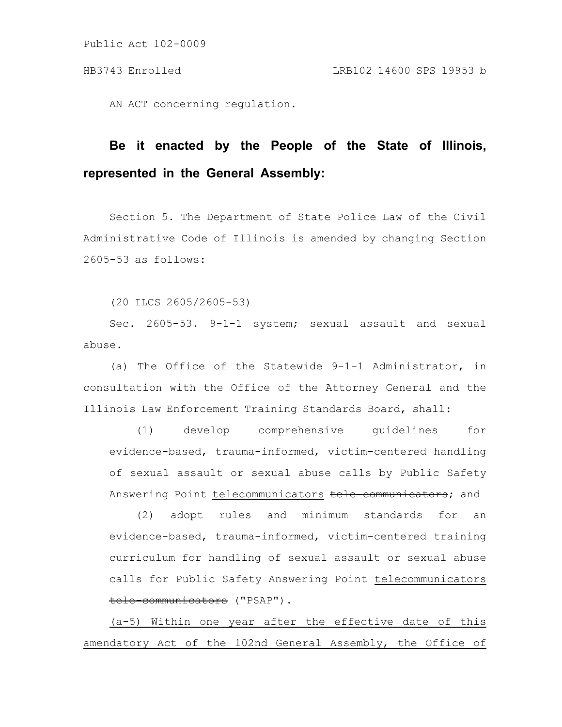AN ACT concerning regulation.

# **Be it enacted by the People of the State of Illinois, represented in the General Assembly:**

Section 5. The Department of State Police Law of the Civil Administrative Code of Illinois is amended by changing Section 2605-53 as follows:

(20 ILCS 2605/2605-53)

Sec. 2605-53. 9-1-1 system; sexual assault and sexual abuse.

(a) The Office of the Statewide 9-1-1 Administrator, in consultation with the Office of the Attorney General and the Illinois Law Enforcement Training Standards Board, shall:

(1) develop comprehensive guidelines for evidence-based, trauma-informed, victim-centered handling of sexual assault or sexual abuse calls by Public Safety Answering Point telecommunicators tele communicators; and

(2) adopt rules and minimum standards for an evidence-based, trauma-informed, victim-centered training curriculum for handling of sexual assault or sexual abuse calls for Public Safety Answering Point telecommunicators tele-communicators ("PSAP").

(a-5) Within one year after the effective date of this amendatory Act of the 102nd General Assembly, the Office of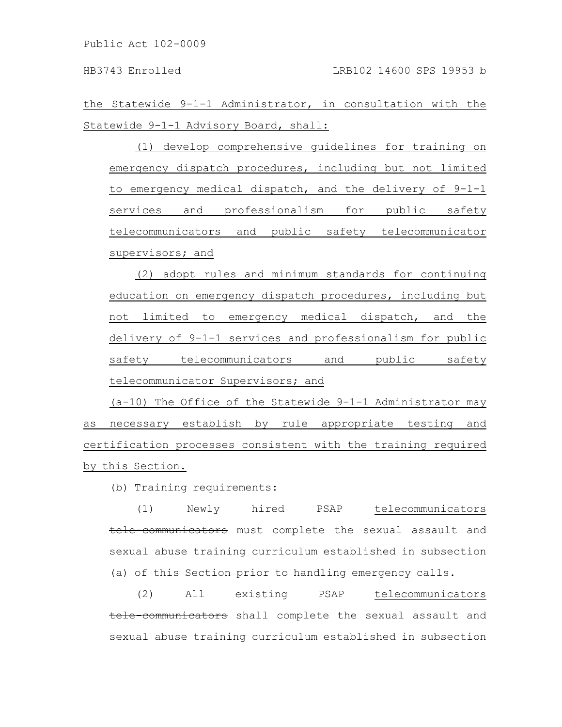the Statewide 9-1-1 Administrator, in consultation with the Statewide 9-1-1 Advisory Board, shall:

(1) develop comprehensive guidelines for training on emergency dispatch procedures, including but not limited to emergency medical dispatch, and the delivery of 9-1-1 services and professionalism for public safety telecommunicators and public safety telecommunicator supervisors; and

(2) adopt rules and minimum standards for continuing education on emergency dispatch procedures, including but not limited to emergency medical dispatch, and the delivery of 9-1-1 services and professionalism for public safety telecommunicators and public safety telecommunicator Supervisors; and

(a-10) The Office of the Statewide 9-1-1 Administrator may as necessary establish by rule appropriate testing and certification processes consistent with the training required by this Section.

(b) Training requirements:

(1) Newly hired PSAP telecommunicators tele-communicators must complete the sexual assault and sexual abuse training curriculum established in subsection (a) of this Section prior to handling emergency calls.

(2) All existing PSAP telecommunicators tele-communicators shall complete the sexual assault and sexual abuse training curriculum established in subsection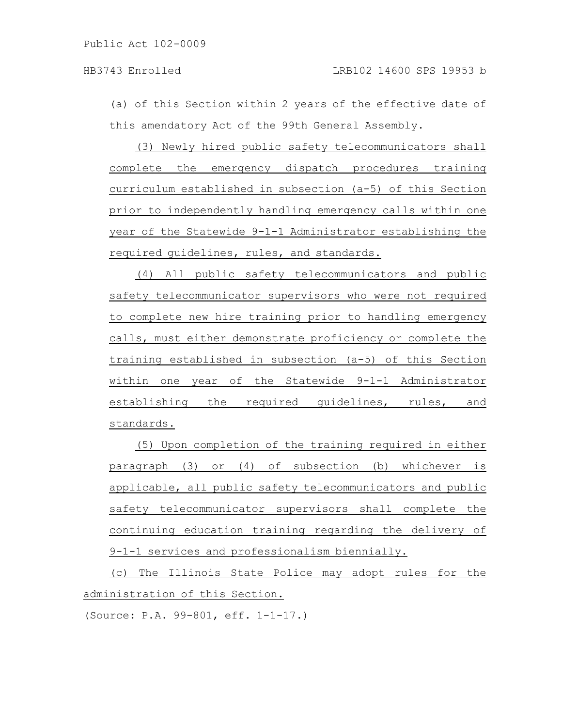(a) of this Section within 2 years of the effective date of this amendatory Act of the 99th General Assembly.

(3) Newly hired public safety telecommunicators shall complete the emergency dispatch procedures training curriculum established in subsection (a-5) of this Section prior to independently handling emergency calls within one year of the Statewide 9-1-1 Administrator establishing the required guidelines, rules, and standards.

(4) All public safety telecommunicators and public safety telecommunicator supervisors who were not required to complete new hire training prior to handling emergency calls, must either demonstrate proficiency or complete the training established in subsection (a-5) of this Section within one year of the Statewide 9-1-1 Administrator establishing the required guidelines, rules, and standards.

(5) Upon completion of the training required in either paragraph (3) or (4) of subsection (b) whichever is applicable, all public safety telecommunicators and public safety telecommunicator supervisors shall complete the continuing education training regarding the delivery of 9-1-1 services and professionalism biennially.

(c) The Illinois State Police may adopt rules for the administration of this Section.

(Source: P.A. 99-801, eff. 1-1-17.)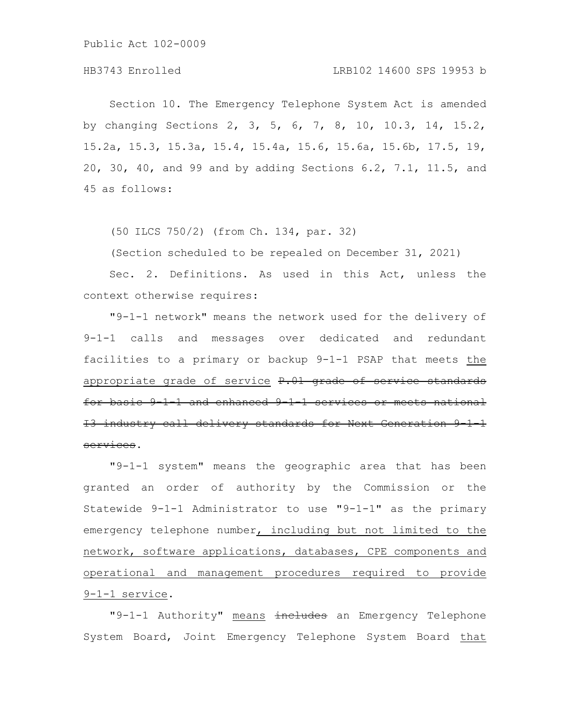## HB3743 Enrolled LRB102 14600 SPS 19953 b

Section 10. The Emergency Telephone System Act is amended by changing Sections 2, 3, 5, 6, 7, 8, 10, 10.3, 14, 15.2, 15.2a, 15.3, 15.3a, 15.4, 15.4a, 15.6, 15.6a, 15.6b, 17.5, 19, 20, 30, 40, and 99 and by adding Sections 6.2, 7.1, 11.5, and 45 as follows:

(50 ILCS 750/2) (from Ch. 134, par. 32)

(Section scheduled to be repealed on December 31, 2021)

Sec. 2. Definitions. As used in this Act, unless the context otherwise requires:

"9-1-1 network" means the network used for the delivery of 9-1-1 calls and messages over dedicated and redundant facilities to a primary or backup 9-1-1 PSAP that meets the appropriate grade of service P.01 grade of service standards for basic 9-1-1 and enhanced 9-1-1 services or meets national I3 industry call delivery standards for Next Generation services.

"9-1-1 system" means the geographic area that has been granted an order of authority by the Commission or the Statewide 9-1-1 Administrator to use "9-1-1" as the primary emergency telephone number, including but not limited to the network, software applications, databases, CPE components and operational and management procedures required to provide 9-1-1 service.

"9-1-1 Authority" means includes an Emergency Telephone System Board, Joint Emergency Telephone System Board that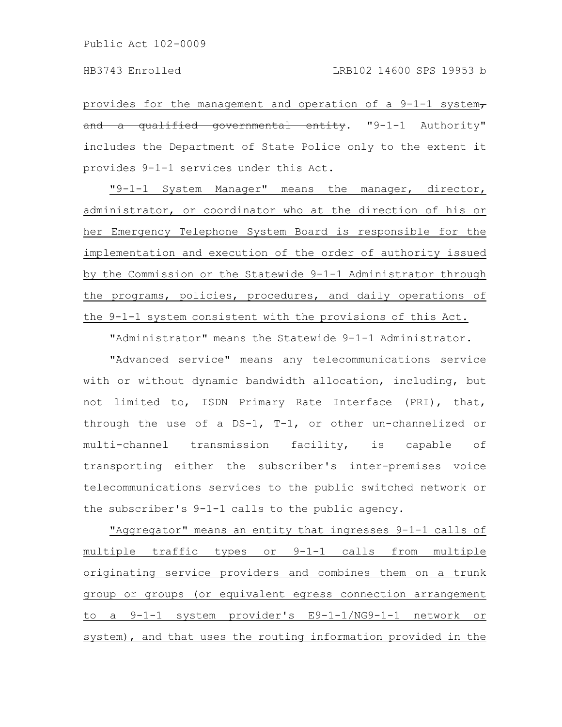provides for the management and operation of a  $9-1-1$  system, and a qualified governmental entity. "9-1-1 Authority" includes the Department of State Police only to the extent it provides 9-1-1 services under this Act.

"9-1-1 System Manager" means the manager, director, administrator, or coordinator who at the direction of his or her Emergency Telephone System Board is responsible for the implementation and execution of the order of authority issued by the Commission or the Statewide 9-1-1 Administrator through the programs, policies, procedures, and daily operations of the 9-1-1 system consistent with the provisions of this Act.

"Administrator" means the Statewide 9-1-1 Administrator.

"Advanced service" means any telecommunications service with or without dynamic bandwidth allocation, including, but not limited to, ISDN Primary Rate Interface (PRI), that, through the use of a DS-1, T-1, or other un-channelized or multi-channel transmission facility, is capable of transporting either the subscriber's inter-premises voice telecommunications services to the public switched network or the subscriber's 9-1-1 calls to the public agency.

"Aggregator" means an entity that ingresses 9-1-1 calls of multiple traffic types or 9-1-1 calls from multiple originating service providers and combines them on a trunk group or groups (or equivalent egress connection arrangement to a 9-1-1 system provider's E9-1-1/NG9-1-1 network or system), and that uses the routing information provided in the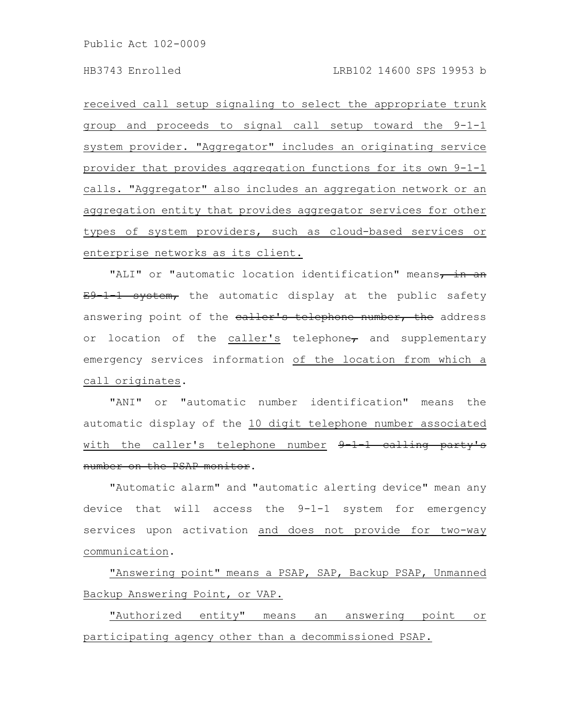received call setup signaling to select the appropriate trunk group and proceeds to signal call setup toward the 9-1-1 system provider. "Aggregator" includes an originating service provider that provides aggregation functions for its own 9-1-1 calls. "Aggregator" also includes an aggregation network or an aggregation entity that provides aggregator services for other types of system providers, such as cloud-based services or enterprise networks as its client.

"ALI" or "automatic location identification" means, in an E9 1 1 system, the automatic display at the public safety answering point of the ealler's telephone number, the address or location of the caller's telephone $_{\tau}$  and supplementary emergency services information of the location from which a call originates.

"ANI" or "automatic number identification" means the automatic display of the 10 digit telephone number associated with the caller's telephone number  $9\text{--}1\text{--}1$  calling party's number on the PSAP monitor.

"Automatic alarm" and "automatic alerting device" mean any device that will access the 9-1-1 system for emergency services upon activation and does not provide for two-way communication.

"Answering point" means a PSAP, SAP, Backup PSAP, Unmanned Backup Answering Point, or VAP.

"Authorized entity" means an answering point or participating agency other than a decommissioned PSAP.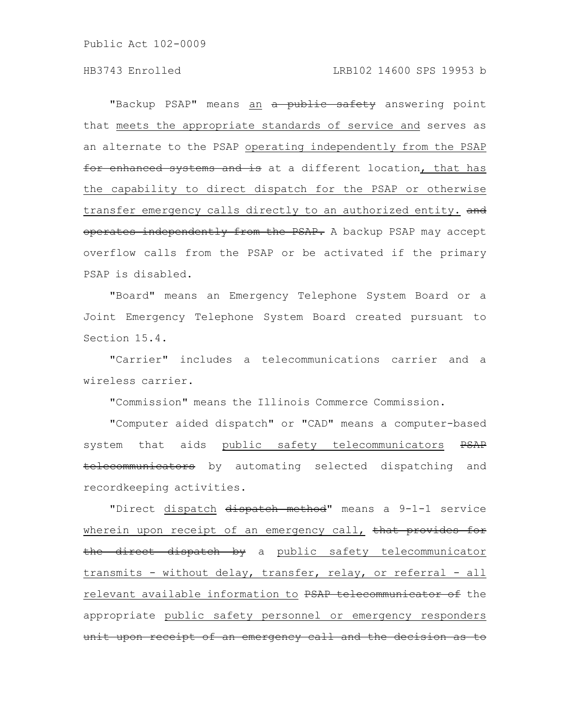"Backup PSAP" means an a public safety answering point that meets the appropriate standards of service and serves as an alternate to the PSAP operating independently from the PSAP for enhanced systems and is at a different location, that has the capability to direct dispatch for the PSAP or otherwise transfer emergency calls directly to an authorized entity. and operates independently from the PSAP. A backup PSAP may accept overflow calls from the PSAP or be activated if the primary PSAP is disabled.

"Board" means an Emergency Telephone System Board or a Joint Emergency Telephone System Board created pursuant to Section 15.4.

"Carrier" includes a telecommunications carrier and a wireless carrier.

"Commission" means the Illinois Commerce Commission.

"Computer aided dispatch" or "CAD" means a computer-based system that aids public safety telecommunicators PSAP telecommunicators by automating selected dispatching and recordkeeping activities.

"Direct dispatch dispatch method" means a 9-1-1 service wherein upon receipt of an emergency call, that provides for the direct dispatch by a public safety telecommunicator transmits - without delay, transfer, relay, or referral - all relevant available information to PSAP telecommunicator of the appropriate public safety personnel or emergency responders unit upon receipt of an emergency call and the decision as to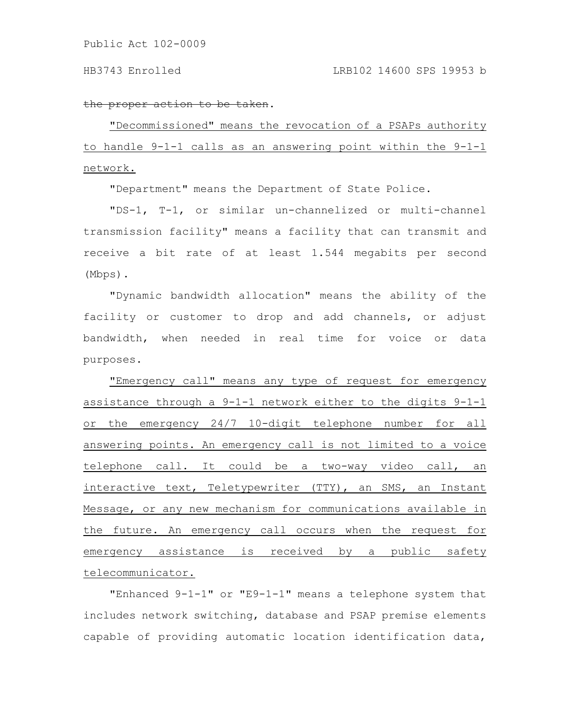#### the proper action to be taken.

"Decommissioned" means the revocation of a PSAPs authority to handle 9-1-1 calls as an answering point within the 9-1-1 network.

"Department" means the Department of State Police.

"DS-1, T-1, or similar un-channelized or multi-channel transmission facility" means a facility that can transmit and receive a bit rate of at least 1.544 megabits per second (Mbps).

"Dynamic bandwidth allocation" means the ability of the facility or customer to drop and add channels, or adjust bandwidth, when needed in real time for voice or data purposes.

"Emergency call" means any type of request for emergency assistance through a 9-1-1 network either to the digits 9-1-1 or the emergency 24/7 10-digit telephone number for all answering points. An emergency call is not limited to a voice telephone call. It could be a two-way video call, an interactive text, Teletypewriter (TTY), an SMS, an Instant Message, or any new mechanism for communications available in the future. An emergency call occurs when the request for emergency assistance is received by a public safety telecommunicator.

"Enhanced 9-1-1" or "E9-1-1" means a telephone system that includes network switching, database and PSAP premise elements capable of providing automatic location identification data,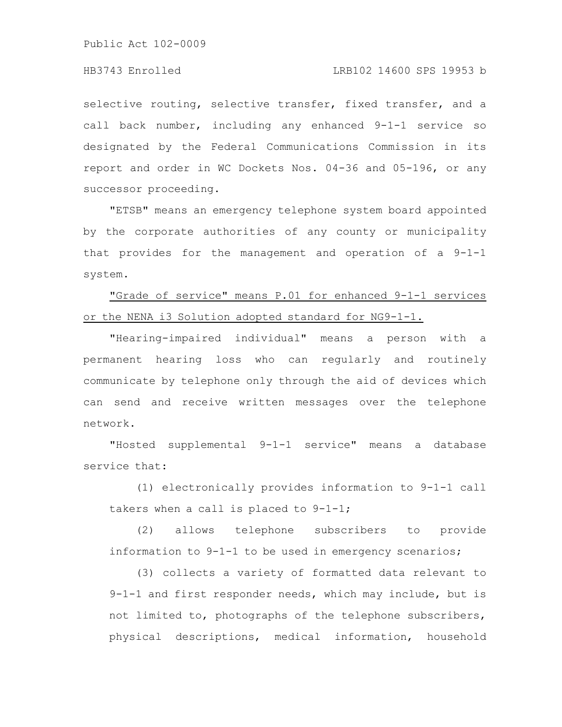selective routing, selective transfer, fixed transfer, and a call back number, including any enhanced 9-1-1 service so designated by the Federal Communications Commission in its report and order in WC Dockets Nos. 04-36 and 05-196, or any successor proceeding.

"ETSB" means an emergency telephone system board appointed by the corporate authorities of any county or municipality that provides for the management and operation of a 9-1-1 system.

"Grade of service" means P.01 for enhanced 9-1-1 services or the NENA i3 Solution adopted standard for NG9-1-1.

"Hearing-impaired individual" means a person with a permanent hearing loss who can regularly and routinely communicate by telephone only through the aid of devices which can send and receive written messages over the telephone network.

"Hosted supplemental 9-1-1 service" means a database service that:

(1) electronically provides information to 9-1-1 call takers when a call is placed to 9-1-1;

(2) allows telephone subscribers to provide information to 9-1-1 to be used in emergency scenarios;

(3) collects a variety of formatted data relevant to 9-1-1 and first responder needs, which may include, but is not limited to, photographs of the telephone subscribers, physical descriptions, medical information, household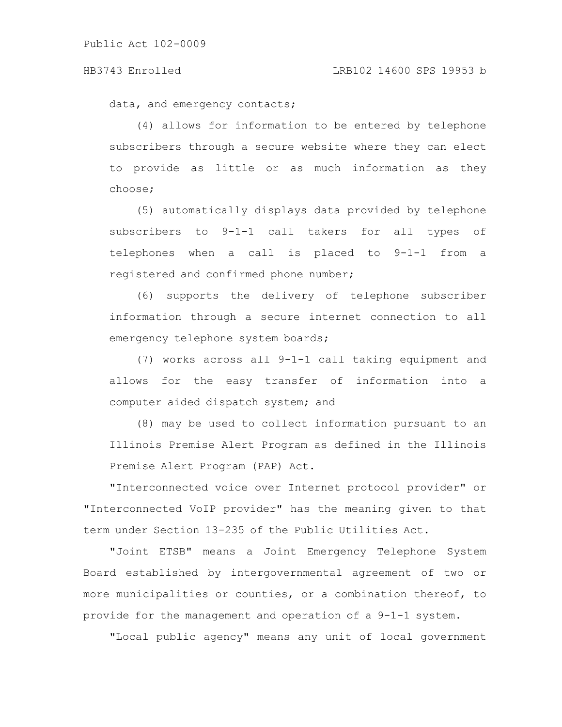#### HB3743 Enrolled LRB102 14600 SPS 19953 b

data, and emergency contacts;

(4) allows for information to be entered by telephone subscribers through a secure website where they can elect to provide as little or as much information as they choose;

(5) automatically displays data provided by telephone subscribers to 9-1-1 call takers for all types of telephones when a call is placed to 9-1-1 from a registered and confirmed phone number;

(6) supports the delivery of telephone subscriber information through a secure internet connection to all emergency telephone system boards;

(7) works across all 9-1-1 call taking equipment and allows for the easy transfer of information into a computer aided dispatch system; and

(8) may be used to collect information pursuant to an Illinois Premise Alert Program as defined in the Illinois Premise Alert Program (PAP) Act.

"Interconnected voice over Internet protocol provider" or "Interconnected VoIP provider" has the meaning given to that term under Section 13-235 of the Public Utilities Act.

"Joint ETSB" means a Joint Emergency Telephone System Board established by intergovernmental agreement of two or more municipalities or counties, or a combination thereof, to provide for the management and operation of a 9-1-1 system.

"Local public agency" means any unit of local government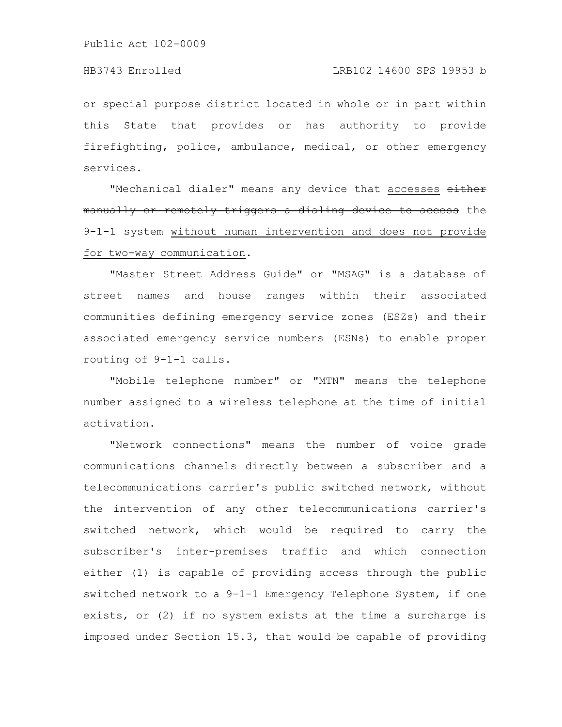## HB3743 Enrolled LRB102 14600 SPS 19953 b

or special purpose district located in whole or in part within this State that provides or has authority to provide firefighting, police, ambulance, medical, or other emergency services.

"Mechanical dialer" means any device that accesses either manually or remotely triggers a dialing device to access the 9-1-1 system without human intervention and does not provide for two-way communication.

"Master Street Address Guide" or "MSAG" is a database of street names and house ranges within their associated communities defining emergency service zones (ESZs) and their associated emergency service numbers (ESNs) to enable proper routing of 9-1-1 calls.

"Mobile telephone number" or "MTN" means the telephone number assigned to a wireless telephone at the time of initial activation.

"Network connections" means the number of voice grade communications channels directly between a subscriber and a telecommunications carrier's public switched network, without the intervention of any other telecommunications carrier's switched network, which would be required to carry the subscriber's inter-premises traffic and which connection either (1) is capable of providing access through the public switched network to a 9-1-1 Emergency Telephone System, if one exists, or (2) if no system exists at the time a surcharge is imposed under Section 15.3, that would be capable of providing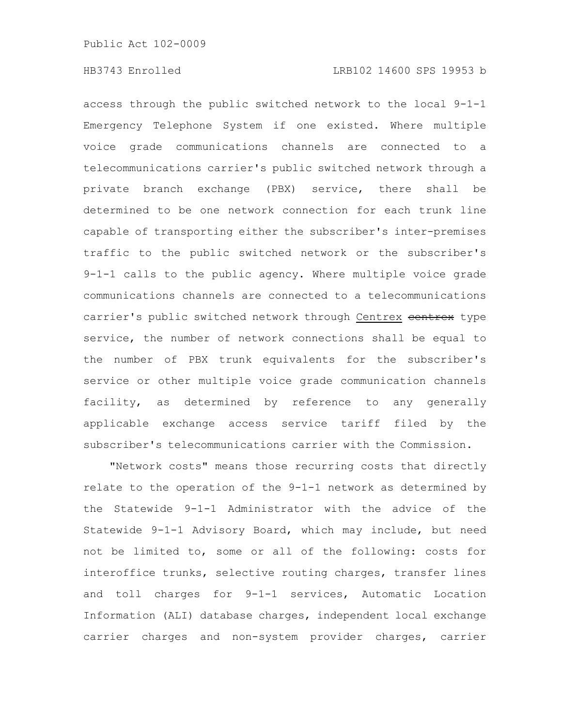access through the public switched network to the local 9-1-1 Emergency Telephone System if one existed. Where multiple voice grade communications channels are connected to a telecommunications carrier's public switched network through a private branch exchange (PBX) service, there shall be determined to be one network connection for each trunk line capable of transporting either the subscriber's inter-premises traffic to the public switched network or the subscriber's 9-1-1 calls to the public agency. Where multiple voice grade communications channels are connected to a telecommunications carrier's public switched network through Centrex centrex type service, the number of network connections shall be equal to the number of PBX trunk equivalents for the subscriber's service or other multiple voice grade communication channels facility, as determined by reference to any generally applicable exchange access service tariff filed by the subscriber's telecommunications carrier with the Commission.

"Network costs" means those recurring costs that directly relate to the operation of the 9-1-1 network as determined by the Statewide 9-1-1 Administrator with the advice of the Statewide 9-1-1 Advisory Board, which may include, but need not be limited to, some or all of the following: costs for interoffice trunks, selective routing charges, transfer lines and toll charges for 9-1-1 services, Automatic Location Information (ALI) database charges, independent local exchange carrier charges and non-system provider charges, carrier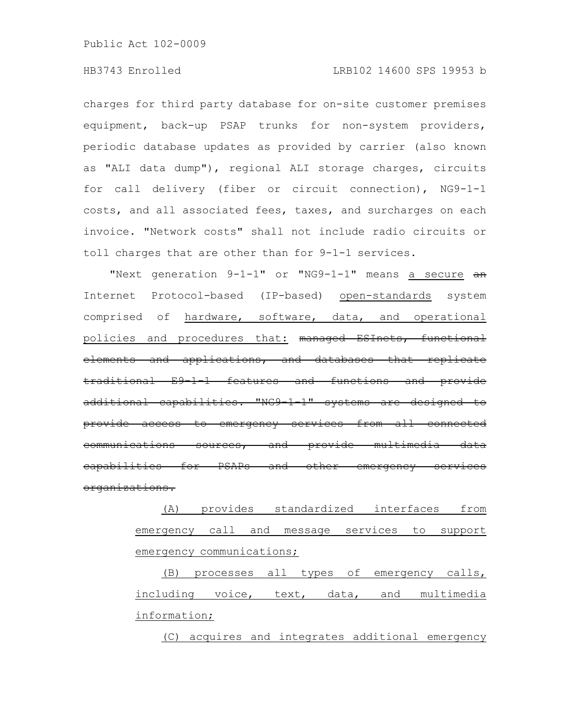### HB3743 Enrolled LRB102 14600 SPS 19953 b

charges for third party database for on-site customer premises equipment, back-up PSAP trunks for non-system providers, periodic database updates as provided by carrier (also known as "ALI data dump"), regional ALI storage charges, circuits for call delivery (fiber or circuit connection), NG9-1-1 costs, and all associated fees, taxes, and surcharges on each invoice. "Network costs" shall not include radio circuits or toll charges that are other than for 9-1-1 services.

"Next generation 9-1-1" or "NG9-1-1" means a secure an Internet Protocol-based (IP-based) open-standards system comprised of hardware, software, data, and operational policies and procedures that: managed ESInets, functional elements and applications, and databases that replicate traditional E9-1-1 features and functions and provide additional capabilities. "NG9-1-1" systems are designed to provide access to emergency services from all communications sources, and provide multimedia data for PSAPs and other organizations.

> (A) provides standardized interfaces from emergency call and message services to support emergency communications;

> (B) processes all types of emergency calls, including voice, text, data, and multimedia information;

(C) acquires and integrates additional emergency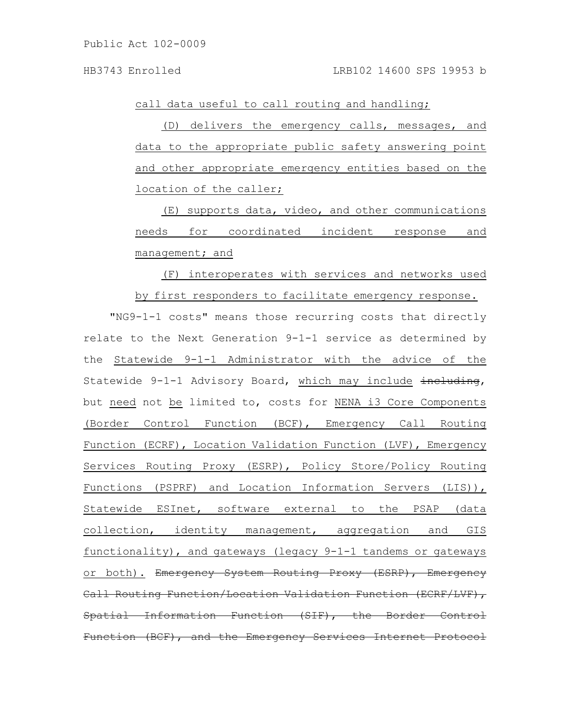call data useful to call routing and handling;

(D) delivers the emergency calls, messages, and data to the appropriate public safety answering point and other appropriate emergency entities based on the location of the caller;

(E) supports data, video, and other communications needs for coordinated incident response and management; and

(F) interoperates with services and networks used by first responders to facilitate emergency response.

"NG9-1-1 costs" means those recurring costs that directly relate to the Next Generation 9-1-1 service as determined by the Statewide 9-1-1 Administrator with the advice of the Statewide 9-1-1 Advisory Board, which may include including, but need not be limited to, costs for NENA i3 Core Components (Border Control Function (BCF), Emergency Call Routing Function (ECRF), Location Validation Function (LVF), Emergency Services Routing Proxy (ESRP), Policy Store/Policy Routing Functions (PSPRF) and Location Information Servers (LIS)), Statewide ESInet, software external to the PSAP (data collection, identity management, aggregation and GIS functionality), and gateways (legacy 9-1-1 tandems or gateways or both). Emergency System Routing Proxy (ESRP), Emergency Call Routing Function/Location Validation Function (ECRF/LVF), Spatial Information Function (SIF), the Border Function (BCF), and the Emergency Services Internet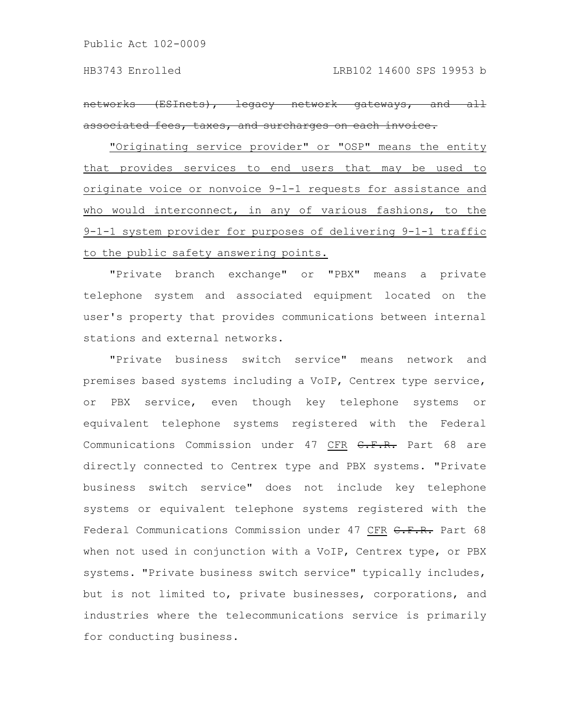networks (ESInets), legacy network gateways, and all associated fees, taxes, and surcharges on each invoice.

"Originating service provider" or "OSP" means the entity that provides services to end users that may be used to originate voice or nonvoice 9-1-1 requests for assistance and who would interconnect, in any of various fashions, to the 9-1-1 system provider for purposes of delivering 9-1-1 traffic to the public safety answering points.

"Private branch exchange" or "PBX" means a private telephone system and associated equipment located on the user's property that provides communications between internal stations and external networks.

"Private business switch service" means network and premises based systems including a VoIP, Centrex type service, or PBX service, even though key telephone systems or equivalent telephone systems registered with the Federal Communications Commission under 47 CFR C.F.R. Part 68 are directly connected to Centrex type and PBX systems. "Private business switch service" does not include key telephone systems or equivalent telephone systems registered with the Federal Communications Commission under 47 CFR C.F.R. Part 68 when not used in conjunction with a VoIP, Centrex type, or PBX systems. "Private business switch service" typically includes, but is not limited to, private businesses, corporations, and industries where the telecommunications service is primarily for conducting business.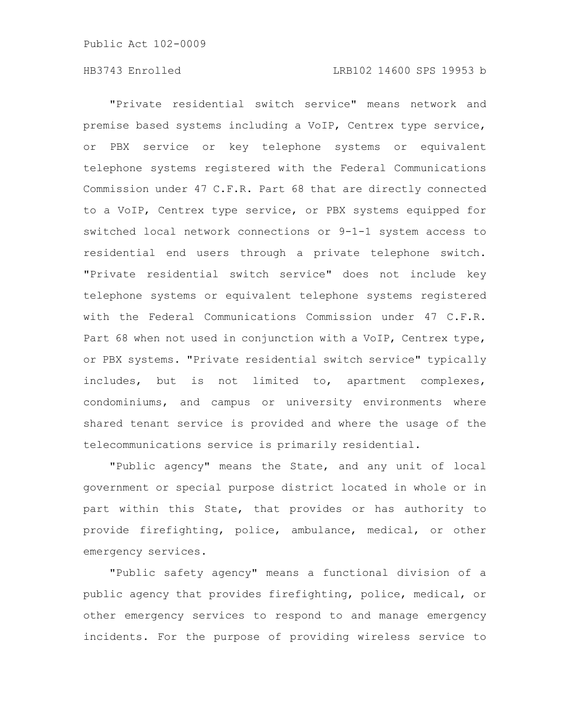#### HB3743 Enrolled LRB102 14600 SPS 19953 b

"Private residential switch service" means network and premise based systems including a VoIP, Centrex type service, or PBX service or key telephone systems or equivalent telephone systems registered with the Federal Communications Commission under 47 C.F.R. Part 68 that are directly connected to a VoIP, Centrex type service, or PBX systems equipped for switched local network connections or 9-1-1 system access to residential end users through a private telephone switch. "Private residential switch service" does not include key telephone systems or equivalent telephone systems registered with the Federal Communications Commission under 47 C.F.R. Part 68 when not used in conjunction with a VoIP, Centrex type, or PBX systems. "Private residential switch service" typically includes, but is not limited to, apartment complexes, condominiums, and campus or university environments where shared tenant service is provided and where the usage of the telecommunications service is primarily residential.

"Public agency" means the State, and any unit of local government or special purpose district located in whole or in part within this State, that provides or has authority to provide firefighting, police, ambulance, medical, or other emergency services.

"Public safety agency" means a functional division of a public agency that provides firefighting, police, medical, or other emergency services to respond to and manage emergency incidents. For the purpose of providing wireless service to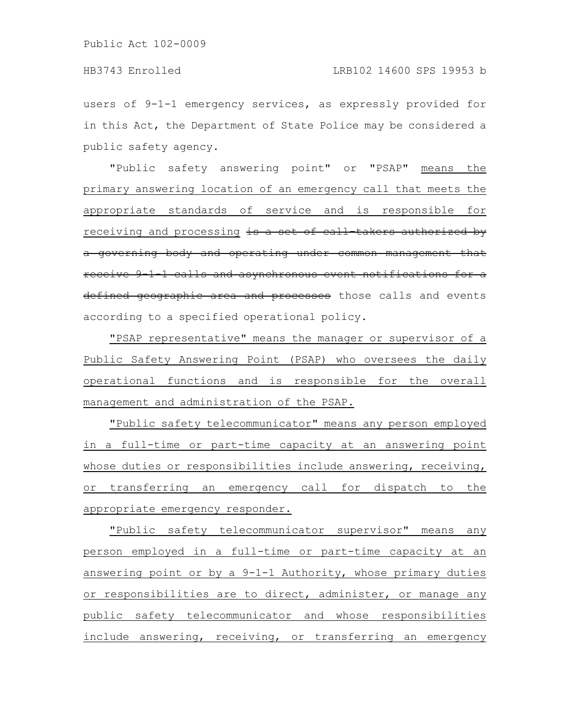users of 9-1-1 emergency services, as expressly provided for in this Act, the Department of State Police may be considered a public safety agency.

"Public safety answering point" or "PSAP" means the primary answering location of an emergency call that meets the appropriate standards of service and is responsible for receiving and processing is a set of call takers authorized by a governing body and operating under common management receive 9-1-1-calls and asynchronous event notifications for a defined geographic area and processes those calls and events according to a specified operational policy.

"PSAP representative" means the manager or supervisor of a Public Safety Answering Point (PSAP) who oversees the daily operational functions and is responsible for the overall management and administration of the PSAP.

"Public safety telecommunicator" means any person employed in a full-time or part-time capacity at an answering point whose duties or responsibilities include answering, receiving, or transferring an emergency call for dispatch to the appropriate emergency responder.

"Public safety telecommunicator supervisor" means any person employed in a full-time or part-time capacity at an answering point or by a 9-1-1 Authority, whose primary duties or responsibilities are to direct, administer, or manage any public safety telecommunicator and whose responsibilities include answering, receiving, or transferring an emergency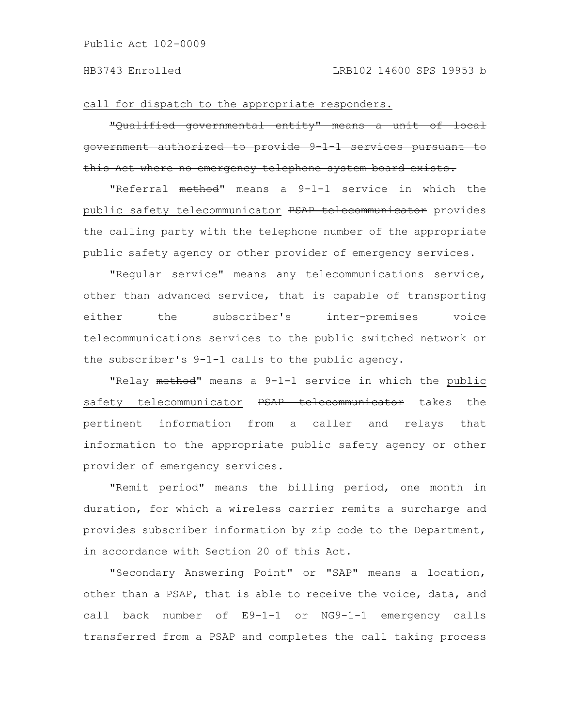call for dispatch to the appropriate responders.

"Qualified governmental entity" means a unit of local government authorized to provide 9-1-1 services pursuant to this Act where no emergency telephone system board

"Referral method" means a 9-1-1 service in which the public safety telecommunicator PSAP telecommunicator provides the calling party with the telephone number of the appropriate public safety agency or other provider of emergency services.

"Regular service" means any telecommunications service, other than advanced service, that is capable of transporting either the subscriber's inter-premises voice telecommunications services to the public switched network or the subscriber's 9-1-1 calls to the public agency.

"Relay method" means a 9-1-1 service in which the public safety telecommunicator PSAP telecommunicator takes the pertinent information from a caller and relays that information to the appropriate public safety agency or other provider of emergency services.

"Remit period" means the billing period, one month in duration, for which a wireless carrier remits a surcharge and provides subscriber information by zip code to the Department, in accordance with Section 20 of this Act.

"Secondary Answering Point" or "SAP" means a location, other than a PSAP, that is able to receive the voice, data, and call back number of E9-1-1 or NG9-1-1 emergency calls transferred from a PSAP and completes the call taking process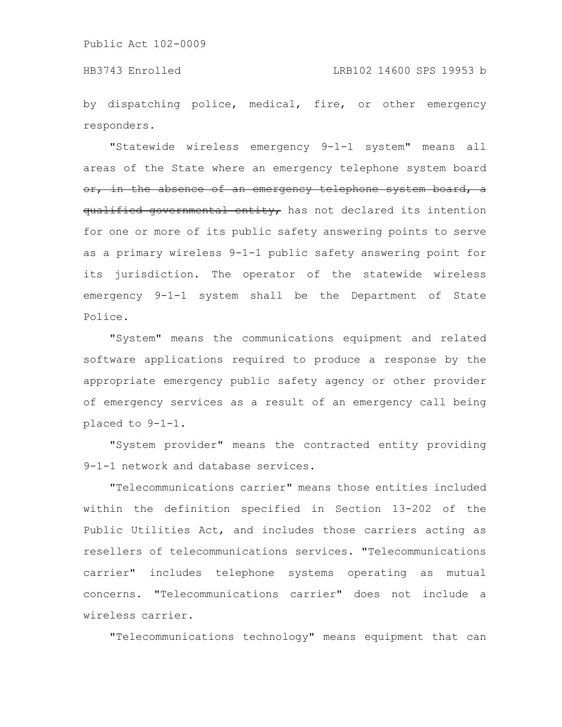by dispatching police, medical, fire, or other emergency responders.

"Statewide wireless emergency 9-1-1 system" means all areas of the State where an emergency telephone system board or, in the absence of an emergency telephone system board, a qualified governmental entity, has not declared its intention for one or more of its public safety answering points to serve as a primary wireless 9-1-1 public safety answering point for its jurisdiction. The operator of the statewide wireless emergency 9-1-1 system shall be the Department of State Police.

"System" means the communications equipment and related software applications required to produce a response by the appropriate emergency public safety agency or other provider of emergency services as a result of an emergency call being placed to 9-1-1.

"System provider" means the contracted entity providing 9-1-1 network and database services.

"Telecommunications carrier" means those entities included within the definition specified in Section 13-202 of the Public Utilities Act, and includes those carriers acting as resellers of telecommunications services. "Telecommunications carrier" includes telephone systems operating as mutual concerns. "Telecommunications carrier" does not include a wireless carrier.

"Telecommunications technology" means equipment that can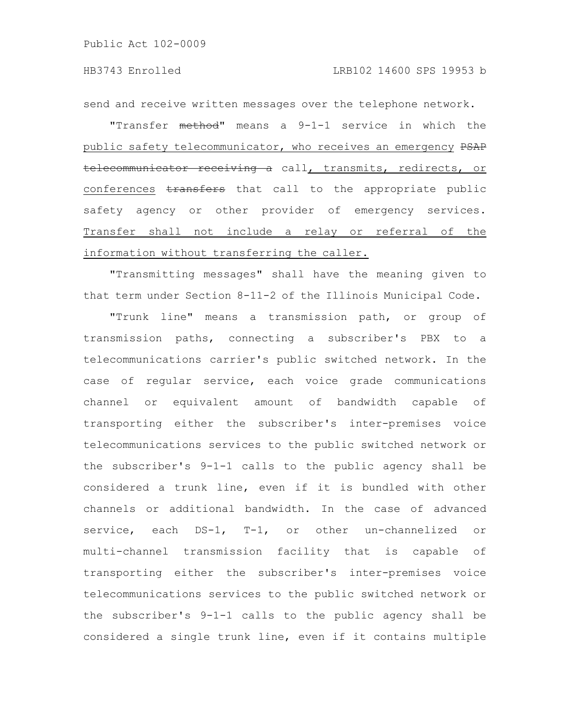send and receive written messages over the telephone network.

"Transfer method" means a 9-1-1 service in which the public safety telecommunicator, who receives an emergency PSAP telecommunicator receiving a call, transmits, redirects, or conferences transfers that call to the appropriate public safety agency or other provider of emergency services. Transfer shall not include a relay or referral of the information without transferring the caller.

"Transmitting messages" shall have the meaning given to that term under Section 8-11-2 of the Illinois Municipal Code.

"Trunk line" means a transmission path, or group of transmission paths, connecting a subscriber's PBX to a telecommunications carrier's public switched network. In the case of regular service, each voice grade communications channel or equivalent amount of bandwidth capable of transporting either the subscriber's inter-premises voice telecommunications services to the public switched network or the subscriber's 9-1-1 calls to the public agency shall be considered a trunk line, even if it is bundled with other channels or additional bandwidth. In the case of advanced service, each DS-1, T-1, or other un-channelized or multi-channel transmission facility that is capable of transporting either the subscriber's inter-premises voice telecommunications services to the public switched network or the subscriber's 9-1-1 calls to the public agency shall be considered a single trunk line, even if it contains multiple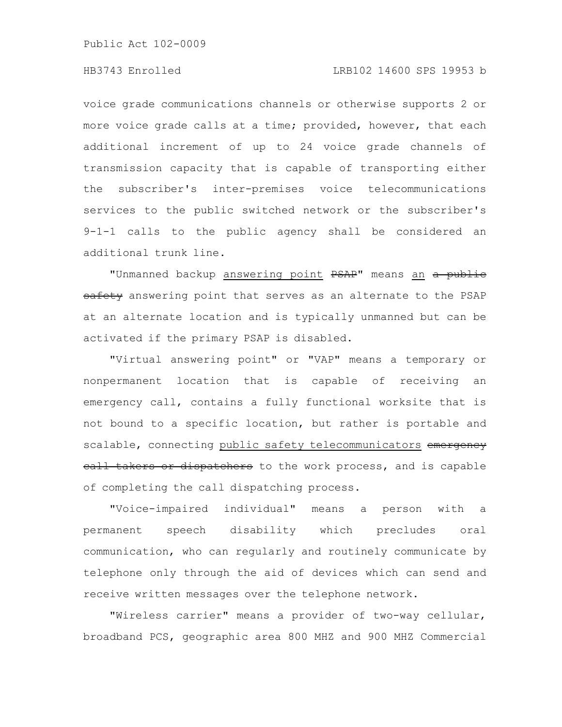## HB3743 Enrolled LRB102 14600 SPS 19953 b

voice grade communications channels or otherwise supports 2 or more voice grade calls at a time; provided, however, that each additional increment of up to 24 voice grade channels of transmission capacity that is capable of transporting either the subscriber's inter-premises voice telecommunications services to the public switched network or the subscriber's 9-1-1 calls to the public agency shall be considered an additional trunk line.

"Unmanned backup answering point PSAP" means an a public safety answering point that serves as an alternate to the PSAP at an alternate location and is typically unmanned but can be activated if the primary PSAP is disabled.

"Virtual answering point" or "VAP" means a temporary or nonpermanent location that is capable of receiving an emergency call, contains a fully functional worksite that is not bound to a specific location, but rather is portable and scalable, connecting public safety telecommunicators emergency eall takers or dispatchers to the work process, and is capable of completing the call dispatching process.

"Voice-impaired individual" means a person with a permanent speech disability which precludes oral communication, who can regularly and routinely communicate by telephone only through the aid of devices which can send and receive written messages over the telephone network.

"Wireless carrier" means a provider of two-way cellular, broadband PCS, geographic area 800 MHZ and 900 MHZ Commercial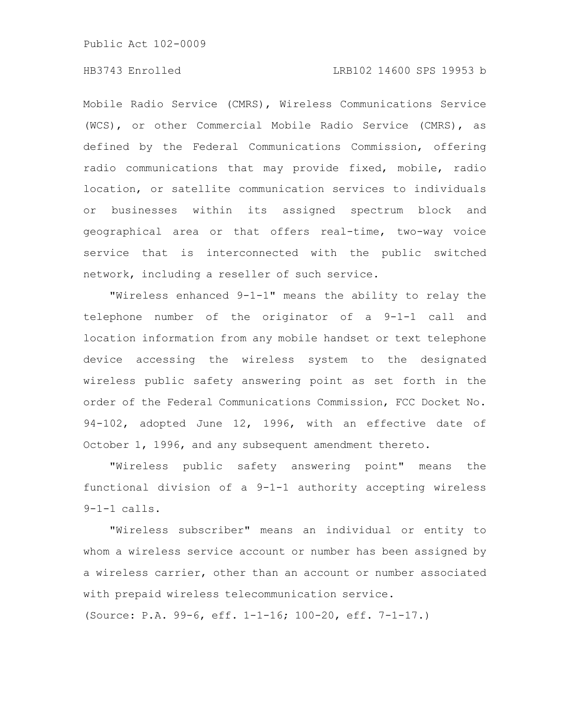### HB3743 Enrolled LRB102 14600 SPS 19953 b

Mobile Radio Service (CMRS), Wireless Communications Service (WCS), or other Commercial Mobile Radio Service (CMRS), as defined by the Federal Communications Commission, offering radio communications that may provide fixed, mobile, radio location, or satellite communication services to individuals or businesses within its assigned spectrum block and geographical area or that offers real-time, two-way voice service that is interconnected with the public switched network, including a reseller of such service.

"Wireless enhanced 9-1-1" means the ability to relay the telephone number of the originator of a 9-1-1 call and location information from any mobile handset or text telephone device accessing the wireless system to the designated wireless public safety answering point as set forth in the order of the Federal Communications Commission, FCC Docket No. 94-102, adopted June 12, 1996, with an effective date of October 1, 1996, and any subsequent amendment thereto.

"Wireless public safety answering point" means the functional division of a 9-1-1 authority accepting wireless 9-1-1 calls.

"Wireless subscriber" means an individual or entity to whom a wireless service account or number has been assigned by a wireless carrier, other than an account or number associated with prepaid wireless telecommunication service.

(Source: P.A. 99-6, eff. 1-1-16; 100-20, eff. 7-1-17.)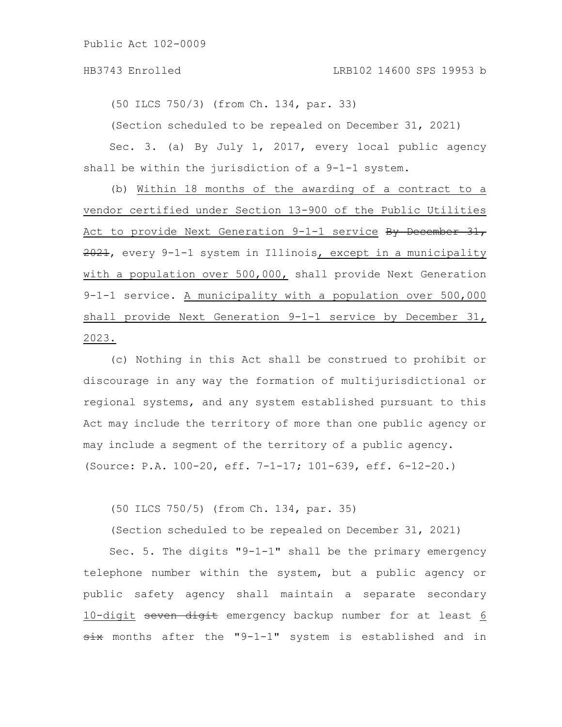#### HB3743 Enrolled LRB102 14600 SPS 19953 b

(50 ILCS 750/3) (from Ch. 134, par. 33)

(Section scheduled to be repealed on December 31, 2021)

Sec. 3. (a) By July 1, 2017, every local public agency shall be within the jurisdiction of a 9-1-1 system.

(b) Within 18 months of the awarding of a contract to a vendor certified under Section 13-900 of the Public Utilities Act to provide Next Generation 9-1-1 service By December 31, 2021, every 9-1-1 system in Illinois, except in a municipality with a population over 500,000, shall provide Next Generation 9-1-1 service. A municipality with a population over 500,000 shall provide Next Generation 9-1-1 service by December 31, 2023.

(c) Nothing in this Act shall be construed to prohibit or discourage in any way the formation of multijurisdictional or regional systems, and any system established pursuant to this Act may include the territory of more than one public agency or may include a segment of the territory of a public agency. (Source: P.A. 100-20, eff. 7-1-17; 101-639, eff. 6-12-20.)

(50 ILCS 750/5) (from Ch. 134, par. 35)

(Section scheduled to be repealed on December 31, 2021)

Sec. 5. The digits "9-1-1" shall be the primary emergency telephone number within the system, but a public agency or public safety agency shall maintain a separate secondary 10-digit seven digit emergency backup number for at least 6 six months after the "9-1-1" system is established and in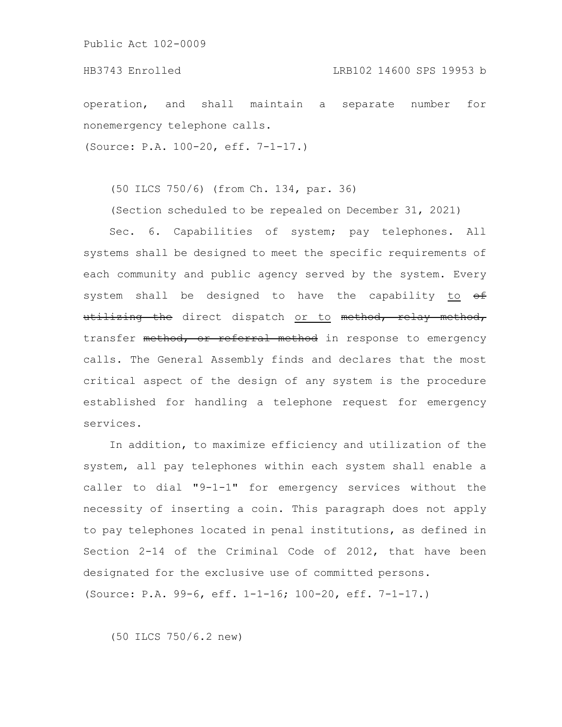operation, and shall maintain a separate number for nonemergency telephone calls.

(Source: P.A. 100-20, eff. 7-1-17.)

(50 ILCS 750/6) (from Ch. 134, par. 36)

(Section scheduled to be repealed on December 31, 2021)

Sec. 6. Capabilities of system; pay telephones. All systems shall be designed to meet the specific requirements of each community and public agency served by the system. Every system shall be designed to have the capability to  $\Theta$ utilizing the direct dispatch or to method, relay method, transfer method, or referral method in response to emergency calls. The General Assembly finds and declares that the most critical aspect of the design of any system is the procedure established for handling a telephone request for emergency services.

In addition, to maximize efficiency and utilization of the system, all pay telephones within each system shall enable a caller to dial "9-1-1" for emergency services without the necessity of inserting a coin. This paragraph does not apply to pay telephones located in penal institutions, as defined in Section 2-14 of the Criminal Code of 2012, that have been designated for the exclusive use of committed persons. (Source: P.A. 99-6, eff. 1-1-16; 100-20, eff. 7-1-17.)

(50 ILCS 750/6.2 new)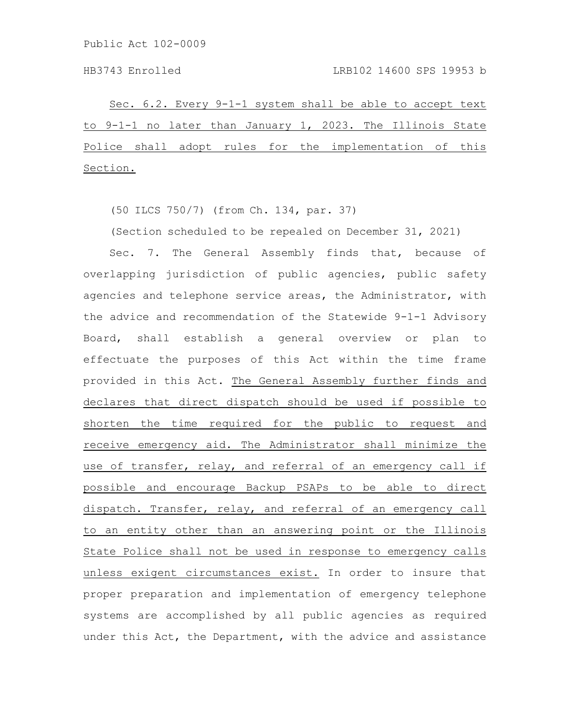Sec. 6.2. Every 9-1-1 system shall be able to accept text to 9-1-1 no later than January 1, 2023. The Illinois State Police shall adopt rules for the implementation of this Section.

(50 ILCS 750/7) (from Ch. 134, par. 37)

(Section scheduled to be repealed on December 31, 2021)

Sec. 7. The General Assembly finds that, because of overlapping jurisdiction of public agencies, public safety agencies and telephone service areas, the Administrator, with the advice and recommendation of the Statewide 9-1-1 Advisory Board, shall establish a general overview or plan to effectuate the purposes of this Act within the time frame provided in this Act. The General Assembly further finds and declares that direct dispatch should be used if possible to shorten the time required for the public to request and receive emergency aid. The Administrator shall minimize the use of transfer, relay, and referral of an emergency call if possible and encourage Backup PSAPs to be able to direct dispatch. Transfer, relay, and referral of an emergency call to an entity other than an answering point or the Illinois State Police shall not be used in response to emergency calls unless exigent circumstances exist. In order to insure that proper preparation and implementation of emergency telephone systems are accomplished by all public agencies as required under this Act, the Department, with the advice and assistance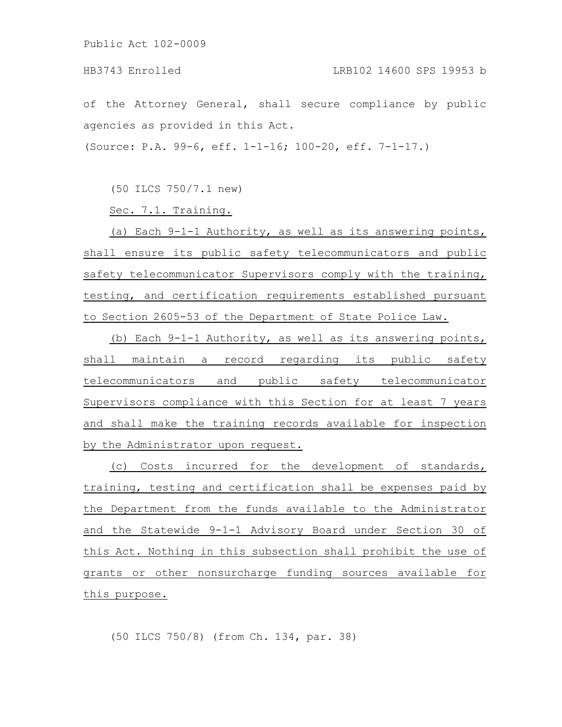of the Attorney General, shall secure compliance by public agencies as provided in this Act.

(Source: P.A. 99-6, eff. 1-1-16; 100-20, eff. 7-1-17.)

(50 ILCS 750/7.1 new)

Sec. 7.1. Training.

(a) Each 9-1-1 Authority, as well as its answering points, shall ensure its public safety telecommunicators and public safety telecommunicator Supervisors comply with the training, testing, and certification requirements established pursuant to Section 2605-53 of the Department of State Police Law.

(b) Each 9-1-1 Authority, as well as its answering points, shall maintain a record regarding its public safety telecommunicators and public safety telecommunicator Supervisors compliance with this Section for at least 7 years and shall make the training records available for inspection by the Administrator upon request.

(c) Costs incurred for the development of standards, training, testing and certification shall be expenses paid by the Department from the funds available to the Administrator and the Statewide 9-1-1 Advisory Board under Section 30 of this Act. Nothing in this subsection shall prohibit the use of grants or other nonsurcharge funding sources available for this purpose.

(50 ILCS 750/8) (from Ch. 134, par. 38)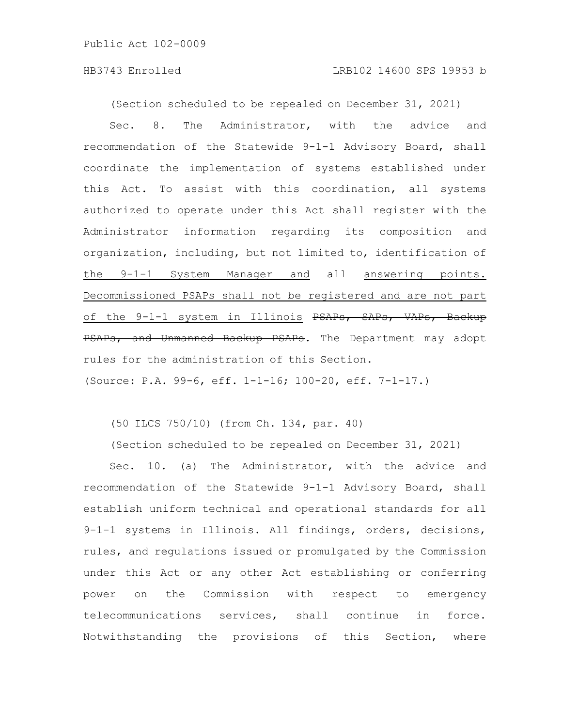(Section scheduled to be repealed on December 31, 2021)

Sec. 8. The Administrator, with the advice and recommendation of the Statewide 9-1-1 Advisory Board, shall coordinate the implementation of systems established under this Act. To assist with this coordination, all systems authorized to operate under this Act shall register with the Administrator information regarding its composition and organization, including, but not limited to, identification of the 9-1-1 System Manager and all answering points. Decommissioned PSAPs shall not be registered and are not part of the 9-1-1 system in Illinois PSAPs, SAPs, VAPs, Backup PSAPs, and Unmanned Backup PSAPs. The Department may adopt rules for the administration of this Section.

(Source: P.A. 99-6, eff. 1-1-16; 100-20, eff. 7-1-17.)

(50 ILCS 750/10) (from Ch. 134, par. 40)

(Section scheduled to be repealed on December 31, 2021)

Sec. 10. (a) The Administrator, with the advice and recommendation of the Statewide 9-1-1 Advisory Board, shall establish uniform technical and operational standards for all 9-1-1 systems in Illinois. All findings, orders, decisions, rules, and regulations issued or promulgated by the Commission under this Act or any other Act establishing or conferring power on the Commission with respect to emergency telecommunications services, shall continue in force. Notwithstanding the provisions of this Section, where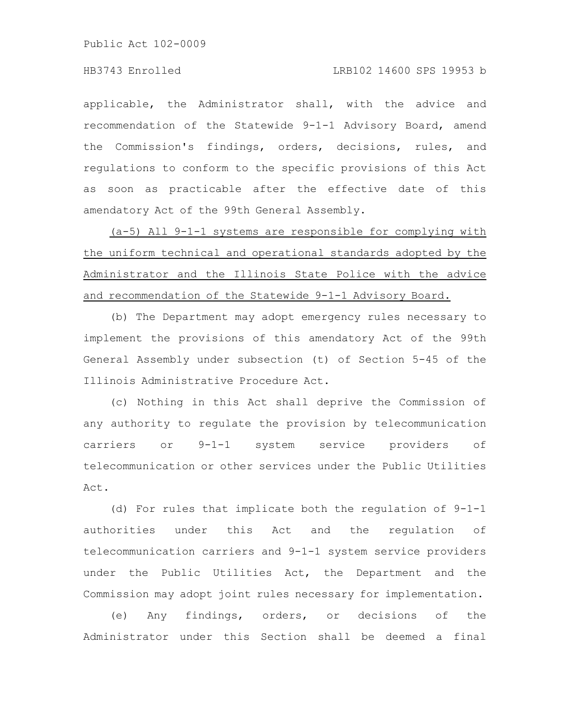applicable, the Administrator shall, with the advice and recommendation of the Statewide 9-1-1 Advisory Board, amend the Commission's findings, orders, decisions, rules, and regulations to conform to the specific provisions of this Act as soon as practicable after the effective date of this amendatory Act of the 99th General Assembly.

(a-5) All 9-1-1 systems are responsible for complying with the uniform technical and operational standards adopted by the Administrator and the Illinois State Police with the advice and recommendation of the Statewide 9-1-1 Advisory Board.

(b) The Department may adopt emergency rules necessary to implement the provisions of this amendatory Act of the 99th General Assembly under subsection (t) of Section 5-45 of the Illinois Administrative Procedure Act.

(c) Nothing in this Act shall deprive the Commission of any authority to regulate the provision by telecommunication carriers or 9-1-1 system service providers of telecommunication or other services under the Public Utilities Act.

(d) For rules that implicate both the regulation of 9-1-1 authorities under this Act and the regulation of telecommunication carriers and 9-1-1 system service providers under the Public Utilities Act, the Department and the Commission may adopt joint rules necessary for implementation.

(e) Any findings, orders, or decisions of the Administrator under this Section shall be deemed a final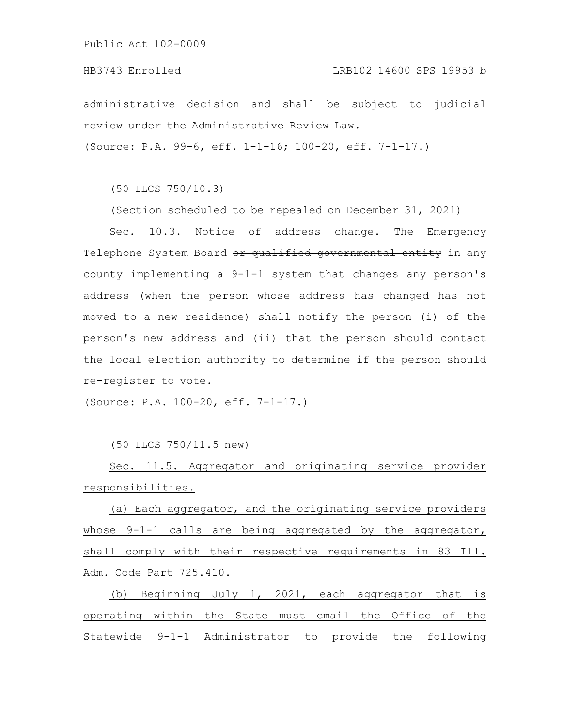administrative decision and shall be subject to judicial review under the Administrative Review Law.

(Source: P.A. 99-6, eff. 1-1-16; 100-20, eff. 7-1-17.)

(50 ILCS 750/10.3)

(Section scheduled to be repealed on December 31, 2021)

Sec. 10.3. Notice of address change. The Emergency Telephone System Board or qualified governmental entity in any county implementing a 9-1-1 system that changes any person's address (when the person whose address has changed has not moved to a new residence) shall notify the person (i) of the person's new address and (ii) that the person should contact the local election authority to determine if the person should re-register to vote.

(Source: P.A. 100-20, eff. 7-1-17.)

(50 ILCS 750/11.5 new)

Sec. 11.5. Aggregator and originating service provider responsibilities.

(a) Each aggregator, and the originating service providers whose 9-1-1 calls are being aggregated by the aggregator, shall comply with their respective requirements in 83 Ill. Adm. Code Part 725.410.

(b) Beginning July 1, 2021, each aggregator that is operating within the State must email the Office of the Statewide 9-1-1 Administrator to provide the following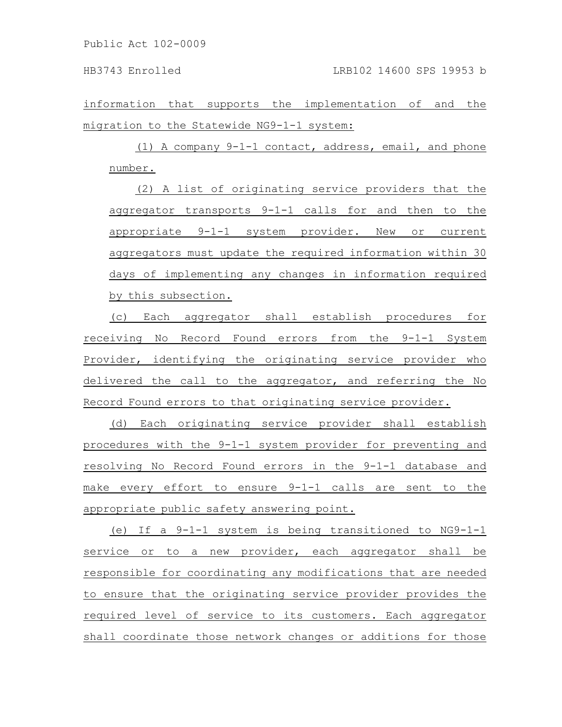information that supports the implementation of and the migration to the Statewide NG9-1-1 system:

(1) A company 9-1-1 contact, address, email, and phone number.

(2) A list of originating service providers that the aggregator transports 9-1-1 calls for and then to the appropriate 9-1-1 system provider. New or current aggregators must update the required information within 30 days of implementing any changes in information required by this subsection.

(c) Each aggregator shall establish procedures for receiving No Record Found errors from the 9-1-1 System Provider, identifying the originating service provider who delivered the call to the aggregator, and referring the No Record Found errors to that originating service provider.

(d) Each originating service provider shall establish procedures with the 9-1-1 system provider for preventing and resolving No Record Found errors in the 9-1-1 database and make every effort to ensure 9-1-1 calls are sent to the appropriate public safety answering point.

(e) If a 9-1-1 system is being transitioned to NG9-1-1 service or to a new provider, each aggregator shall be responsible for coordinating any modifications that are needed to ensure that the originating service provider provides the required level of service to its customers. Each aggregator shall coordinate those network changes or additions for those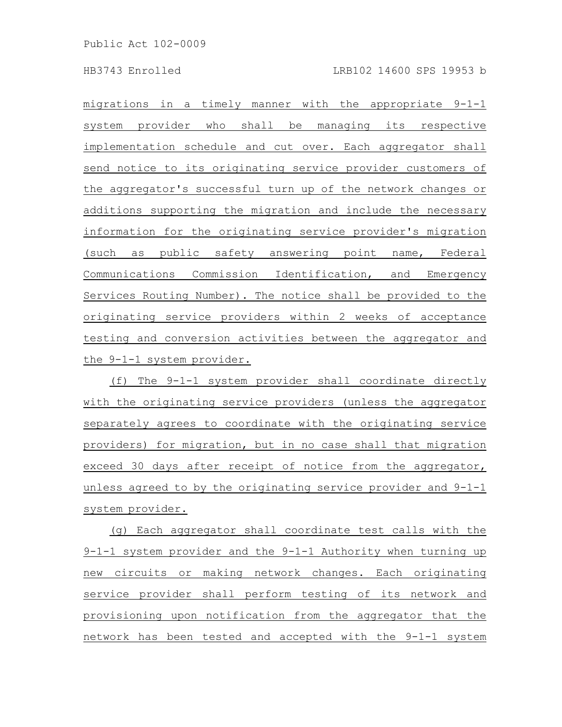migrations in a timely manner with the appropriate 9-1-1 system provider who shall be managing its respective implementation schedule and cut over. Each aggregator shall send notice to its originating service provider customers of the aggregator's successful turn up of the network changes or additions supporting the migration and include the necessary information for the originating service provider's migration (such as public safety answering point name, Federal Communications Commission Identification, and Emergency Services Routing Number). The notice shall be provided to the originating service providers within 2 weeks of acceptance testing and conversion activities between the aggregator and the 9-1-1 system provider.

(f) The 9-1-1 system provider shall coordinate directly with the originating service providers (unless the aggregator separately agrees to coordinate with the originating service providers) for migration, but in no case shall that migration exceed 30 days after receipt of notice from the aggregator, unless agreed to by the originating service provider and 9-1-1 system provider.

(g) Each aggregator shall coordinate test calls with the 9-1-1 system provider and the 9-1-1 Authority when turning up new circuits or making network changes. Each originating service provider shall perform testing of its network and provisioning upon notification from the aggregator that the network has been tested and accepted with the 9-1-1 system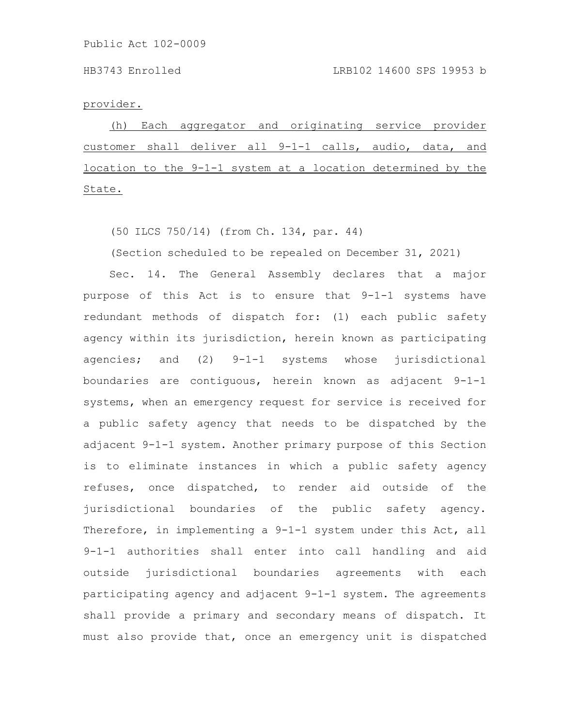#### provider.

(h) Each aggregator and originating service provider customer shall deliver all 9-1-1 calls, audio, data, and location to the 9-1-1 system at a location determined by the State.

(50 ILCS 750/14) (from Ch. 134, par. 44)

(Section scheduled to be repealed on December 31, 2021)

Sec. 14. The General Assembly declares that a major purpose of this Act is to ensure that 9-1-1 systems have redundant methods of dispatch for: (1) each public safety agency within its jurisdiction, herein known as participating agencies; and (2) 9-1-1 systems whose jurisdictional boundaries are contiguous, herein known as adjacent 9-1-1 systems, when an emergency request for service is received for a public safety agency that needs to be dispatched by the adjacent 9-1-1 system. Another primary purpose of this Section is to eliminate instances in which a public safety agency refuses, once dispatched, to render aid outside of the jurisdictional boundaries of the public safety agency. Therefore, in implementing a 9-1-1 system under this Act, all 9-1-1 authorities shall enter into call handling and aid outside jurisdictional boundaries agreements with each participating agency and adjacent 9-1-1 system. The agreements shall provide a primary and secondary means of dispatch. It must also provide that, once an emergency unit is dispatched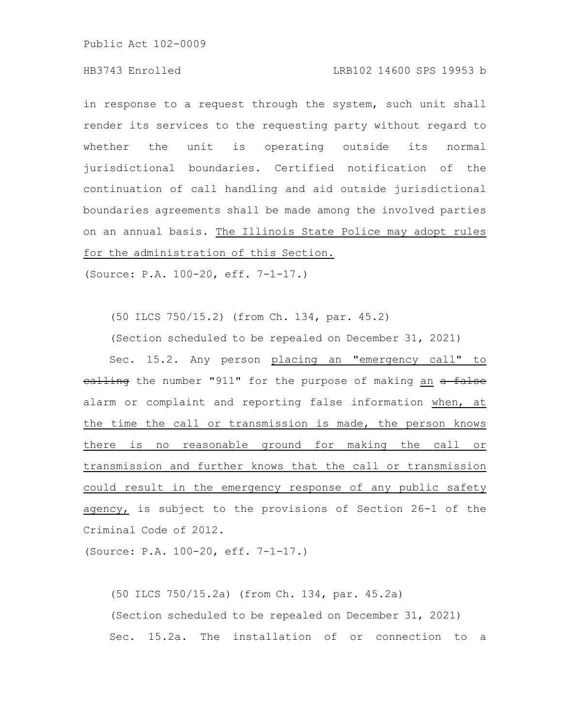### HB3743 Enrolled LRB102 14600 SPS 19953 b

in response to a request through the system, such unit shall render its services to the requesting party without regard to whether the unit is operating outside its normal jurisdictional boundaries. Certified notification of the continuation of call handling and aid outside jurisdictional boundaries agreements shall be made among the involved parties on an annual basis. The Illinois State Police may adopt rules for the administration of this Section.

(Source: P.A. 100-20, eff. 7-1-17.)

(50 ILCS 750/15.2) (from Ch. 134, par. 45.2)

(Section scheduled to be repealed on December 31, 2021)

Sec. 15.2. Any person placing an "emergency call" to ealling the number "911" for the purpose of making an a false alarm or complaint and reporting false information when, at the time the call or transmission is made, the person knows there is no reasonable ground for making the call or transmission and further knows that the call or transmission could result in the emergency response of any public safety agency, is subject to the provisions of Section 26-1 of the Criminal Code of 2012.

(Source: P.A. 100-20, eff. 7-1-17.)

(50 ILCS 750/15.2a) (from Ch. 134, par. 45.2a) (Section scheduled to be repealed on December 31, 2021) Sec. 15.2a. The installation of or connection to a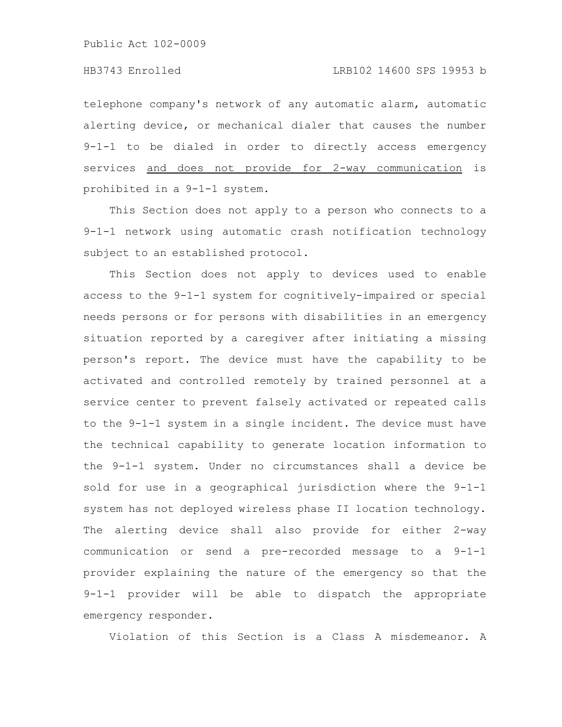telephone company's network of any automatic alarm, automatic alerting device, or mechanical dialer that causes the number 9-1-1 to be dialed in order to directly access emergency services and does not provide for 2-way communication is prohibited in a 9-1-1 system.

This Section does not apply to a person who connects to a 9-1-1 network using automatic crash notification technology subject to an established protocol.

This Section does not apply to devices used to enable access to the 9-1-1 system for cognitively-impaired or special needs persons or for persons with disabilities in an emergency situation reported by a caregiver after initiating a missing person's report. The device must have the capability to be activated and controlled remotely by trained personnel at a service center to prevent falsely activated or repeated calls to the 9-1-1 system in a single incident. The device must have the technical capability to generate location information to the 9-1-1 system. Under no circumstances shall a device be sold for use in a geographical jurisdiction where the 9-1-1 system has not deployed wireless phase II location technology. The alerting device shall also provide for either 2-way communication or send a pre-recorded message to a 9-1-1 provider explaining the nature of the emergency so that the 9-1-1 provider will be able to dispatch the appropriate emergency responder.

Violation of this Section is a Class A misdemeanor. A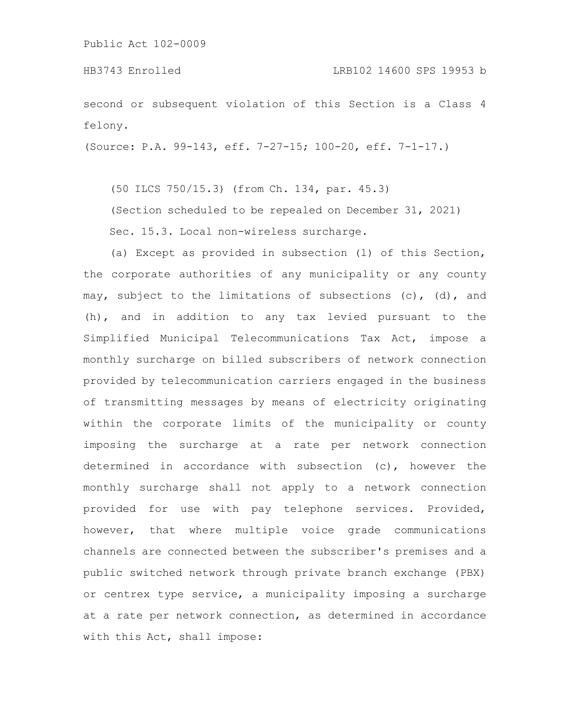HB3743 Enrolled LRB102 14600 SPS 19953 b

second or subsequent violation of this Section is a Class 4 felony.

(Source: P.A. 99-143, eff. 7-27-15; 100-20, eff. 7-1-17.)

(50 ILCS 750/15.3) (from Ch. 134, par. 45.3)

(Section scheduled to be repealed on December 31, 2021) Sec. 15.3. Local non-wireless surcharge.

(a) Except as provided in subsection (l) of this Section, the corporate authorities of any municipality or any county may, subject to the limitations of subsections (c), (d), and (h), and in addition to any tax levied pursuant to the Simplified Municipal Telecommunications Tax Act, impose a monthly surcharge on billed subscribers of network connection provided by telecommunication carriers engaged in the business of transmitting messages by means of electricity originating within the corporate limits of the municipality or county imposing the surcharge at a rate per network connection determined in accordance with subsection (c), however the monthly surcharge shall not apply to a network connection provided for use with pay telephone services. Provided, however, that where multiple voice grade communications channels are connected between the subscriber's premises and a public switched network through private branch exchange (PBX) or centrex type service, a municipality imposing a surcharge at a rate per network connection, as determined in accordance with this Act, shall impose: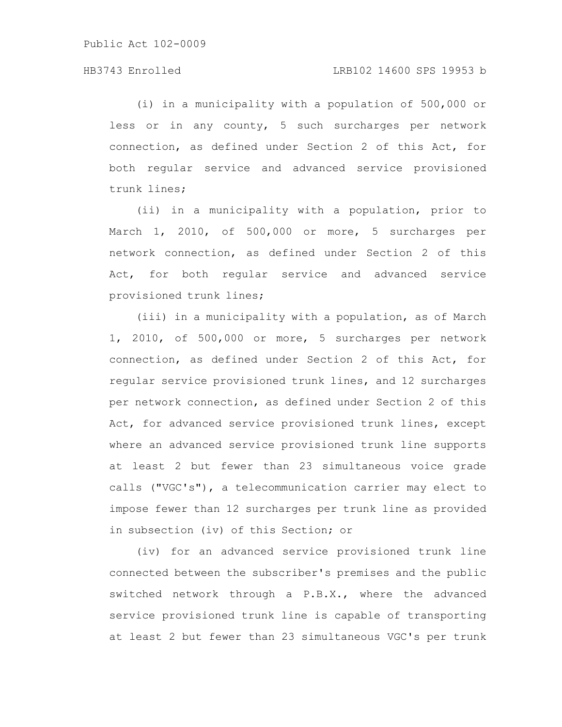(i) in a municipality with a population of 500,000 or less or in any county, 5 such surcharges per network connection, as defined under Section 2 of this Act, for both regular service and advanced service provisioned trunk lines;

(ii) in a municipality with a population, prior to March 1, 2010, of 500,000 or more, 5 surcharges per network connection, as defined under Section 2 of this Act, for both regular service and advanced service provisioned trunk lines;

(iii) in a municipality with a population, as of March 1, 2010, of 500,000 or more, 5 surcharges per network connection, as defined under Section 2 of this Act, for regular service provisioned trunk lines, and 12 surcharges per network connection, as defined under Section 2 of this Act, for advanced service provisioned trunk lines, except where an advanced service provisioned trunk line supports at least 2 but fewer than 23 simultaneous voice grade calls ("VGC's"), a telecommunication carrier may elect to impose fewer than 12 surcharges per trunk line as provided in subsection (iv) of this Section; or

(iv) for an advanced service provisioned trunk line connected between the subscriber's premises and the public switched network through a P.B.X., where the advanced service provisioned trunk line is capable of transporting at least 2 but fewer than 23 simultaneous VGC's per trunk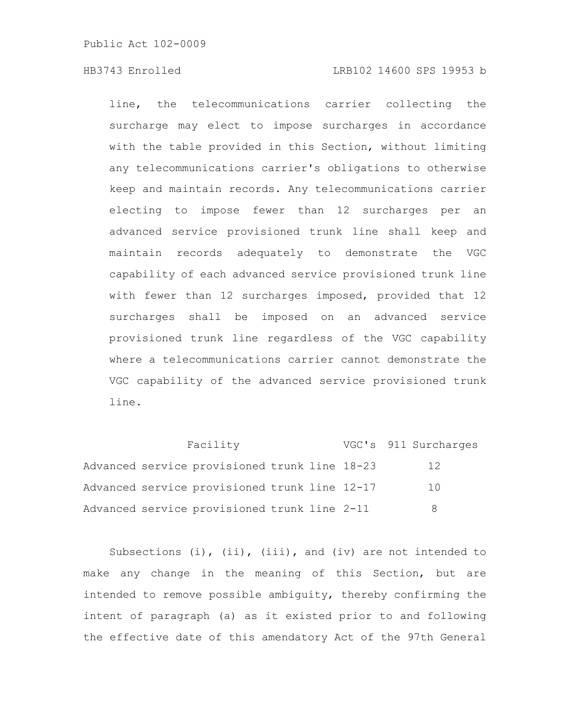# HB3743 Enrolled LRB102 14600 SPS 19953 b

line, the telecommunications carrier collecting the surcharge may elect to impose surcharges in accordance with the table provided in this Section, without limiting any telecommunications carrier's obligations to otherwise keep and maintain records. Any telecommunications carrier electing to impose fewer than 12 surcharges per an advanced service provisioned trunk line shall keep and maintain records adequately to demonstrate the VGC capability of each advanced service provisioned trunk line with fewer than 12 surcharges imposed, provided that 12 surcharges shall be imposed on an advanced service provisioned trunk line regardless of the VGC capability where a telecommunications carrier cannot demonstrate the VGC capability of the advanced service provisioned trunk line.

Facility **VGC's** 911 Surcharges Advanced service provisioned trunk line 18-23 12 Advanced service provisioned trunk line 12-17 10 Advanced service provisioned trunk line 2-11 8

Subsections (i), (ii), (iii), and (iv) are not intended to make any change in the meaning of this Section, but are intended to remove possible ambiguity, thereby confirming the intent of paragraph (a) as it existed prior to and following the effective date of this amendatory Act of the 97th General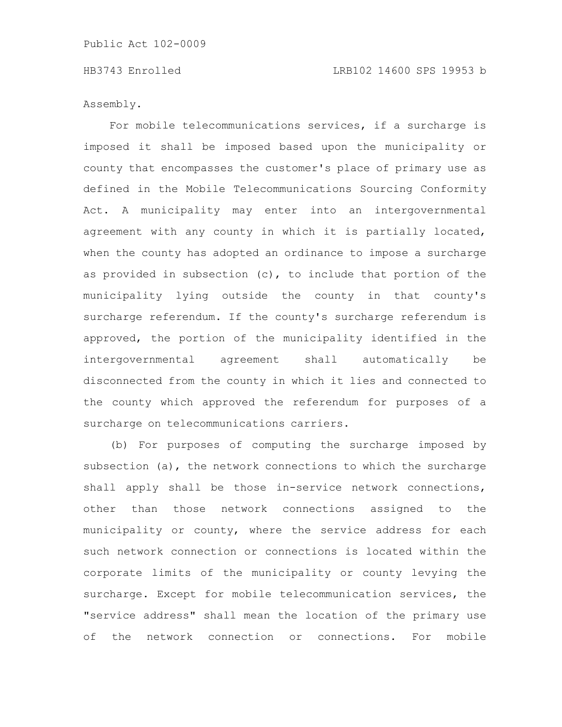Assembly.

For mobile telecommunications services, if a surcharge is imposed it shall be imposed based upon the municipality or county that encompasses the customer's place of primary use as defined in the Mobile Telecommunications Sourcing Conformity Act. A municipality may enter into an intergovernmental agreement with any county in which it is partially located, when the county has adopted an ordinance to impose a surcharge as provided in subsection (c), to include that portion of the municipality lying outside the county in that county's surcharge referendum. If the county's surcharge referendum is approved, the portion of the municipality identified in the intergovernmental agreement shall automatically be disconnected from the county in which it lies and connected to the county which approved the referendum for purposes of a surcharge on telecommunications carriers.

(b) For purposes of computing the surcharge imposed by subsection (a), the network connections to which the surcharge shall apply shall be those in-service network connections, other than those network connections assigned to the municipality or county, where the service address for each such network connection or connections is located within the corporate limits of the municipality or county levying the surcharge. Except for mobile telecommunication services, the "service address" shall mean the location of the primary use of the network connection or connections. For mobile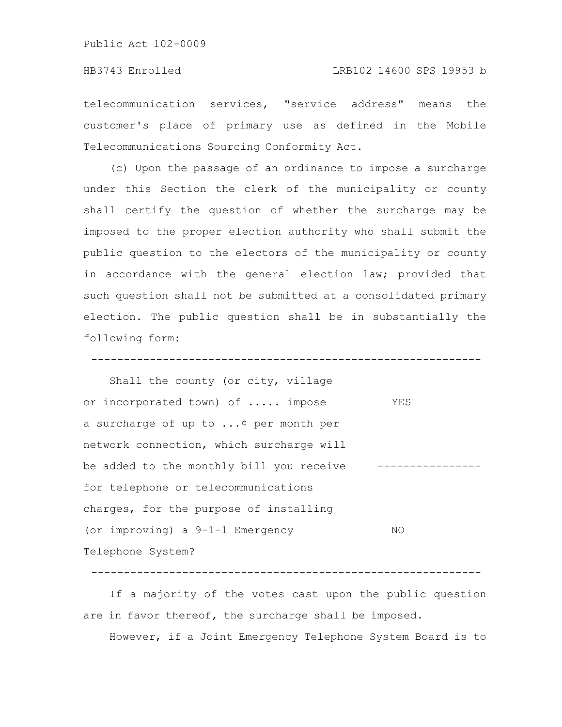telecommunication services, "service address" means the customer's place of primary use as defined in the Mobile Telecommunications Sourcing Conformity Act.

(c) Upon the passage of an ordinance to impose a surcharge under this Section the clerk of the municipality or county shall certify the question of whether the surcharge may be imposed to the proper election authority who shall submit the public question to the electors of the municipality or county in accordance with the general election law; provided that such question shall not be submitted at a consolidated primary election. The public question shall be in substantially the following form:

------------------------------------------------------------

Shall the county (or city, village or incorporated town) of ..... impose YES a surcharge of up to ...¢ per month per network connection, which surcharge will be added to the monthly bill you receive --------------for telephone or telecommunications charges, for the purpose of installing (or improving) a 9-1-1 Emergency NO Telephone System?

------------------------------------------------------------

If a majority of the votes cast upon the public question are in favor thereof, the surcharge shall be imposed.

However, if a Joint Emergency Telephone System Board is to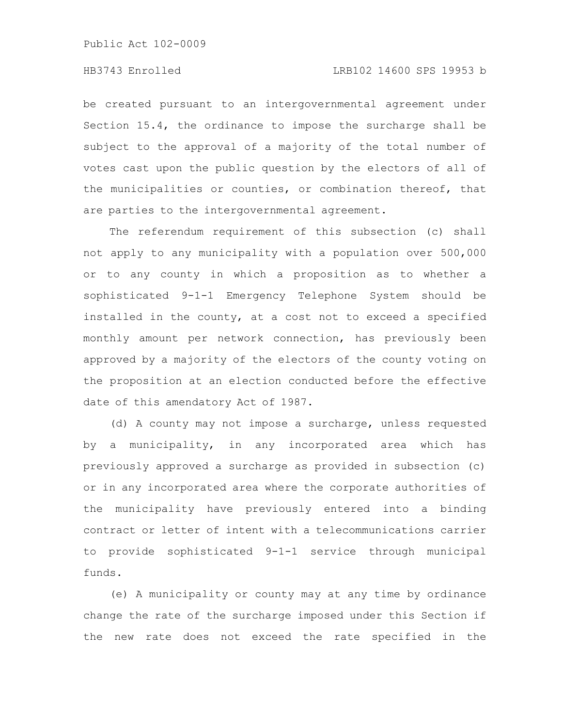be created pursuant to an intergovernmental agreement under Section 15.4, the ordinance to impose the surcharge shall be subject to the approval of a majority of the total number of votes cast upon the public question by the electors of all of the municipalities or counties, or combination thereof, that are parties to the intergovernmental agreement.

The referendum requirement of this subsection (c) shall not apply to any municipality with a population over 500,000 or to any county in which a proposition as to whether a sophisticated 9-1-1 Emergency Telephone System should be installed in the county, at a cost not to exceed a specified monthly amount per network connection, has previously been approved by a majority of the electors of the county voting on the proposition at an election conducted before the effective date of this amendatory Act of 1987.

(d) A county may not impose a surcharge, unless requested by a municipality, in any incorporated area which has previously approved a surcharge as provided in subsection (c) or in any incorporated area where the corporate authorities of the municipality have previously entered into a binding contract or letter of intent with a telecommunications carrier to provide sophisticated 9-1-1 service through municipal funds.

(e) A municipality or county may at any time by ordinance change the rate of the surcharge imposed under this Section if the new rate does not exceed the rate specified in the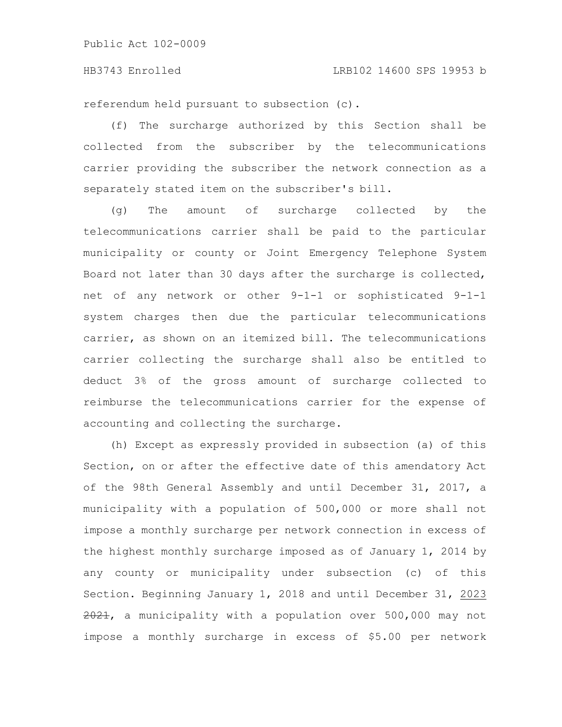referendum held pursuant to subsection (c).

(f) The surcharge authorized by this Section shall be collected from the subscriber by the telecommunications carrier providing the subscriber the network connection as a separately stated item on the subscriber's bill.

(g) The amount of surcharge collected by the telecommunications carrier shall be paid to the particular municipality or county or Joint Emergency Telephone System Board not later than 30 days after the surcharge is collected, net of any network or other 9-1-1 or sophisticated 9-1-1 system charges then due the particular telecommunications carrier, as shown on an itemized bill. The telecommunications carrier collecting the surcharge shall also be entitled to deduct 3% of the gross amount of surcharge collected to reimburse the telecommunications carrier for the expense of accounting and collecting the surcharge.

(h) Except as expressly provided in subsection (a) of this Section, on or after the effective date of this amendatory Act of the 98th General Assembly and until December 31, 2017, a municipality with a population of 500,000 or more shall not impose a monthly surcharge per network connection in excess of the highest monthly surcharge imposed as of January 1, 2014 by any county or municipality under subsection (c) of this Section. Beginning January 1, 2018 and until December 31, 2023  $2021$ , a municipality with a population over 500,000 may not impose a monthly surcharge in excess of \$5.00 per network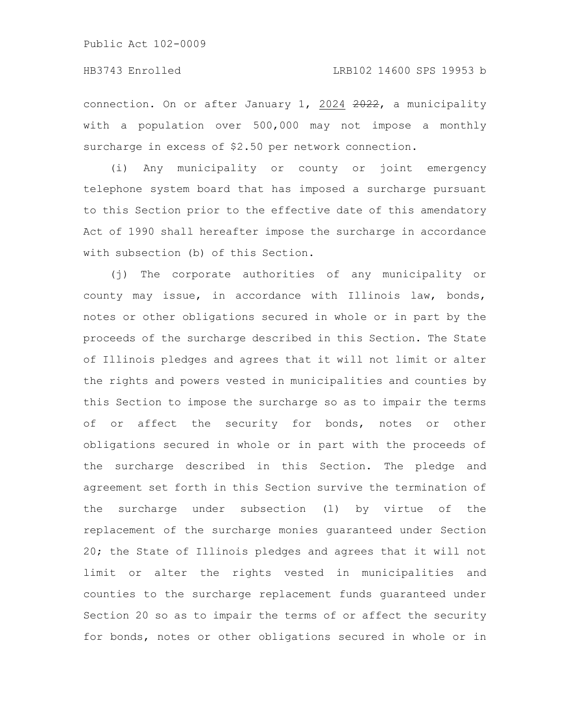# HB3743 Enrolled LRB102 14600 SPS 19953 b

connection. On or after January 1, 2024 2022, a municipality with a population over 500,000 may not impose a monthly surcharge in excess of \$2.50 per network connection.

(i) Any municipality or county or joint emergency telephone system board that has imposed a surcharge pursuant to this Section prior to the effective date of this amendatory Act of 1990 shall hereafter impose the surcharge in accordance with subsection (b) of this Section.

(j) The corporate authorities of any municipality or county may issue, in accordance with Illinois law, bonds, notes or other obligations secured in whole or in part by the proceeds of the surcharge described in this Section. The State of Illinois pledges and agrees that it will not limit or alter the rights and powers vested in municipalities and counties by this Section to impose the surcharge so as to impair the terms of or affect the security for bonds, notes or other obligations secured in whole or in part with the proceeds of the surcharge described in this Section. The pledge and agreement set forth in this Section survive the termination of the surcharge under subsection (l) by virtue of the replacement of the surcharge monies guaranteed under Section 20; the State of Illinois pledges and agrees that it will not limit or alter the rights vested in municipalities and counties to the surcharge replacement funds guaranteed under Section 20 so as to impair the terms of or affect the security for bonds, notes or other obligations secured in whole or in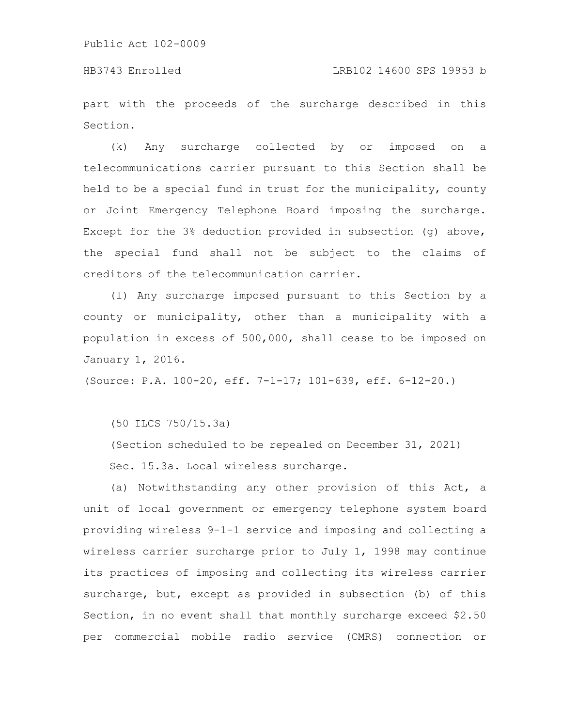part with the proceeds of the surcharge described in this Section.

(k) Any surcharge collected by or imposed on a telecommunications carrier pursuant to this Section shall be held to be a special fund in trust for the municipality, county or Joint Emergency Telephone Board imposing the surcharge. Except for the 3% deduction provided in subsection (g) above, the special fund shall not be subject to the claims of creditors of the telecommunication carrier.

(l) Any surcharge imposed pursuant to this Section by a county or municipality, other than a municipality with a population in excess of 500,000, shall cease to be imposed on January 1, 2016.

(Source: P.A. 100-20, eff. 7-1-17; 101-639, eff. 6-12-20.)

(50 ILCS 750/15.3a)

(Section scheduled to be repealed on December 31, 2021) Sec. 15.3a. Local wireless surcharge.

(a) Notwithstanding any other provision of this Act, a unit of local government or emergency telephone system board providing wireless 9-1-1 service and imposing and collecting a wireless carrier surcharge prior to July 1, 1998 may continue its practices of imposing and collecting its wireless carrier surcharge, but, except as provided in subsection (b) of this Section, in no event shall that monthly surcharge exceed \$2.50 per commercial mobile radio service (CMRS) connection or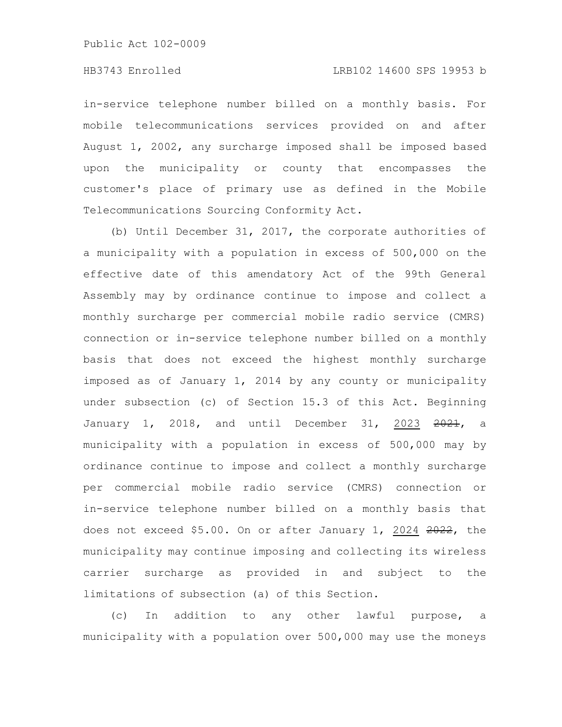# HB3743 Enrolled LRB102 14600 SPS 19953 b

in-service telephone number billed on a monthly basis. For mobile telecommunications services provided on and after August 1, 2002, any surcharge imposed shall be imposed based upon the municipality or county that encompasses the customer's place of primary use as defined in the Mobile Telecommunications Sourcing Conformity Act.

(b) Until December 31, 2017, the corporate authorities of a municipality with a population in excess of 500,000 on the effective date of this amendatory Act of the 99th General Assembly may by ordinance continue to impose and collect a monthly surcharge per commercial mobile radio service (CMRS) connection or in-service telephone number billed on a monthly basis that does not exceed the highest monthly surcharge imposed as of January 1, 2014 by any county or municipality under subsection (c) of Section 15.3 of this Act. Beginning January 1, 2018, and until December 31, 2023 2021, a municipality with a population in excess of 500,000 may by ordinance continue to impose and collect a monthly surcharge per commercial mobile radio service (CMRS) connection or in-service telephone number billed on a monthly basis that does not exceed \$5.00. On or after January 1, 2024 2022, the municipality may continue imposing and collecting its wireless carrier surcharge as provided in and subject to the limitations of subsection (a) of this Section.

(c) In addition to any other lawful purpose, a municipality with a population over 500,000 may use the moneys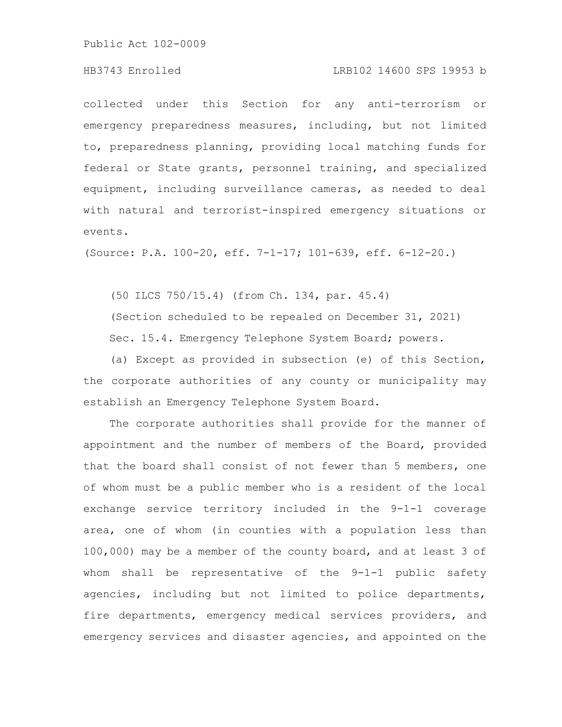# HB3743 Enrolled LRB102 14600 SPS 19953 b

collected under this Section for any anti-terrorism or emergency preparedness measures, including, but not limited to, preparedness planning, providing local matching funds for federal or State grants, personnel training, and specialized equipment, including surveillance cameras, as needed to deal with natural and terrorist-inspired emergency situations or events.

(Source: P.A. 100-20, eff. 7-1-17; 101-639, eff. 6-12-20.)

(50 ILCS 750/15.4) (from Ch. 134, par. 45.4)

(Section scheduled to be repealed on December 31, 2021) Sec. 15.4. Emergency Telephone System Board; powers.

(a) Except as provided in subsection (e) of this Section, the corporate authorities of any county or municipality may establish an Emergency Telephone System Board.

The corporate authorities shall provide for the manner of appointment and the number of members of the Board, provided that the board shall consist of not fewer than 5 members, one of whom must be a public member who is a resident of the local exchange service territory included in the 9-1-1 coverage area, one of whom (in counties with a population less than 100,000) may be a member of the county board, and at least 3 of whom shall be representative of the 9-1-1 public safety agencies, including but not limited to police departments, fire departments, emergency medical services providers, and emergency services and disaster agencies, and appointed on the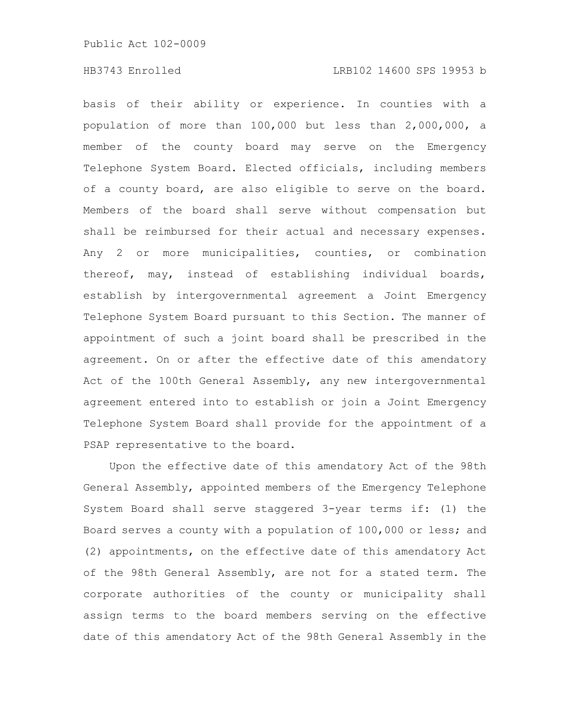basis of their ability or experience. In counties with a population of more than 100,000 but less than 2,000,000, a member of the county board may serve on the Emergency Telephone System Board. Elected officials, including members of a county board, are also eligible to serve on the board. Members of the board shall serve without compensation but shall be reimbursed for their actual and necessary expenses. Any 2 or more municipalities, counties, or combination thereof, may, instead of establishing individual boards, establish by intergovernmental agreement a Joint Emergency Telephone System Board pursuant to this Section. The manner of appointment of such a joint board shall be prescribed in the agreement. On or after the effective date of this amendatory Act of the 100th General Assembly, any new intergovernmental agreement entered into to establish or join a Joint Emergency Telephone System Board shall provide for the appointment of a PSAP representative to the board.

Upon the effective date of this amendatory Act of the 98th General Assembly, appointed members of the Emergency Telephone System Board shall serve staggered 3-year terms if: (1) the Board serves a county with a population of 100,000 or less; and (2) appointments, on the effective date of this amendatory Act of the 98th General Assembly, are not for a stated term. The corporate authorities of the county or municipality shall assign terms to the board members serving on the effective date of this amendatory Act of the 98th General Assembly in the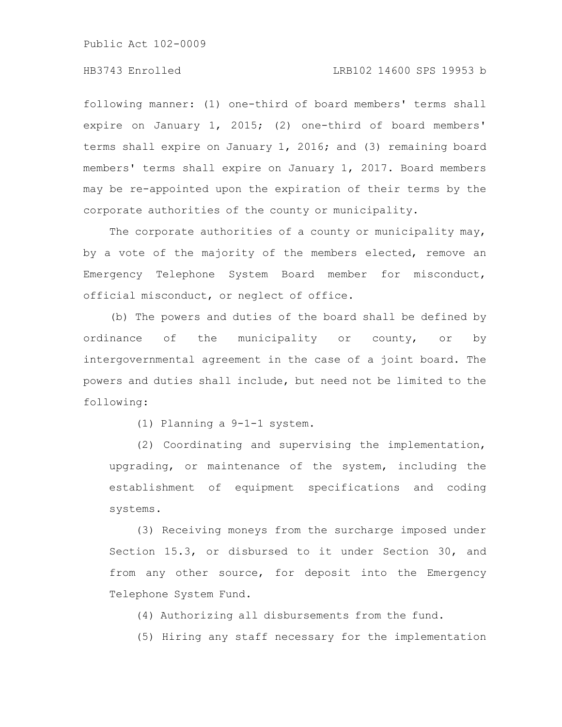# HB3743 Enrolled LRB102 14600 SPS 19953 b

following manner: (1) one-third of board members' terms shall expire on January 1, 2015; (2) one-third of board members' terms shall expire on January 1, 2016; and (3) remaining board members' terms shall expire on January 1, 2017. Board members may be re-appointed upon the expiration of their terms by the corporate authorities of the county or municipality.

The corporate authorities of a county or municipality may, by a vote of the majority of the members elected, remove an Emergency Telephone System Board member for misconduct, official misconduct, or neglect of office.

(b) The powers and duties of the board shall be defined by ordinance of the municipality or county, or by intergovernmental agreement in the case of a joint board. The powers and duties shall include, but need not be limited to the following:

(1) Planning a 9-1-1 system.

(2) Coordinating and supervising the implementation, upgrading, or maintenance of the system, including the establishment of equipment specifications and coding systems.

(3) Receiving moneys from the surcharge imposed under Section 15.3, or disbursed to it under Section 30, and from any other source, for deposit into the Emergency Telephone System Fund.

(4) Authorizing all disbursements from the fund.

(5) Hiring any staff necessary for the implementation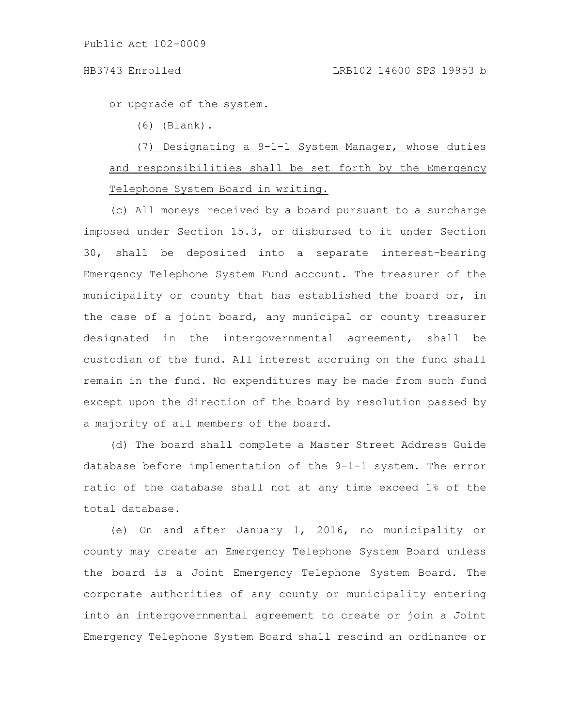### HB3743 Enrolled LRB102 14600 SPS 19953 b

or upgrade of the system.

(6) (Blank).

# (7) Designating a 9-1-1 System Manager, whose duties and responsibilities shall be set forth by the Emergency Telephone System Board in writing.

(c) All moneys received by a board pursuant to a surcharge imposed under Section 15.3, or disbursed to it under Section 30, shall be deposited into a separate interest-bearing Emergency Telephone System Fund account. The treasurer of the municipality or county that has established the board or, in the case of a joint board, any municipal or county treasurer designated in the intergovernmental agreement, shall be custodian of the fund. All interest accruing on the fund shall remain in the fund. No expenditures may be made from such fund except upon the direction of the board by resolution passed by a majority of all members of the board.

(d) The board shall complete a Master Street Address Guide database before implementation of the 9-1-1 system. The error ratio of the database shall not at any time exceed 1% of the total database.

(e) On and after January 1, 2016, no municipality or county may create an Emergency Telephone System Board unless the board is a Joint Emergency Telephone System Board. The corporate authorities of any county or municipality entering into an intergovernmental agreement to create or join a Joint Emergency Telephone System Board shall rescind an ordinance or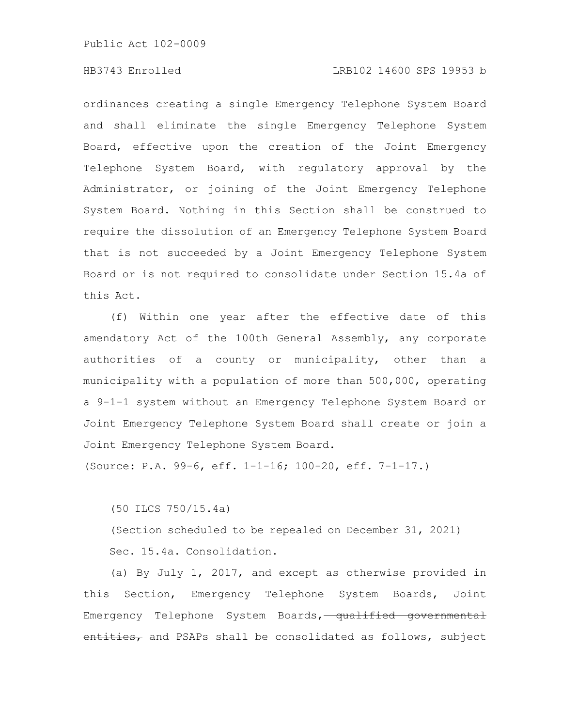# HB3743 Enrolled LRB102 14600 SPS 19953 b

ordinances creating a single Emergency Telephone System Board and shall eliminate the single Emergency Telephone System Board, effective upon the creation of the Joint Emergency Telephone System Board, with regulatory approval by the Administrator, or joining of the Joint Emergency Telephone System Board. Nothing in this Section shall be construed to require the dissolution of an Emergency Telephone System Board that is not succeeded by a Joint Emergency Telephone System Board or is not required to consolidate under Section 15.4a of this Act.

(f) Within one year after the effective date of this amendatory Act of the 100th General Assembly, any corporate authorities of a county or municipality, other than a municipality with a population of more than 500,000, operating a 9-1-1 system without an Emergency Telephone System Board or Joint Emergency Telephone System Board shall create or join a Joint Emergency Telephone System Board.

(Source: P.A. 99-6, eff. 1-1-16; 100-20, eff. 7-1-17.)

(50 ILCS 750/15.4a)

(Section scheduled to be repealed on December 31, 2021) Sec. 15.4a. Consolidation.

(a) By July 1, 2017, and except as otherwise provided in this Section, Emergency Telephone System Boards, Joint Emergency Telephone System Boards, qualified governmental entities, and PSAPs shall be consolidated as follows, subject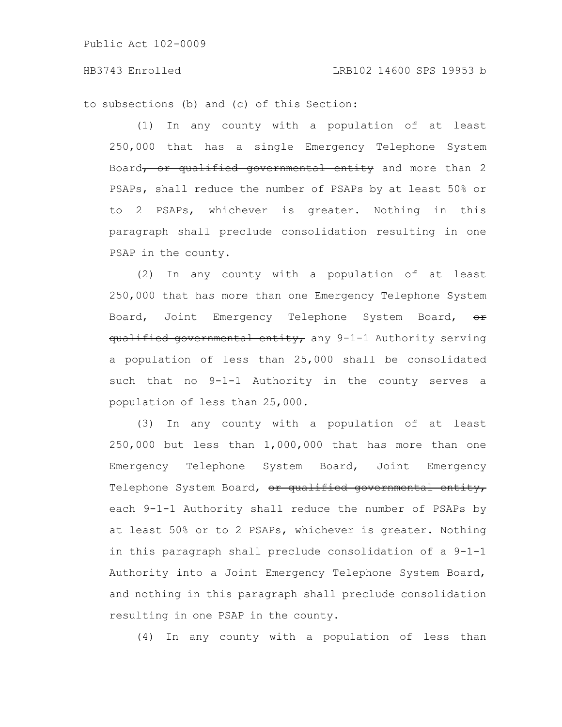to subsections (b) and (c) of this Section:

(1) In any county with a population of at least 250,000 that has a single Emergency Telephone System Board, or qualified governmental entity and more than 2 PSAPs, shall reduce the number of PSAPs by at least 50% or to 2 PSAPs, whichever is greater. Nothing in this paragraph shall preclude consolidation resulting in one PSAP in the county.

(2) In any county with a population of at least 250,000 that has more than one Emergency Telephone System Board, Joint Emergency Telephone System Board,  $\Theta$ r qualified governmental entity, any 9-1-1 Authority serving a population of less than 25,000 shall be consolidated such that no 9-1-1 Authority in the county serves a population of less than 25,000.

(3) In any county with a population of at least 250,000 but less than 1,000,000 that has more than one Emergency Telephone System Board, Joint Emergency Telephone System Board, or qualified governmental entity, each 9-1-1 Authority shall reduce the number of PSAPs by at least 50% or to 2 PSAPs, whichever is greater. Nothing in this paragraph shall preclude consolidation of a 9-1-1 Authority into a Joint Emergency Telephone System Board, and nothing in this paragraph shall preclude consolidation resulting in one PSAP in the county.

(4) In any county with a population of less than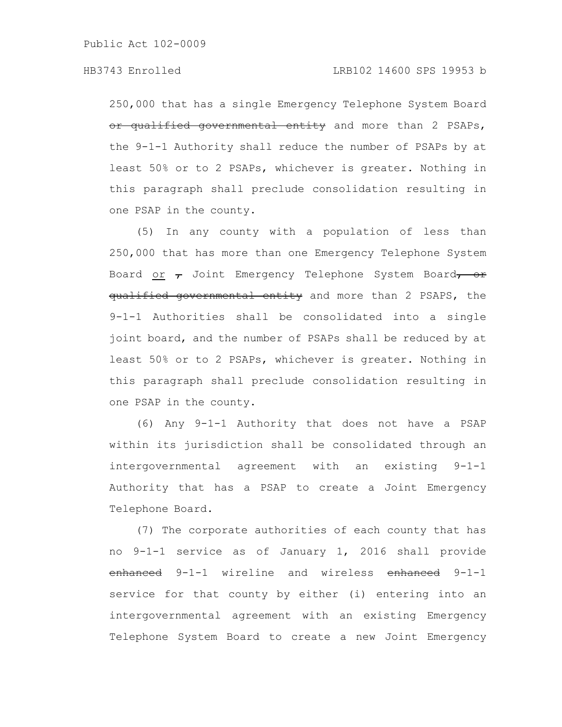# HB3743 Enrolled LRB102 14600 SPS 19953 b

250,000 that has a single Emergency Telephone System Board or qualified governmental entity and more than 2 PSAPs, the 9-1-1 Authority shall reduce the number of PSAPs by at least 50% or to 2 PSAPs, whichever is greater. Nothing in this paragraph shall preclude consolidation resulting in one PSAP in the county.

(5) In any county with a population of less than 250,000 that has more than one Emergency Telephone System Board or  $\tau$  Joint Emergency Telephone System Board, or qualified governmental entity and more than 2 PSAPS, the 9-1-1 Authorities shall be consolidated into a single joint board, and the number of PSAPs shall be reduced by at least 50% or to 2 PSAPs, whichever is greater. Nothing in this paragraph shall preclude consolidation resulting in one PSAP in the county.

(6) Any 9-1-1 Authority that does not have a PSAP within its jurisdiction shall be consolidated through an intergovernmental agreement with an existing 9-1-1 Authority that has a PSAP to create a Joint Emergency Telephone Board.

(7) The corporate authorities of each county that has no 9-1-1 service as of January 1, 2016 shall provide enhanced 9-1-1 wireline and wireless enhanced 9-1-1 service for that county by either (i) entering into an intergovernmental agreement with an existing Emergency Telephone System Board to create a new Joint Emergency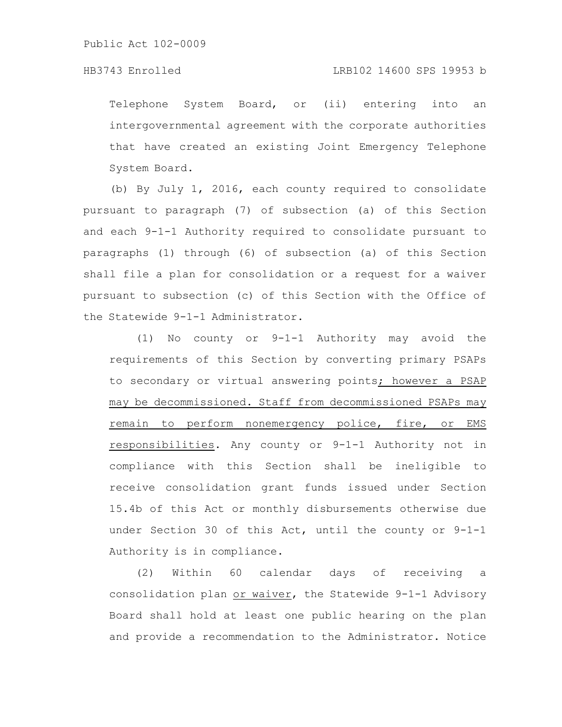# HB3743 Enrolled LRB102 14600 SPS 19953 b

Telephone System Board, or (ii) entering into an intergovernmental agreement with the corporate authorities that have created an existing Joint Emergency Telephone System Board.

(b) By July 1, 2016, each county required to consolidate pursuant to paragraph (7) of subsection (a) of this Section and each 9-1-1 Authority required to consolidate pursuant to paragraphs (1) through (6) of subsection (a) of this Section shall file a plan for consolidation or a request for a waiver pursuant to subsection (c) of this Section with the Office of the Statewide 9-1-1 Administrator.

(1) No county or 9-1-1 Authority may avoid the requirements of this Section by converting primary PSAPs to secondary or virtual answering points; however a PSAP may be decommissioned. Staff from decommissioned PSAPs may remain to perform nonemergency police, fire, or EMS responsibilities. Any county or 9-1-1 Authority not in compliance with this Section shall be ineligible to receive consolidation grant funds issued under Section 15.4b of this Act or monthly disbursements otherwise due under Section 30 of this Act, until the county or 9-1-1 Authority is in compliance.

(2) Within 60 calendar days of receiving a consolidation plan or waiver, the Statewide 9-1-1 Advisory Board shall hold at least one public hearing on the plan and provide a recommendation to the Administrator. Notice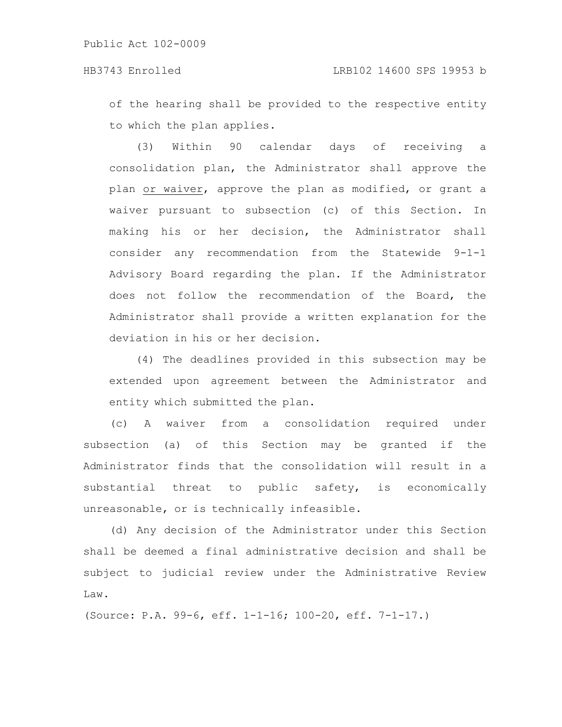of the hearing shall be provided to the respective entity to which the plan applies.

(3) Within 90 calendar days of receiving a consolidation plan, the Administrator shall approve the plan or waiver, approve the plan as modified, or grant a waiver pursuant to subsection (c) of this Section. In making his or her decision, the Administrator shall consider any recommendation from the Statewide 9-1-1 Advisory Board regarding the plan. If the Administrator does not follow the recommendation of the Board, the Administrator shall provide a written explanation for the deviation in his or her decision.

(4) The deadlines provided in this subsection may be extended upon agreement between the Administrator and entity which submitted the plan.

(c) A waiver from a consolidation required under subsection (a) of this Section may be granted if the Administrator finds that the consolidation will result in a substantial threat to public safety, is economically unreasonable, or is technically infeasible.

(d) Any decision of the Administrator under this Section shall be deemed a final administrative decision and shall be subject to judicial review under the Administrative Review Law.

(Source: P.A. 99-6, eff. 1-1-16; 100-20, eff. 7-1-17.)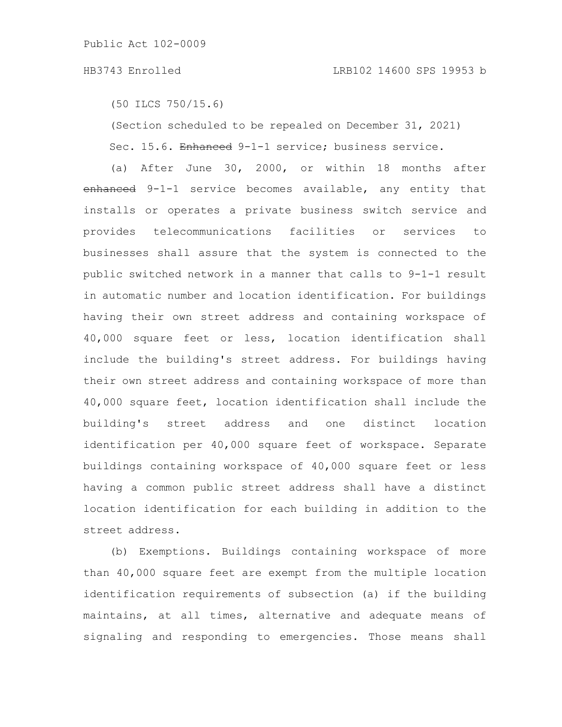```
(50 ILCS 750/15.6)
```
(Section scheduled to be repealed on December 31, 2021) Sec. 15.6. Enhanced 9-1-1 service; business service.

(a) After June 30, 2000, or within 18 months after enhanced 9-1-1 service becomes available, any entity that installs or operates a private business switch service and provides telecommunications facilities or services to businesses shall assure that the system is connected to the public switched network in a manner that calls to 9-1-1 result in automatic number and location identification. For buildings having their own street address and containing workspace of 40,000 square feet or less, location identification shall include the building's street address. For buildings having their own street address and containing workspace of more than 40,000 square feet, location identification shall include the building's street address and one distinct location identification per 40,000 square feet of workspace. Separate buildings containing workspace of 40,000 square feet or less having a common public street address shall have a distinct location identification for each building in addition to the street address.

(b) Exemptions. Buildings containing workspace of more than 40,000 square feet are exempt from the multiple location identification requirements of subsection (a) if the building maintains, at all times, alternative and adequate means of signaling and responding to emergencies. Those means shall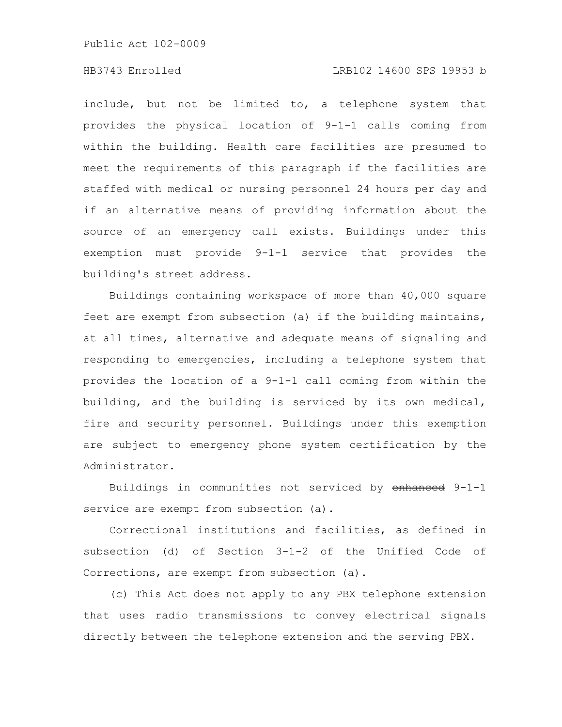# HB3743 Enrolled LRB102 14600 SPS 19953 b

include, but not be limited to, a telephone system that provides the physical location of 9-1-1 calls coming from within the building. Health care facilities are presumed to meet the requirements of this paragraph if the facilities are staffed with medical or nursing personnel 24 hours per day and if an alternative means of providing information about the source of an emergency call exists. Buildings under this exemption must provide 9-1-1 service that provides the building's street address.

Buildings containing workspace of more than 40,000 square feet are exempt from subsection (a) if the building maintains, at all times, alternative and adequate means of signaling and responding to emergencies, including a telephone system that provides the location of a 9-1-1 call coming from within the building, and the building is serviced by its own medical, fire and security personnel. Buildings under this exemption are subject to emergency phone system certification by the Administrator.

Buildings in communities not serviced by enhanced 9-1-1 service are exempt from subsection (a).

Correctional institutions and facilities, as defined in subsection (d) of Section 3-1-2 of the Unified Code of Corrections, are exempt from subsection (a).

(c) This Act does not apply to any PBX telephone extension that uses radio transmissions to convey electrical signals directly between the telephone extension and the serving PBX.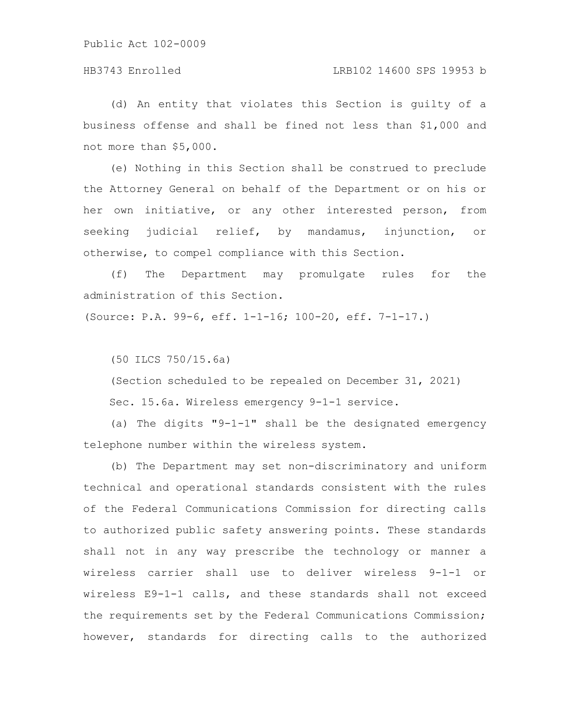# HB3743 Enrolled LRB102 14600 SPS 19953 b

(d) An entity that violates this Section is guilty of a business offense and shall be fined not less than \$1,000 and not more than \$5,000.

(e) Nothing in this Section shall be construed to preclude the Attorney General on behalf of the Department or on his or her own initiative, or any other interested person, from seeking judicial relief, by mandamus, injunction, or otherwise, to compel compliance with this Section.

(f) The Department may promulgate rules for the administration of this Section.

(Source: P.A. 99-6, eff. 1-1-16; 100-20, eff. 7-1-17.)

(50 ILCS 750/15.6a)

(Section scheduled to be repealed on December 31, 2021) Sec. 15.6a. Wireless emergency 9-1-1 service.

(a) The digits "9-1-1" shall be the designated emergency telephone number within the wireless system.

(b) The Department may set non-discriminatory and uniform technical and operational standards consistent with the rules of the Federal Communications Commission for directing calls to authorized public safety answering points. These standards shall not in any way prescribe the technology or manner a wireless carrier shall use to deliver wireless 9-1-1 or wireless E9-1-1 calls, and these standards shall not exceed the requirements set by the Federal Communications Commission; however, standards for directing calls to the authorized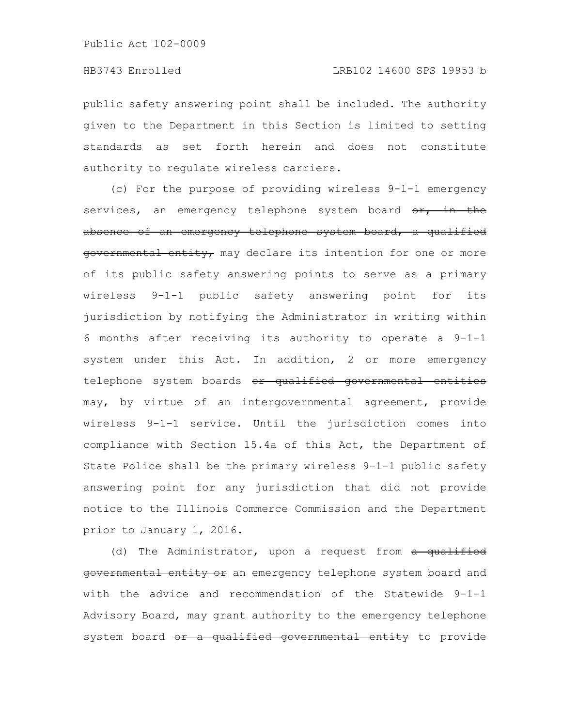public safety answering point shall be included. The authority given to the Department in this Section is limited to setting standards as set forth herein and does not constitute authority to regulate wireless carriers.

(c) For the purpose of providing wireless 9-1-1 emergency services, an emergency telephone system board  $\theta$ r, in the absence of an emergency telephone system board, a qualified governmental entity, may declare its intention for one or more of its public safety answering points to serve as a primary wireless 9-1-1 public safety answering point for its jurisdiction by notifying the Administrator in writing within 6 months after receiving its authority to operate a 9-1-1 system under this Act. In addition, 2 or more emergency telephone system boards or qualified governmental entities may, by virtue of an intergovernmental agreement, provide wireless 9-1-1 service. Until the jurisdiction comes into compliance with Section 15.4a of this Act, the Department of State Police shall be the primary wireless 9-1-1 public safety answering point for any jurisdiction that did not provide notice to the Illinois Commerce Commission and the Department prior to January 1, 2016.

(d) The Administrator, upon a request from a qualified governmental entity or an emergency telephone system board and with the advice and recommendation of the Statewide 9-1-1 Advisory Board, may grant authority to the emergency telephone system board or a qualified governmental entity to provide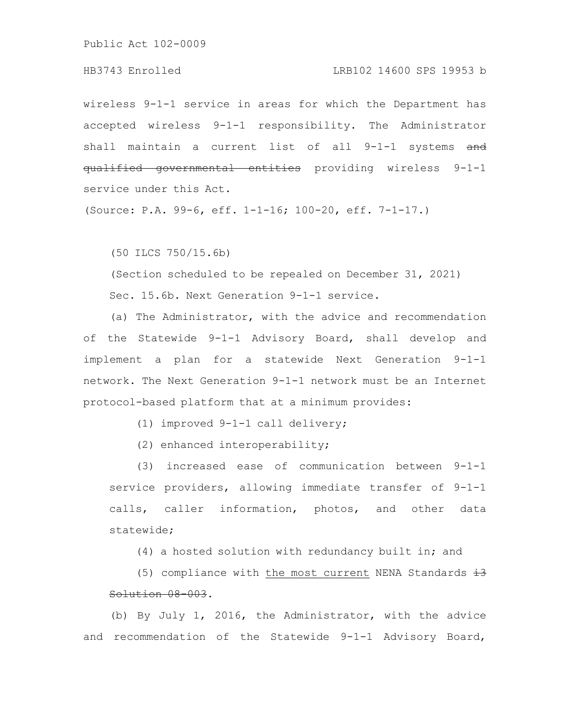# HB3743 Enrolled LRB102 14600 SPS 19953 b

wireless 9-1-1 service in areas for which the Department has accepted wireless 9-1-1 responsibility. The Administrator shall maintain a current list of all 9-1-1 systems and qualified governmental entities providing wireless 9-1-1 service under this Act.

(Source: P.A. 99-6, eff. 1-1-16; 100-20, eff. 7-1-17.)

(50 ILCS 750/15.6b)

(Section scheduled to be repealed on December 31, 2021) Sec. 15.6b. Next Generation 9-1-1 service.

(a) The Administrator, with the advice and recommendation of the Statewide 9-1-1 Advisory Board, shall develop and implement a plan for a statewide Next Generation 9-1-1 network. The Next Generation 9-1-1 network must be an Internet protocol-based platform that at a minimum provides:

(1) improved 9-1-1 call delivery;

(2) enhanced interoperability;

(3) increased ease of communication between 9-1-1 service providers, allowing immediate transfer of 9-1-1 calls, caller information, photos, and other data statewide;

(4) a hosted solution with redundancy built in; and

(5) compliance with the most current NENA Standards  $\pm 3$ Solution 08-003.

(b) By July 1, 2016, the Administrator, with the advice and recommendation of the Statewide 9-1-1 Advisory Board,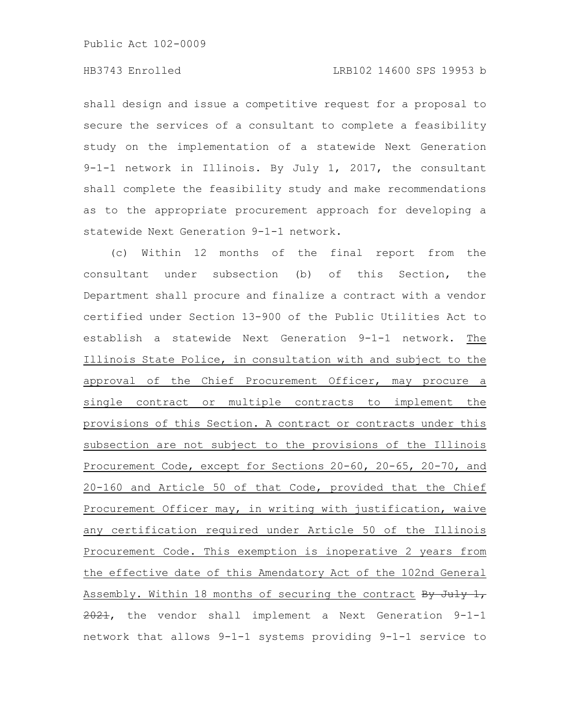shall design and issue a competitive request for a proposal to secure the services of a consultant to complete a feasibility study on the implementation of a statewide Next Generation 9-1-1 network in Illinois. By July 1, 2017, the consultant shall complete the feasibility study and make recommendations as to the appropriate procurement approach for developing a statewide Next Generation 9-1-1 network.

(c) Within 12 months of the final report from the consultant under subsection (b) of this Section, the Department shall procure and finalize a contract with a vendor certified under Section 13-900 of the Public Utilities Act to establish a statewide Next Generation 9-1-1 network. The Illinois State Police, in consultation with and subject to the approval of the Chief Procurement Officer, may procure a single contract or multiple contracts to implement the provisions of this Section. A contract or contracts under this subsection are not subject to the provisions of the Illinois Procurement Code, except for Sections 20-60, 20-65, 20-70, and 20-160 and Article 50 of that Code, provided that the Chief Procurement Officer may, in writing with justification, waive any certification required under Article 50 of the Illinois Procurement Code. This exemption is inoperative 2 years from the effective date of this Amendatory Act of the 102nd General Assembly. Within 18 months of securing the contract By July 1,  $2021$ , the vendor shall implement a Next Generation  $9-1-1$ network that allows 9-1-1 systems providing 9-1-1 service to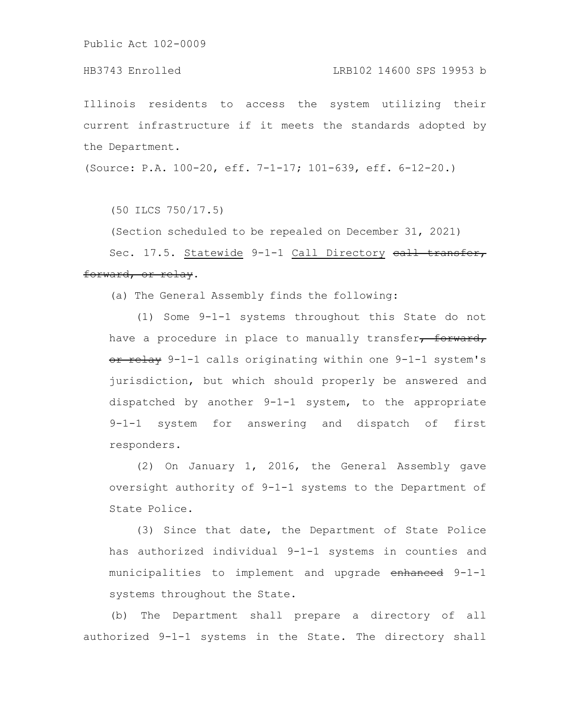# HB3743 Enrolled LRB102 14600 SPS 19953 b

Illinois residents to access the system utilizing their current infrastructure if it meets the standards adopted by the Department.

(Source: P.A. 100-20, eff. 7-1-17; 101-639, eff. 6-12-20.)

(50 ILCS 750/17.5)

(Section scheduled to be repealed on December 31, 2021)

Sec. 17.5. Statewide 9-1-1 Call Directory eall transfer, forward, or relay.

(a) The General Assembly finds the following:

(1) Some 9-1-1 systems throughout this State do not have a procedure in place to manually transfer, forward, or relay 9-1-1 calls originating within one 9-1-1 system's jurisdiction, but which should properly be answered and dispatched by another 9-1-1 system, to the appropriate 9-1-1 system for answering and dispatch of first responders.

(2) On January 1, 2016, the General Assembly gave oversight authority of 9-1-1 systems to the Department of State Police.

(3) Since that date, the Department of State Police has authorized individual 9-1-1 systems in counties and municipalities to implement and upgrade enhanced 9-1-1 systems throughout the State.

(b) The Department shall prepare a directory of all authorized 9-1-1 systems in the State. The directory shall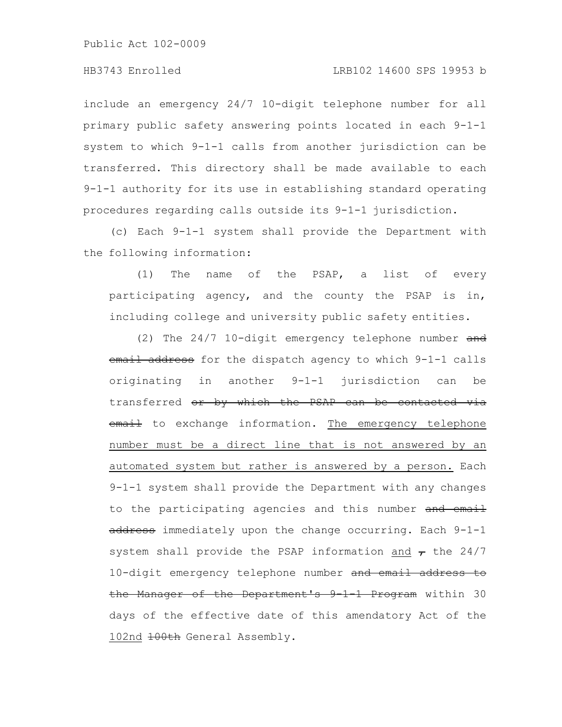include an emergency 24/7 10-digit telephone number for all primary public safety answering points located in each 9-1-1 system to which 9-1-1 calls from another jurisdiction can be transferred. This directory shall be made available to each 9-1-1 authority for its use in establishing standard operating procedures regarding calls outside its 9-1-1 jurisdiction.

(c) Each 9-1-1 system shall provide the Department with the following information:

(1) The name of the PSAP, a list of every participating agency, and the county the PSAP is in, including college and university public safety entities.

(2) The 24/7 10-digit emergency telephone number and email address for the dispatch agency to which 9-1-1 calls originating in another 9-1-1 jurisdiction can be transferred or by which the PSAP can be contacted via email to exchange information. The emergency telephone number must be a direct line that is not answered by an automated system but rather is answered by a person. Each 9-1-1 system shall provide the Department with any changes to the participating agencies and this number and email address immediately upon the change occurring. Each 9-1-1 system shall provide the PSAP information and  $\tau$  the 24/7 10-digit emergency telephone number and email address to the Manager of the Department's 9-1-1 Program within 30 days of the effective date of this amendatory Act of the 102nd 100th General Assembly.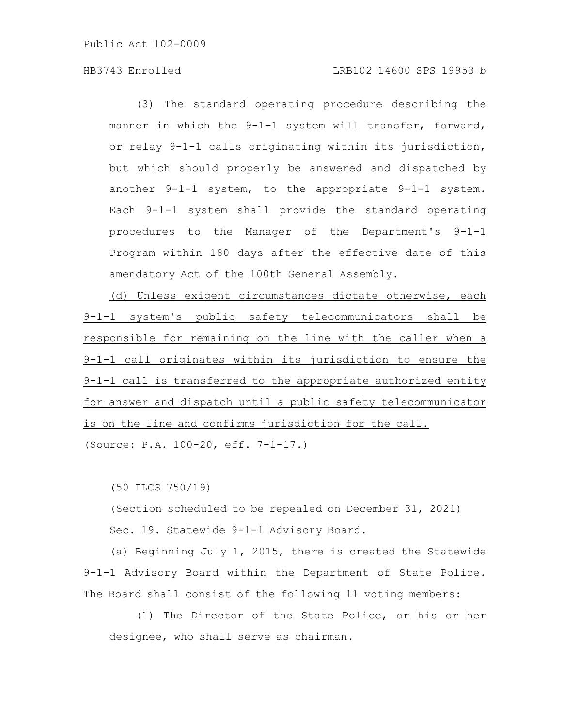# HB3743 Enrolled LRB102 14600 SPS 19953 b

(3) The standard operating procedure describing the manner in which the 9-1-1 system will transfer<del>, forward,</del> or relay 9-1-1 calls originating within its jurisdiction, but which should properly be answered and dispatched by another 9-1-1 system, to the appropriate 9-1-1 system. Each 9-1-1 system shall provide the standard operating procedures to the Manager of the Department's 9-1-1 Program within 180 days after the effective date of this amendatory Act of the 100th General Assembly.

(d) Unless exigent circumstances dictate otherwise, each 9-1-1 system's public safety telecommunicators shall be responsible for remaining on the line with the caller when a 9-1-1 call originates within its jurisdiction to ensure the 9-1-1 call is transferred to the appropriate authorized entity for answer and dispatch until a public safety telecommunicator is on the line and confirms jurisdiction for the call. (Source: P.A. 100-20, eff. 7-1-17.)

(50 ILCS 750/19)

(Section scheduled to be repealed on December 31, 2021)

Sec. 19. Statewide 9-1-1 Advisory Board.

(a) Beginning July 1, 2015, there is created the Statewide 9-1-1 Advisory Board within the Department of State Police. The Board shall consist of the following 11 voting members:

(1) The Director of the State Police, or his or her designee, who shall serve as chairman.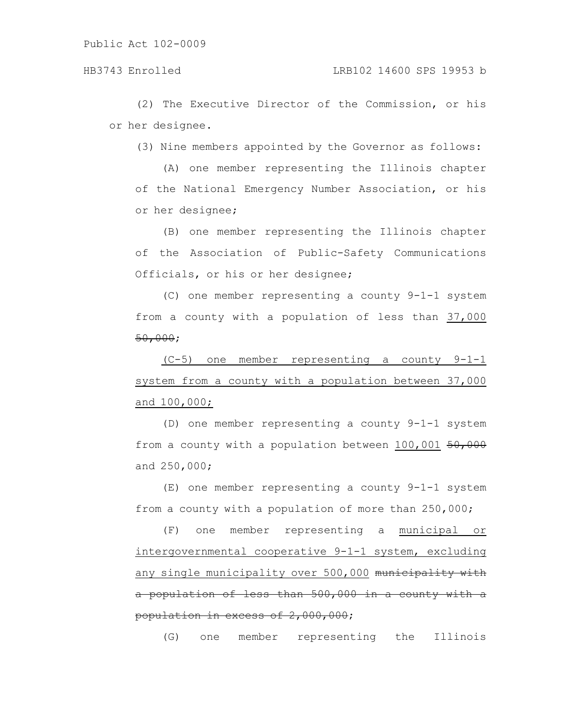(2) The Executive Director of the Commission, or his or her designee.

(3) Nine members appointed by the Governor as follows:

(A) one member representing the Illinois chapter of the National Emergency Number Association, or his or her designee;

(B) one member representing the Illinois chapter of the Association of Public-Safety Communications Officials, or his or her designee;

(C) one member representing a county 9-1-1 system from a county with a population of less than 37,000 50,000;

(C-5) one member representing a county 9-1-1 system from a county with a population between 37,000 and 100,000;

(D) one member representing a county 9-1-1 system from a county with a population between 100,001 50,000 and 250,000;

(E) one member representing a county 9-1-1 system from a county with a population of more than 250,000;

(F) one member representing a municipal or intergovernmental cooperative 9-1-1 system, excluding any single municipality over 500,000 municipality with a population of less than 500,000 in a county with a population in excess of 2,000,000;

(G) one member representing the Illinois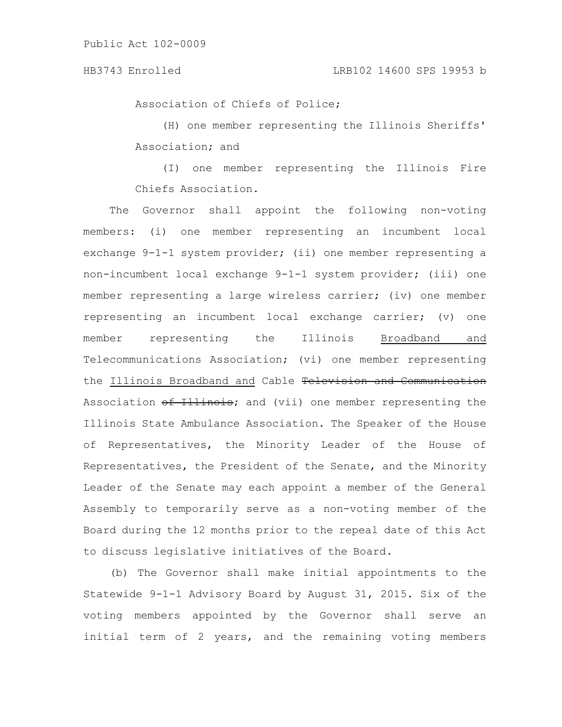Association of Chiefs of Police;

(H) one member representing the Illinois Sheriffs' Association; and

(I) one member representing the Illinois Fire Chiefs Association.

The Governor shall appoint the following non-voting members: (i) one member representing an incumbent local exchange 9-1-1 system provider; (ii) one member representing a non-incumbent local exchange 9-1-1 system provider; (iii) one member representing a large wireless carrier; (iv) one member representing an incumbent local exchange carrier; (v) one member representing the Illinois Broadband and Telecommunications Association; (vi) one member representing the Illinois Broadband and Cable Television and Communication Association of Illinois; and (vii) one member representing the Illinois State Ambulance Association. The Speaker of the House of Representatives, the Minority Leader of the House of Representatives, the President of the Senate, and the Minority Leader of the Senate may each appoint a member of the General Assembly to temporarily serve as a non-voting member of the Board during the 12 months prior to the repeal date of this Act to discuss legislative initiatives of the Board.

(b) The Governor shall make initial appointments to the Statewide 9-1-1 Advisory Board by August 31, 2015. Six of the voting members appointed by the Governor shall serve an initial term of 2 years, and the remaining voting members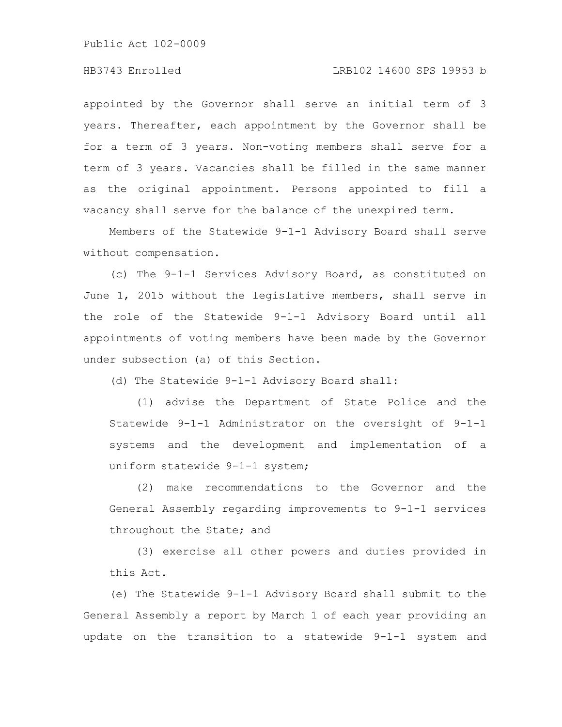# HB3743 Enrolled LRB102 14600 SPS 19953 b

appointed by the Governor shall serve an initial term of 3 years. Thereafter, each appointment by the Governor shall be for a term of 3 years. Non-voting members shall serve for a term of 3 years. Vacancies shall be filled in the same manner as the original appointment. Persons appointed to fill a vacancy shall serve for the balance of the unexpired term.

Members of the Statewide 9-1-1 Advisory Board shall serve without compensation.

(c) The 9-1-1 Services Advisory Board, as constituted on June 1, 2015 without the legislative members, shall serve in the role of the Statewide 9-1-1 Advisory Board until all appointments of voting members have been made by the Governor under subsection (a) of this Section.

(d) The Statewide 9-1-1 Advisory Board shall:

(1) advise the Department of State Police and the Statewide 9-1-1 Administrator on the oversight of 9-1-1 systems and the development and implementation of a uniform statewide 9-1-1 system;

(2) make recommendations to the Governor and the General Assembly regarding improvements to 9-1-1 services throughout the State; and

(3) exercise all other powers and duties provided in this Act.

(e) The Statewide 9-1-1 Advisory Board shall submit to the General Assembly a report by March 1 of each year providing an update on the transition to a statewide 9-1-1 system and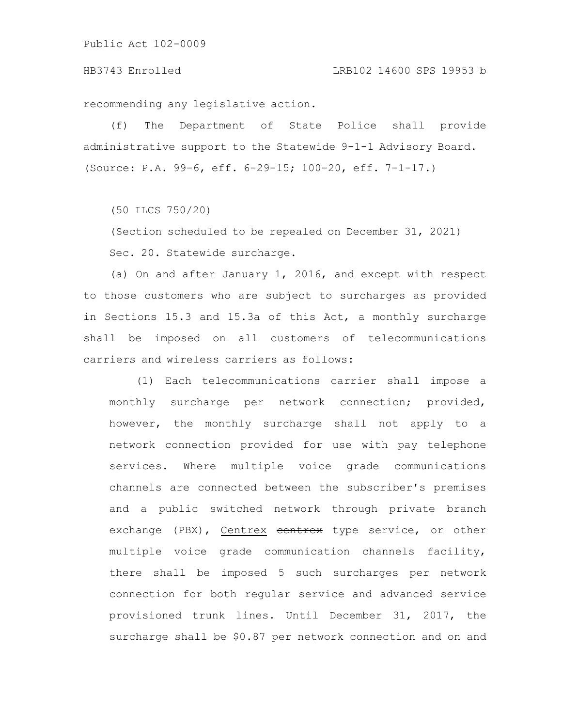#### HB3743 Enrolled LRB102 14600 SPS 19953 b

recommending any legislative action.

(f) The Department of State Police shall provide administrative support to the Statewide 9-1-1 Advisory Board. (Source: P.A. 99-6, eff. 6-29-15; 100-20, eff. 7-1-17.)

(50 ILCS 750/20)

(Section scheduled to be repealed on December 31, 2021) Sec. 20. Statewide surcharge.

(a) On and after January 1, 2016, and except with respect to those customers who are subject to surcharges as provided in Sections 15.3 and 15.3a of this Act, a monthly surcharge shall be imposed on all customers of telecommunications carriers and wireless carriers as follows:

(1) Each telecommunications carrier shall impose a monthly surcharge per network connection; provided, however, the monthly surcharge shall not apply to a network connection provided for use with pay telephone services. Where multiple voice grade communications channels are connected between the subscriber's premises and a public switched network through private branch exchange (PBX), Centrex centrex type service, or other multiple voice grade communication channels facility, there shall be imposed 5 such surcharges per network connection for both regular service and advanced service provisioned trunk lines. Until December 31, 2017, the surcharge shall be \$0.87 per network connection and on and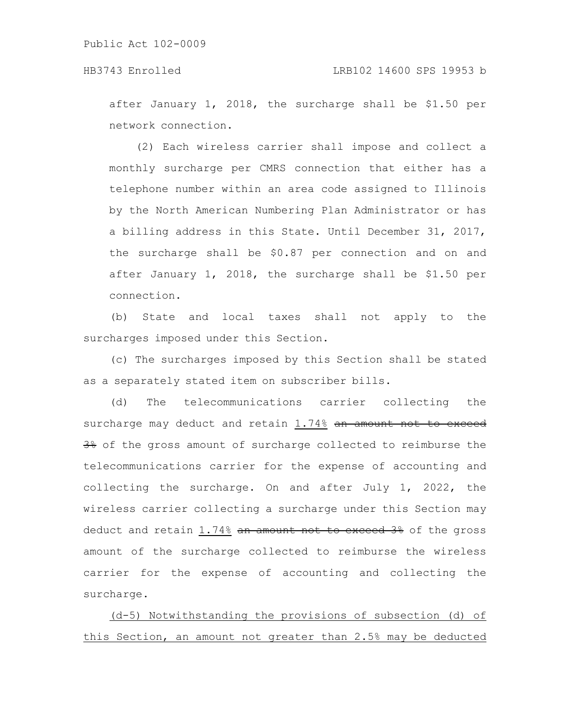after January 1, 2018, the surcharge shall be \$1.50 per network connection.

(2) Each wireless carrier shall impose and collect a monthly surcharge per CMRS connection that either has a telephone number within an area code assigned to Illinois by the North American Numbering Plan Administrator or has a billing address in this State. Until December 31, 2017, the surcharge shall be \$0.87 per connection and on and after January 1, 2018, the surcharge shall be \$1.50 per connection.

(b) State and local taxes shall not apply to the surcharges imposed under this Section.

(c) The surcharges imposed by this Section shall be stated as a separately stated item on subscriber bills.

(d) The telecommunications carrier collecting the surcharge may deduct and retain 1.74% an amount not to exceed  $\frac{38}{30}$  of the gross amount of surcharge collected to reimburse the telecommunications carrier for the expense of accounting and collecting the surcharge. On and after July 1, 2022, the wireless carrier collecting a surcharge under this Section may deduct and retain 1.74% an amount not to exceed 3% of the gross amount of the surcharge collected to reimburse the wireless carrier for the expense of accounting and collecting the surcharge.

(d-5) Notwithstanding the provisions of subsection (d) of this Section, an amount not greater than 2.5% may be deducted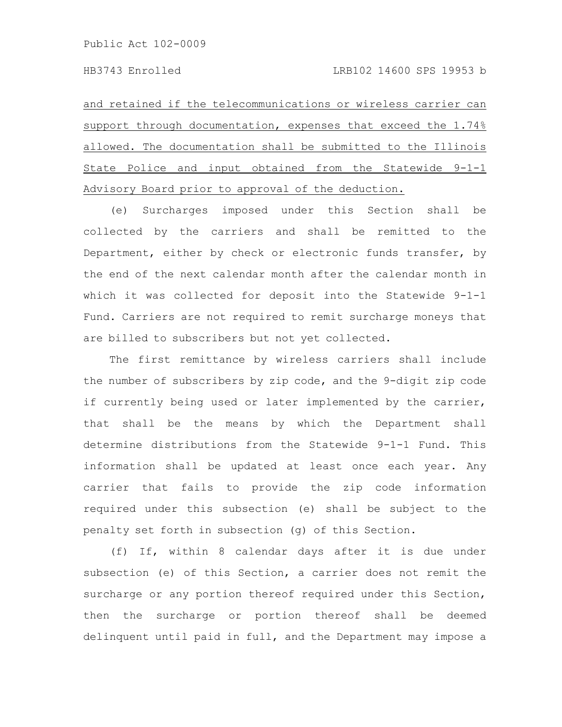and retained if the telecommunications or wireless carrier can support through documentation, expenses that exceed the 1.74% allowed. The documentation shall be submitted to the Illinois State Police and input obtained from the Statewide 9-1-1 Advisory Board prior to approval of the deduction.

(e) Surcharges imposed under this Section shall be collected by the carriers and shall be remitted to the Department, either by check or electronic funds transfer, by the end of the next calendar month after the calendar month in which it was collected for deposit into the Statewide 9-1-1 Fund. Carriers are not required to remit surcharge moneys that are billed to subscribers but not yet collected.

The first remittance by wireless carriers shall include the number of subscribers by zip code, and the 9-digit zip code if currently being used or later implemented by the carrier, that shall be the means by which the Department shall determine distributions from the Statewide 9-1-1 Fund. This information shall be updated at least once each year. Any carrier that fails to provide the zip code information required under this subsection (e) shall be subject to the penalty set forth in subsection (g) of this Section.

(f) If, within 8 calendar days after it is due under subsection (e) of this Section, a carrier does not remit the surcharge or any portion thereof required under this Section, then the surcharge or portion thereof shall be deemed delinquent until paid in full, and the Department may impose a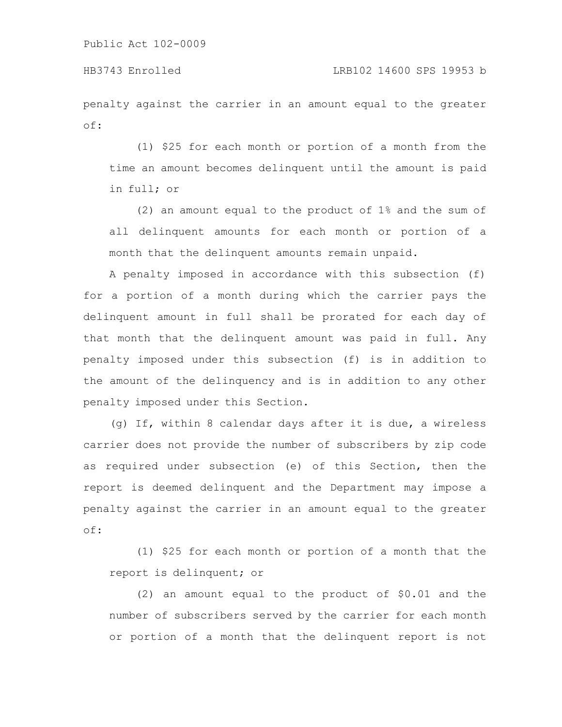HB3743 Enrolled LRB102 14600 SPS 19953 b

penalty against the carrier in an amount equal to the greater of:

(1) \$25 for each month or portion of a month from the time an amount becomes delinquent until the amount is paid in full; or

(2) an amount equal to the product of 1% and the sum of all delinquent amounts for each month or portion of a month that the delinquent amounts remain unpaid.

A penalty imposed in accordance with this subsection (f) for a portion of a month during which the carrier pays the delinquent amount in full shall be prorated for each day of that month that the delinquent amount was paid in full. Any penalty imposed under this subsection (f) is in addition to the amount of the delinquency and is in addition to any other penalty imposed under this Section.

(g) If, within 8 calendar days after it is due, a wireless carrier does not provide the number of subscribers by zip code as required under subsection (e) of this Section, then the report is deemed delinquent and the Department may impose a penalty against the carrier in an amount equal to the greater of:

(1) \$25 for each month or portion of a month that the report is delinquent; or

(2) an amount equal to the product of \$0.01 and the number of subscribers served by the carrier for each month or portion of a month that the delinquent report is not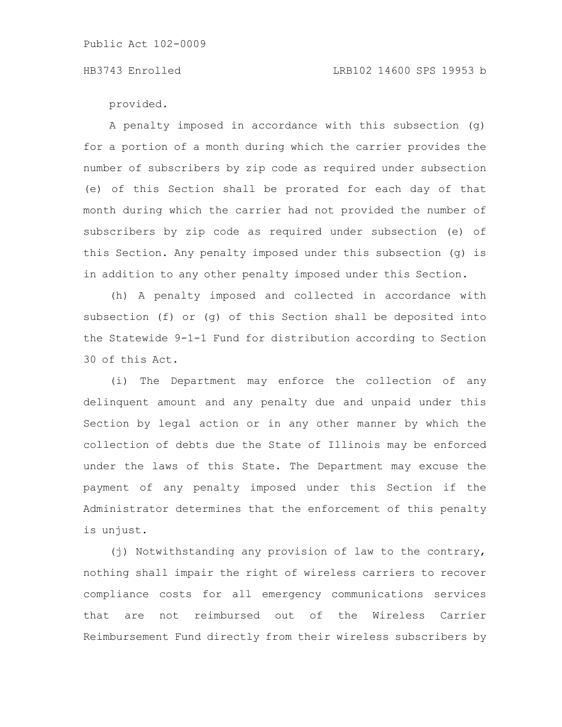# HB3743 Enrolled LRB102 14600 SPS 19953 b

provided.

A penalty imposed in accordance with this subsection (g) for a portion of a month during which the carrier provides the number of subscribers by zip code as required under subsection (e) of this Section shall be prorated for each day of that month during which the carrier had not provided the number of subscribers by zip code as required under subsection (e) of this Section. Any penalty imposed under this subsection (g) is in addition to any other penalty imposed under this Section.

(h) A penalty imposed and collected in accordance with subsection (f) or (g) of this Section shall be deposited into the Statewide 9-1-1 Fund for distribution according to Section 30 of this Act.

(i) The Department may enforce the collection of any delinquent amount and any penalty due and unpaid under this Section by legal action or in any other manner by which the collection of debts due the State of Illinois may be enforced under the laws of this State. The Department may excuse the payment of any penalty imposed under this Section if the Administrator determines that the enforcement of this penalty is unjust.

(j) Notwithstanding any provision of law to the contrary, nothing shall impair the right of wireless carriers to recover compliance costs for all emergency communications services that are not reimbursed out of the Wireless Carrier Reimbursement Fund directly from their wireless subscribers by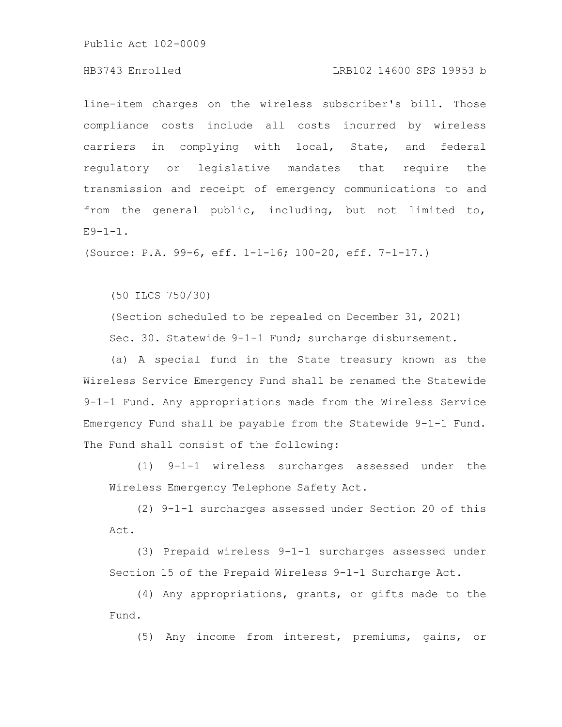# HB3743 Enrolled LRB102 14600 SPS 19953 b

line-item charges on the wireless subscriber's bill. Those compliance costs include all costs incurred by wireless carriers in complying with local, State, and federal regulatory or legislative mandates that require the transmission and receipt of emergency communications to and from the general public, including, but not limited to,  $E9-1-1.$ 

(Source: P.A. 99-6, eff. 1-1-16; 100-20, eff. 7-1-17.)

(50 ILCS 750/30)

(Section scheduled to be repealed on December 31, 2021) Sec. 30. Statewide 9-1-1 Fund; surcharge disbursement.

(a) A special fund in the State treasury known as the Wireless Service Emergency Fund shall be renamed the Statewide 9-1-1 Fund. Any appropriations made from the Wireless Service Emergency Fund shall be payable from the Statewide 9-1-1 Fund. The Fund shall consist of the following:

(1) 9-1-1 wireless surcharges assessed under the Wireless Emergency Telephone Safety Act.

(2) 9-1-1 surcharges assessed under Section 20 of this Act.

(3) Prepaid wireless 9-1-1 surcharges assessed under Section 15 of the Prepaid Wireless 9-1-1 Surcharge Act.

(4) Any appropriations, grants, or gifts made to the Fund.

(5) Any income from interest, premiums, gains, or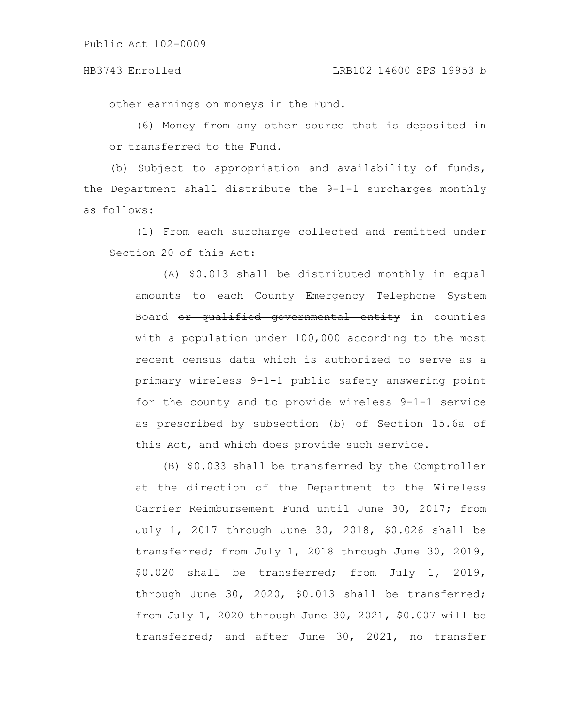#### HB3743 Enrolled LRB102 14600 SPS 19953 b

other earnings on moneys in the Fund.

(6) Money from any other source that is deposited in or transferred to the Fund.

(b) Subject to appropriation and availability of funds, the Department shall distribute the 9-1-1 surcharges monthly as follows:

(1) From each surcharge collected and remitted under Section 20 of this Act:

(A) \$0.013 shall be distributed monthly in equal amounts to each County Emergency Telephone System Board or qualified governmental entity in counties with a population under 100,000 according to the most recent census data which is authorized to serve as a primary wireless 9-1-1 public safety answering point for the county and to provide wireless 9-1-1 service as prescribed by subsection (b) of Section 15.6a of this Act, and which does provide such service.

(B) \$0.033 shall be transferred by the Comptroller at the direction of the Department to the Wireless Carrier Reimbursement Fund until June 30, 2017; from July 1, 2017 through June 30, 2018, \$0.026 shall be transferred; from July 1, 2018 through June 30, 2019, \$0.020 shall be transferred; from July 1, 2019, through June 30, 2020, \$0.013 shall be transferred; from July 1, 2020 through June 30, 2021, \$0.007 will be transferred; and after June 30, 2021, no transfer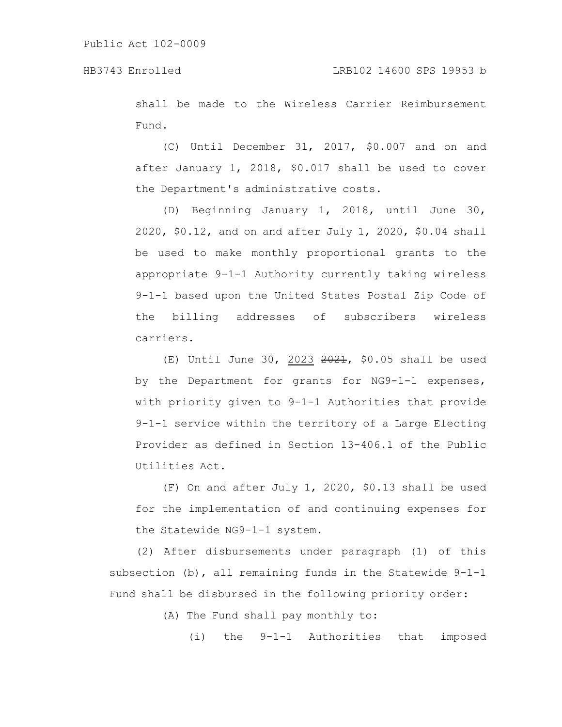shall be made to the Wireless Carrier Reimbursement Fund.

(C) Until December 31, 2017, \$0.007 and on and after January 1, 2018, \$0.017 shall be used to cover the Department's administrative costs.

(D) Beginning January 1, 2018, until June 30, 2020, \$0.12, and on and after July 1, 2020, \$0.04 shall be used to make monthly proportional grants to the appropriate 9-1-1 Authority currently taking wireless 9-1-1 based upon the United States Postal Zip Code of the billing addresses of subscribers wireless carriers.

 $(E)$  Until June 30, 2023  $2021$ , \$0.05 shall be used by the Department for grants for NG9-1-1 expenses, with priority given to 9-1-1 Authorities that provide 9-1-1 service within the territory of a Large Electing Provider as defined in Section 13-406.1 of the Public Utilities Act.

(F) On and after July 1, 2020, \$0.13 shall be used for the implementation of and continuing expenses for the Statewide NG9-1-1 system.

(2) After disbursements under paragraph (1) of this subsection (b), all remaining funds in the Statewide 9-1-1 Fund shall be disbursed in the following priority order:

(A) The Fund shall pay monthly to:

(i) the 9-1-1 Authorities that imposed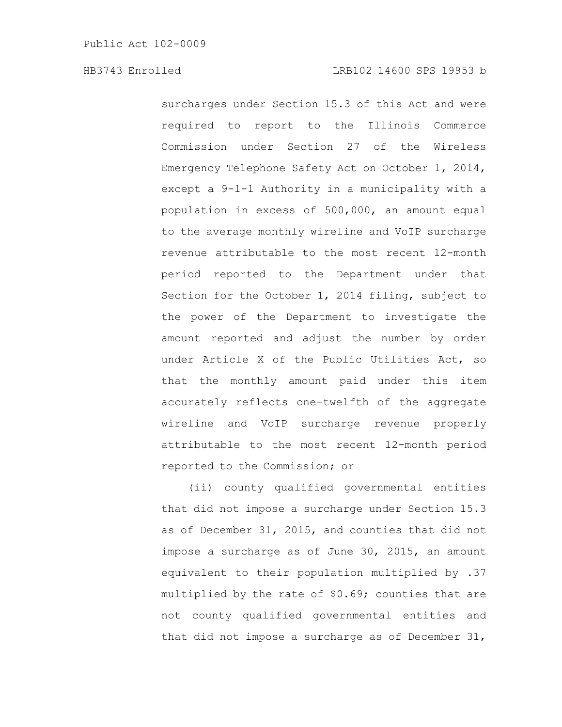surcharges under Section 15.3 of this Act and were required to report to the Illinois Commerce Commission under Section 27 of the Wireless Emergency Telephone Safety Act on October 1, 2014, except a 9-1-1 Authority in a municipality with a population in excess of 500,000, an amount equal to the average monthly wireline and VoIP surcharge revenue attributable to the most recent 12-month period reported to the Department under that Section for the October 1, 2014 filing, subject to the power of the Department to investigate the amount reported and adjust the number by order under Article X of the Public Utilities Act, so that the monthly amount paid under this item accurately reflects one-twelfth of the aggregate wireline and VoIP surcharge revenue properly attributable to the most recent 12-month period reported to the Commission; or

(ii) county qualified governmental entities that did not impose a surcharge under Section 15.3 as of December 31, 2015, and counties that did not impose a surcharge as of June 30, 2015, an amount equivalent to their population multiplied by .37 multiplied by the rate of \$0.69; counties that are not county qualified governmental entities and that did not impose a surcharge as of December 31,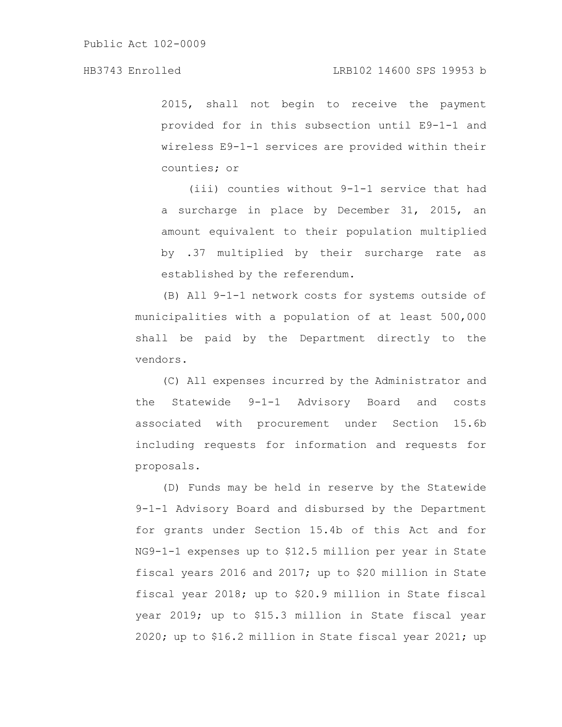2015, shall not begin to receive the payment provided for in this subsection until E9-1-1 and wireless E9-1-1 services are provided within their counties; or

(iii) counties without 9-1-1 service that had a surcharge in place by December 31, 2015, an amount equivalent to their population multiplied by .37 multiplied by their surcharge rate as established by the referendum.

(B) All 9-1-1 network costs for systems outside of municipalities with a population of at least 500,000 shall be paid by the Department directly to the vendors.

(C) All expenses incurred by the Administrator and the Statewide 9-1-1 Advisory Board and costs associated with procurement under Section 15.6b including requests for information and requests for proposals.

(D) Funds may be held in reserve by the Statewide 9-1-1 Advisory Board and disbursed by the Department for grants under Section 15.4b of this Act and for NG9-1-1 expenses up to \$12.5 million per year in State fiscal years 2016 and 2017; up to \$20 million in State fiscal year 2018; up to \$20.9 million in State fiscal year 2019; up to \$15.3 million in State fiscal year 2020; up to \$16.2 million in State fiscal year 2021; up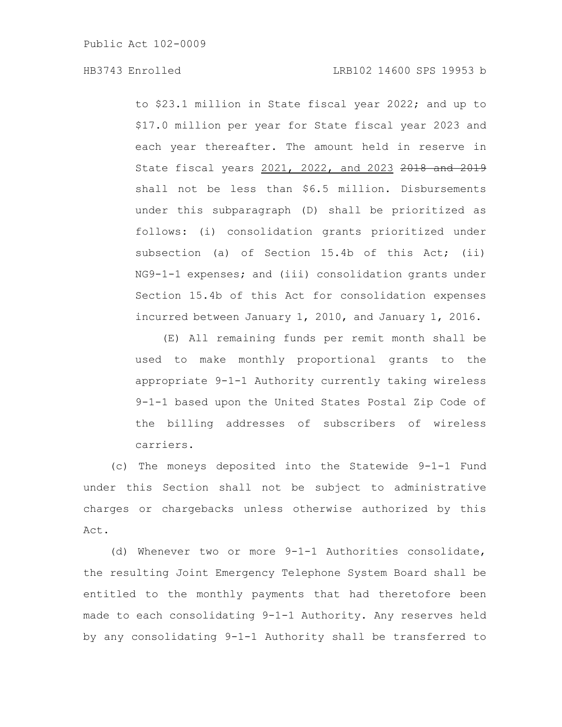to \$23.1 million in State fiscal year 2022; and up to \$17.0 million per year for State fiscal year 2023 and each year thereafter. The amount held in reserve in State fiscal years 2021, 2022, and 2023 2018 and 2019 shall not be less than \$6.5 million. Disbursements under this subparagraph (D) shall be prioritized as follows: (i) consolidation grants prioritized under subsection (a) of Section 15.4b of this Act; (ii) NG9-1-1 expenses; and (iii) consolidation grants under Section 15.4b of this Act for consolidation expenses incurred between January 1, 2010, and January 1, 2016.

(E) All remaining funds per remit month shall be used to make monthly proportional grants to the appropriate 9-1-1 Authority currently taking wireless 9-1-1 based upon the United States Postal Zip Code of the billing addresses of subscribers of wireless carriers.

(c) The moneys deposited into the Statewide 9-1-1 Fund under this Section shall not be subject to administrative charges or chargebacks unless otherwise authorized by this Act.

(d) Whenever two or more 9-1-1 Authorities consolidate, the resulting Joint Emergency Telephone System Board shall be entitled to the monthly payments that had theretofore been made to each consolidating 9-1-1 Authority. Any reserves held by any consolidating 9-1-1 Authority shall be transferred to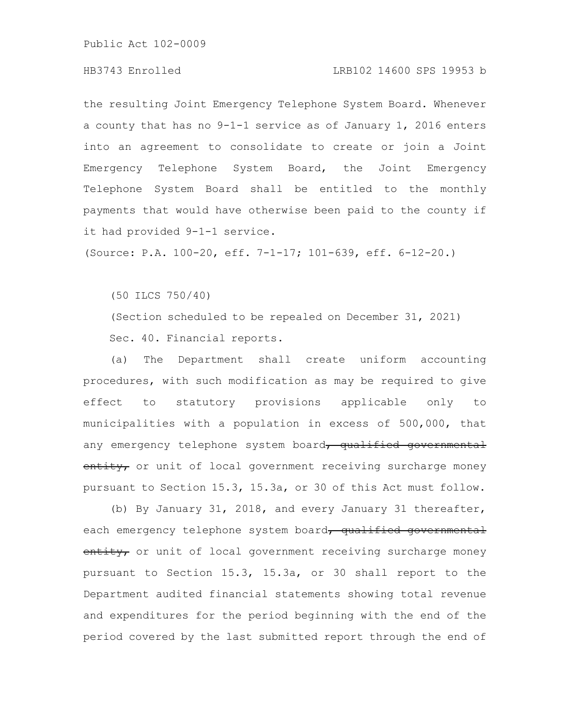### HB3743 Enrolled LRB102 14600 SPS 19953 b

the resulting Joint Emergency Telephone System Board. Whenever a county that has no 9-1-1 service as of January 1, 2016 enters into an agreement to consolidate to create or join a Joint Emergency Telephone System Board, the Joint Emergency Telephone System Board shall be entitled to the monthly payments that would have otherwise been paid to the county if it had provided 9-1-1 service.

(Source: P.A. 100-20, eff. 7-1-17; 101-639, eff. 6-12-20.)

(50 ILCS 750/40)

(Section scheduled to be repealed on December 31, 2021) Sec. 40. Financial reports.

(a) The Department shall create uniform accounting procedures, with such modification as may be required to give effect to statutory provisions applicable only to municipalities with a population in excess of 500,000, that any emergency telephone system board, qualified governmental entity, or unit of local government receiving surcharge money pursuant to Section 15.3, 15.3a, or 30 of this Act must follow.

(b) By January 31, 2018, and every January 31 thereafter, each emergency telephone system board, qualified governmental entity, or unit of local government receiving surcharge money pursuant to Section 15.3, 15.3a, or 30 shall report to the Department audited financial statements showing total revenue and expenditures for the period beginning with the end of the period covered by the last submitted report through the end of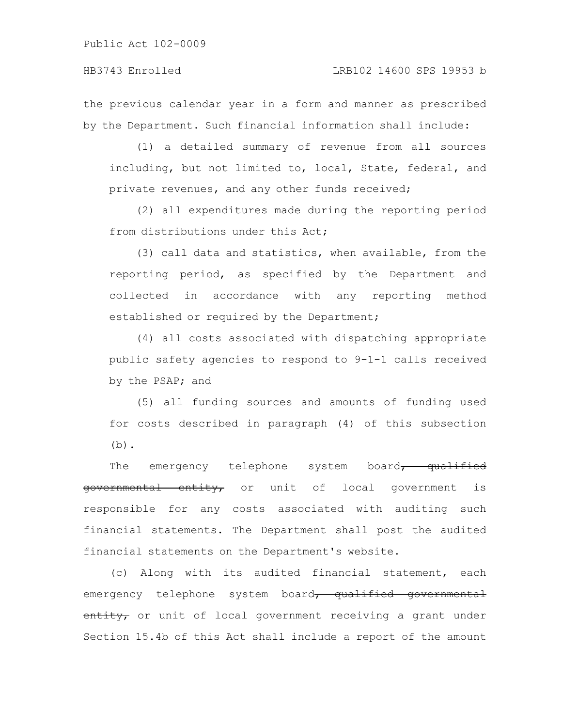the previous calendar year in a form and manner as prescribed by the Department. Such financial information shall include:

(1) a detailed summary of revenue from all sources including, but not limited to, local, State, federal, and private revenues, and any other funds received;

(2) all expenditures made during the reporting period from distributions under this Act;

(3) call data and statistics, when available, from the reporting period, as specified by the Department and collected in accordance with any reporting method established or required by the Department;

(4) all costs associated with dispatching appropriate public safety agencies to respond to 9-1-1 calls received by the PSAP; and

(5) all funding sources and amounts of funding used for costs described in paragraph (4) of this subsection  $(b)$ .

The emergency telephone system board, qualified governmental entity, or unit of local government is responsible for any costs associated with auditing such financial statements. The Department shall post the audited financial statements on the Department's website.

(c) Along with its audited financial statement, each emergency telephone system board, qualified governmental entity, or unit of local government receiving a grant under Section 15.4b of this Act shall include a report of the amount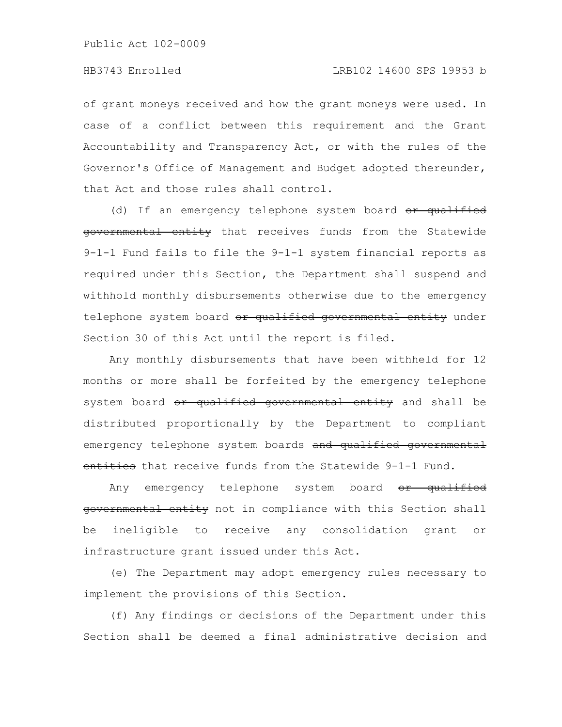of grant moneys received and how the grant moneys were used. In case of a conflict between this requirement and the Grant Accountability and Transparency Act, or with the rules of the Governor's Office of Management and Budget adopted thereunder, that Act and those rules shall control.

(d) If an emergency telephone system board or qualified governmental entity that receives funds from the Statewide 9-1-1 Fund fails to file the 9-1-1 system financial reports as required under this Section, the Department shall suspend and withhold monthly disbursements otherwise due to the emergency telephone system board or qualified governmental entity under Section 30 of this Act until the report is filed.

Any monthly disbursements that have been withheld for 12 months or more shall be forfeited by the emergency telephone system board or qualified governmental entity and shall be distributed proportionally by the Department to compliant emergency telephone system boards and qualified governmental entities that receive funds from the Statewide 9-1-1 Fund.

Any emergency telephone system board or qualified governmental entity not in compliance with this Section shall be ineligible to receive any consolidation grant or infrastructure grant issued under this Act.

(e) The Department may adopt emergency rules necessary to implement the provisions of this Section.

(f) Any findings or decisions of the Department under this Section shall be deemed a final administrative decision and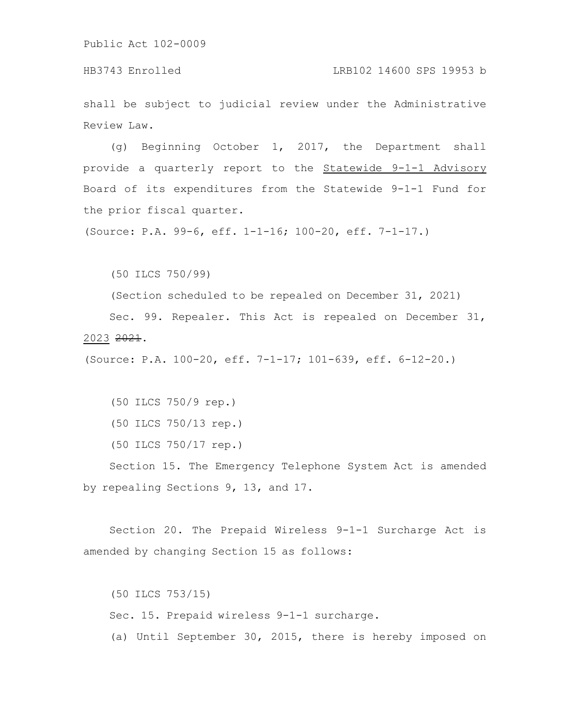HB3743 Enrolled LRB102 14600 SPS 19953 b

shall be subject to judicial review under the Administrative Review Law.

(g) Beginning October 1, 2017, the Department shall provide a quarterly report to the Statewide 9-1-1 Advisory Board of its expenditures from the Statewide 9-1-1 Fund for the prior fiscal quarter.

(Source: P.A. 99-6, eff. 1-1-16; 100-20, eff. 7-1-17.)

(50 ILCS 750/99)

(Section scheduled to be repealed on December 31, 2021)

Sec. 99. Repealer. This Act is repealed on December 31, 2023 2021.

(Source: P.A. 100-20, eff. 7-1-17; 101-639, eff. 6-12-20.)

(50 ILCS 750/9 rep.)

- (50 ILCS 750/13 rep.)
- (50 ILCS 750/17 rep.)

Section 15. The Emergency Telephone System Act is amended by repealing Sections 9, 13, and 17.

Section 20. The Prepaid Wireless 9-1-1 Surcharge Act is amended by changing Section 15 as follows:

(50 ILCS 753/15) Sec. 15. Prepaid wireless 9-1-1 surcharge. (a) Until September 30, 2015, there is hereby imposed on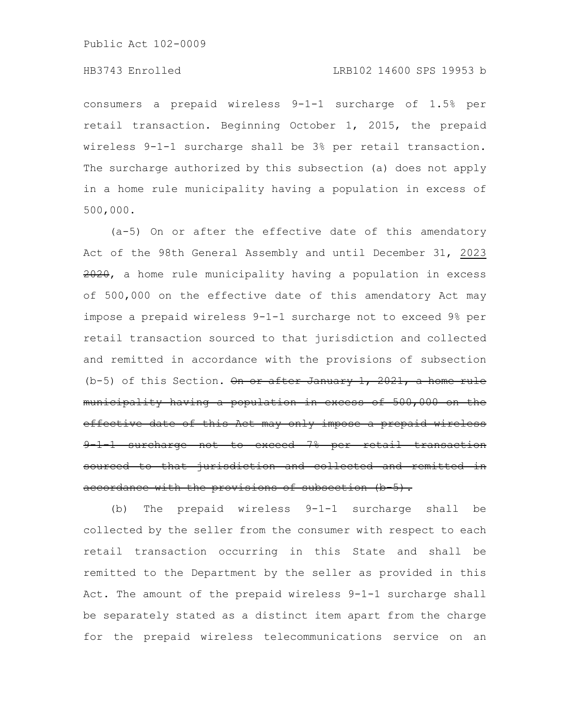## HB3743 Enrolled LRB102 14600 SPS 19953 b

consumers a prepaid wireless 9-1-1 surcharge of 1.5% per retail transaction. Beginning October 1, 2015, the prepaid wireless 9-1-1 surcharge shall be 3% per retail transaction. The surcharge authorized by this subsection (a) does not apply in a home rule municipality having a population in excess of 500,000.

(a-5) On or after the effective date of this amendatory Act of the 98th General Assembly and until December 31, 2023 2020, a home rule municipality having a population in excess of 500,000 on the effective date of this amendatory Act may impose a prepaid wireless 9-1-1 surcharge not to exceed 9% per retail transaction sourced to that jurisdiction and collected and remitted in accordance with the provisions of subsection (b-5) of this Section. On or after January 1, 2021, a home rule municipality having a population in excess of 500,000 on the effective date of this Act may only impose a prepaid wireless 9-1-1 surcharge not to exceed 7% per retail transaction sourced to that jurisdiction and collected and remitted in accordance with the provisions of subsection (b 5).

(b) The prepaid wireless 9-1-1 surcharge shall be collected by the seller from the consumer with respect to each retail transaction occurring in this State and shall be remitted to the Department by the seller as provided in this Act. The amount of the prepaid wireless 9-1-1 surcharge shall be separately stated as a distinct item apart from the charge for the prepaid wireless telecommunications service on an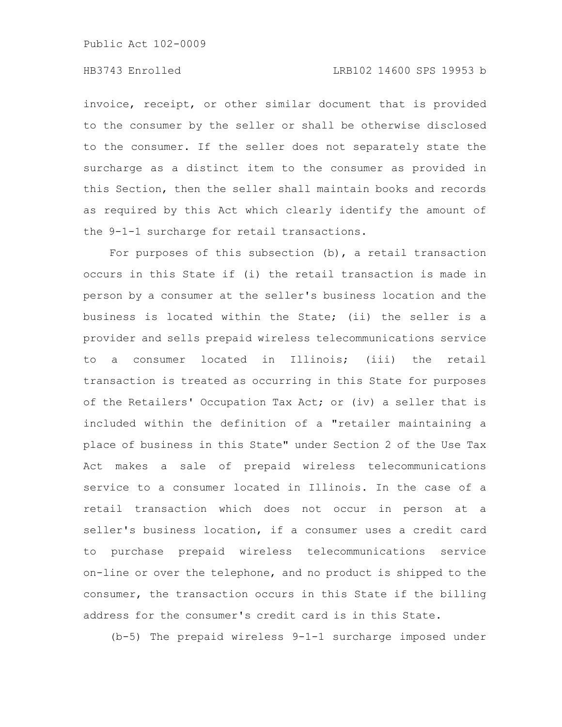# HB3743 Enrolled LRB102 14600 SPS 19953 b

invoice, receipt, or other similar document that is provided to the consumer by the seller or shall be otherwise disclosed to the consumer. If the seller does not separately state the surcharge as a distinct item to the consumer as provided in this Section, then the seller shall maintain books and records as required by this Act which clearly identify the amount of the 9-1-1 surcharge for retail transactions.

For purposes of this subsection (b), a retail transaction occurs in this State if (i) the retail transaction is made in person by a consumer at the seller's business location and the business is located within the State; (ii) the seller is a provider and sells prepaid wireless telecommunications service to a consumer located in Illinois; (iii) the retail transaction is treated as occurring in this State for purposes of the Retailers' Occupation Tax Act; or (iv) a seller that is included within the definition of a "retailer maintaining a place of business in this State" under Section 2 of the Use Tax Act makes a sale of prepaid wireless telecommunications service to a consumer located in Illinois. In the case of a retail transaction which does not occur in person at a seller's business location, if a consumer uses a credit card to purchase prepaid wireless telecommunications service on-line or over the telephone, and no product is shipped to the consumer, the transaction occurs in this State if the billing address for the consumer's credit card is in this State.

(b-5) The prepaid wireless 9-1-1 surcharge imposed under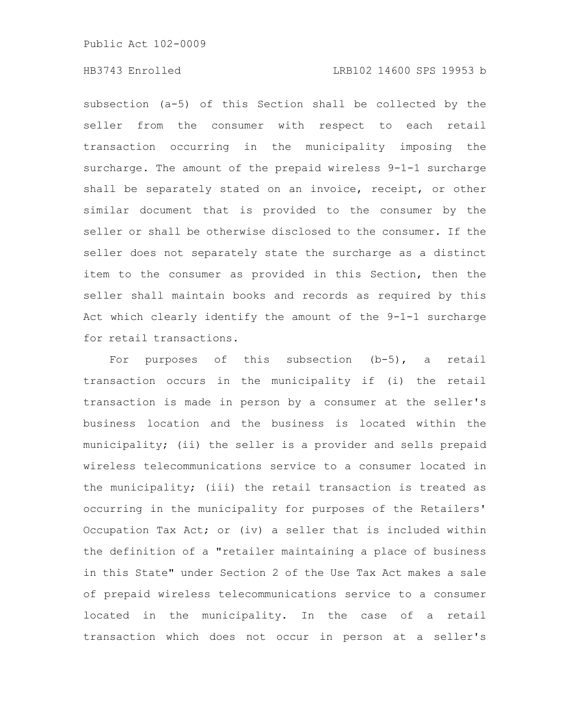## HB3743 Enrolled LRB102 14600 SPS 19953 b

subsection (a-5) of this Section shall be collected by the seller from the consumer with respect to each retail transaction occurring in the municipality imposing the surcharge. The amount of the prepaid wireless 9-1-1 surcharge shall be separately stated on an invoice, receipt, or other similar document that is provided to the consumer by the seller or shall be otherwise disclosed to the consumer. If the seller does not separately state the surcharge as a distinct item to the consumer as provided in this Section, then the seller shall maintain books and records as required by this Act which clearly identify the amount of the 9-1-1 surcharge for retail transactions.

For purposes of this subsection (b-5), a retail transaction occurs in the municipality if (i) the retail transaction is made in person by a consumer at the seller's business location and the business is located within the municipality; (ii) the seller is a provider and sells prepaid wireless telecommunications service to a consumer located in the municipality; (iii) the retail transaction is treated as occurring in the municipality for purposes of the Retailers' Occupation Tax Act; or (iv) a seller that is included within the definition of a "retailer maintaining a place of business in this State" under Section 2 of the Use Tax Act makes a sale of prepaid wireless telecommunications service to a consumer located in the municipality. In the case of a retail transaction which does not occur in person at a seller's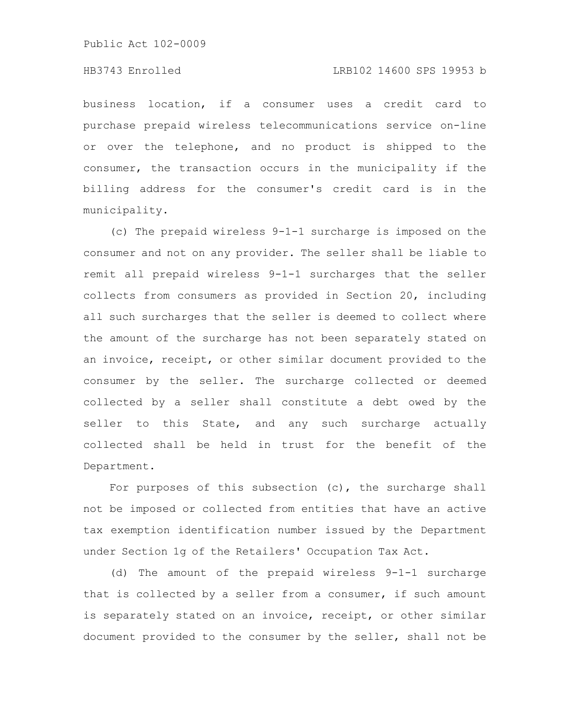## HB3743 Enrolled LRB102 14600 SPS 19953 b

business location, if a consumer uses a credit card to purchase prepaid wireless telecommunications service on-line or over the telephone, and no product is shipped to the consumer, the transaction occurs in the municipality if the billing address for the consumer's credit card is in the municipality.

(c) The prepaid wireless 9-1-1 surcharge is imposed on the consumer and not on any provider. The seller shall be liable to remit all prepaid wireless 9-1-1 surcharges that the seller collects from consumers as provided in Section 20, including all such surcharges that the seller is deemed to collect where the amount of the surcharge has not been separately stated on an invoice, receipt, or other similar document provided to the consumer by the seller. The surcharge collected or deemed collected by a seller shall constitute a debt owed by the seller to this State, and any such surcharge actually collected shall be held in trust for the benefit of the Department.

For purposes of this subsection  $(c)$ , the surcharge shall not be imposed or collected from entities that have an active tax exemption identification number issued by the Department under Section 1g of the Retailers' Occupation Tax Act.

(d) The amount of the prepaid wireless 9-1-1 surcharge that is collected by a seller from a consumer, if such amount is separately stated on an invoice, receipt, or other similar document provided to the consumer by the seller, shall not be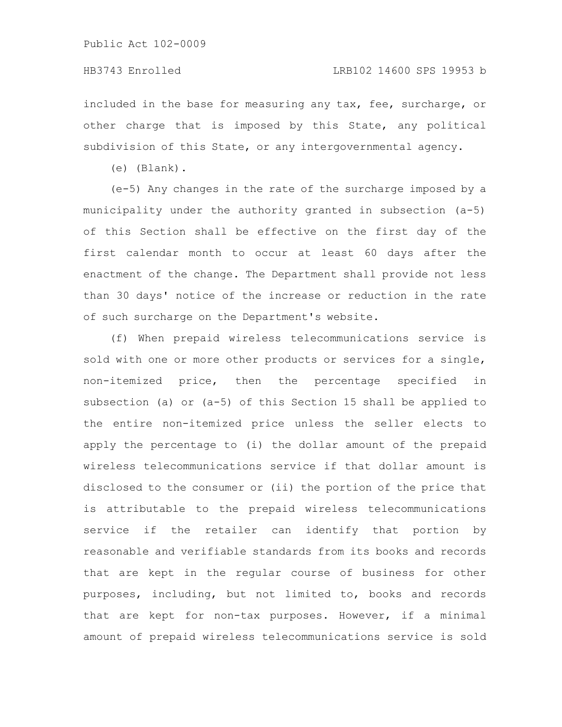### HB3743 Enrolled LRB102 14600 SPS 19953 b

included in the base for measuring any tax, fee, surcharge, or other charge that is imposed by this State, any political subdivision of this State, or any intergovernmental agency.

(e) (Blank).

(e-5) Any changes in the rate of the surcharge imposed by a municipality under the authority granted in subsection (a-5) of this Section shall be effective on the first day of the first calendar month to occur at least 60 days after the enactment of the change. The Department shall provide not less than 30 days' notice of the increase or reduction in the rate of such surcharge on the Department's website.

(f) When prepaid wireless telecommunications service is sold with one or more other products or services for a single, non-itemized price, then the percentage specified in subsection (a) or (a-5) of this Section 15 shall be applied to the entire non-itemized price unless the seller elects to apply the percentage to (i) the dollar amount of the prepaid wireless telecommunications service if that dollar amount is disclosed to the consumer or (ii) the portion of the price that is attributable to the prepaid wireless telecommunications service if the retailer can identify that portion by reasonable and verifiable standards from its books and records that are kept in the regular course of business for other purposes, including, but not limited to, books and records that are kept for non-tax purposes. However, if a minimal amount of prepaid wireless telecommunications service is sold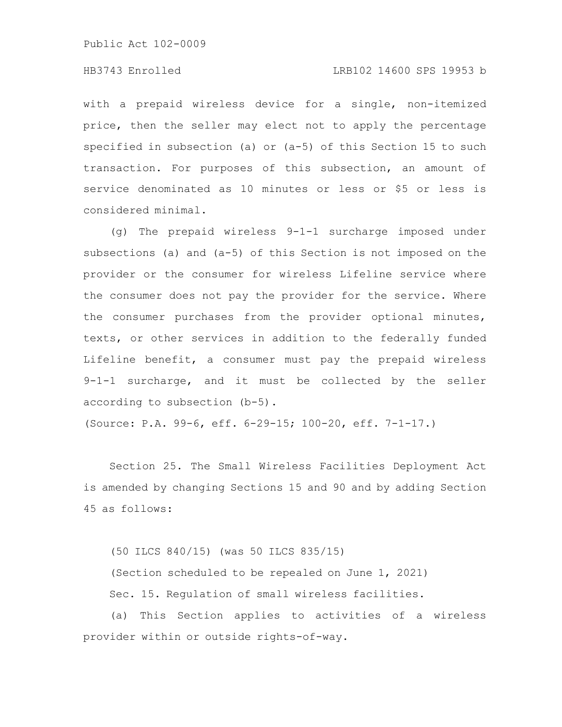## HB3743 Enrolled LRB102 14600 SPS 19953 b

with a prepaid wireless device for a single, non-itemized price, then the seller may elect not to apply the percentage specified in subsection (a) or (a-5) of this Section 15 to such transaction. For purposes of this subsection, an amount of service denominated as 10 minutes or less or \$5 or less is considered minimal.

(g) The prepaid wireless 9-1-1 surcharge imposed under subsections (a) and (a-5) of this Section is not imposed on the provider or the consumer for wireless Lifeline service where the consumer does not pay the provider for the service. Where the consumer purchases from the provider optional minutes, texts, or other services in addition to the federally funded Lifeline benefit, a consumer must pay the prepaid wireless 9-1-1 surcharge, and it must be collected by the seller according to subsection (b-5).

(Source: P.A. 99-6, eff. 6-29-15; 100-20, eff. 7-1-17.)

Section 25. The Small Wireless Facilities Deployment Act is amended by changing Sections 15 and 90 and by adding Section 45 as follows:

(50 ILCS 840/15) (was 50 ILCS 835/15) (Section scheduled to be repealed on June 1, 2021) Sec. 15. Regulation of small wireless facilities.

(a) This Section applies to activities of a wireless provider within or outside rights-of-way.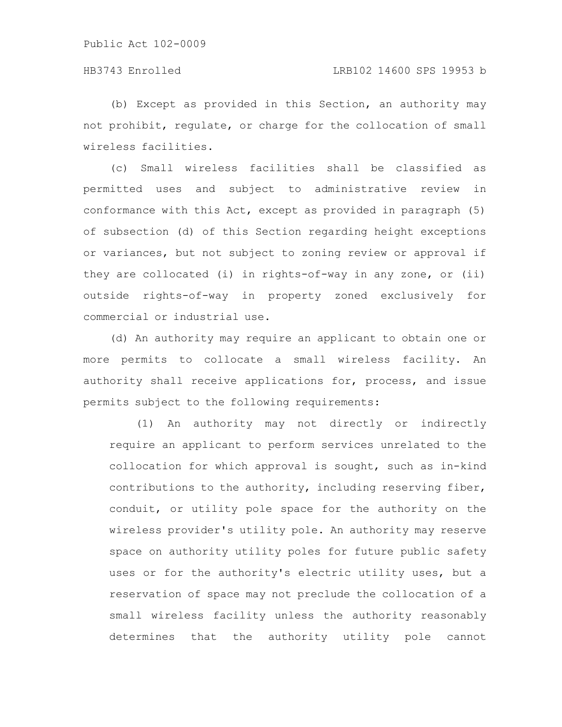(b) Except as provided in this Section, an authority may not prohibit, regulate, or charge for the collocation of small wireless facilities.

(c) Small wireless facilities shall be classified as permitted uses and subject to administrative review in conformance with this Act, except as provided in paragraph (5) of subsection (d) of this Section regarding height exceptions or variances, but not subject to zoning review or approval if they are collocated (i) in rights-of-way in any zone, or (ii) outside rights-of-way in property zoned exclusively for commercial or industrial use.

(d) An authority may require an applicant to obtain one or more permits to collocate a small wireless facility. An authority shall receive applications for, process, and issue permits subject to the following requirements:

(1) An authority may not directly or indirectly require an applicant to perform services unrelated to the collocation for which approval is sought, such as in-kind contributions to the authority, including reserving fiber, conduit, or utility pole space for the authority on the wireless provider's utility pole. An authority may reserve space on authority utility poles for future public safety uses or for the authority's electric utility uses, but a reservation of space may not preclude the collocation of a small wireless facility unless the authority reasonably determines that the authority utility pole cannot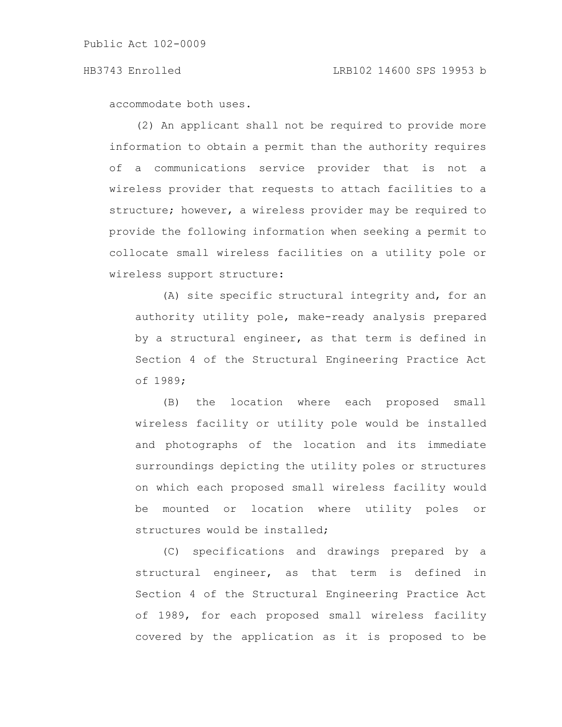accommodate both uses.

(2) An applicant shall not be required to provide more information to obtain a permit than the authority requires of a communications service provider that is not a wireless provider that requests to attach facilities to a structure; however, a wireless provider may be required to provide the following information when seeking a permit to collocate small wireless facilities on a utility pole or wireless support structure:

(A) site specific structural integrity and, for an authority utility pole, make-ready analysis prepared by a structural engineer, as that term is defined in Section 4 of the Structural Engineering Practice Act of 1989;

(B) the location where each proposed small wireless facility or utility pole would be installed and photographs of the location and its immediate surroundings depicting the utility poles or structures on which each proposed small wireless facility would be mounted or location where utility poles or structures would be installed;

(C) specifications and drawings prepared by a structural engineer, as that term is defined in Section 4 of the Structural Engineering Practice Act of 1989, for each proposed small wireless facility covered by the application as it is proposed to be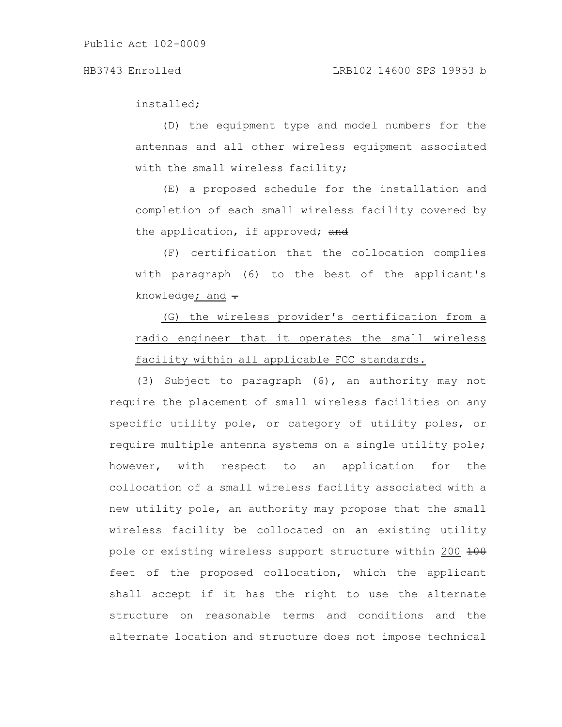installed;

(D) the equipment type and model numbers for the antennas and all other wireless equipment associated with the small wireless facility;

(E) a proposed schedule for the installation and completion of each small wireless facility covered by the application, if approved; and

(F) certification that the collocation complies with paragraph (6) to the best of the applicant's knowledge; and  $\div$ 

(G) the wireless provider's certification from a radio engineer that it operates the small wireless facility within all applicable FCC standards.

(3) Subject to paragraph (6), an authority may not require the placement of small wireless facilities on any specific utility pole, or category of utility poles, or require multiple antenna systems on a single utility pole; however, with respect to an application for the collocation of a small wireless facility associated with a new utility pole, an authority may propose that the small wireless facility be collocated on an existing utility pole or existing wireless support structure within 200 200 feet of the proposed collocation, which the applicant shall accept if it has the right to use the alternate structure on reasonable terms and conditions and the alternate location and structure does not impose technical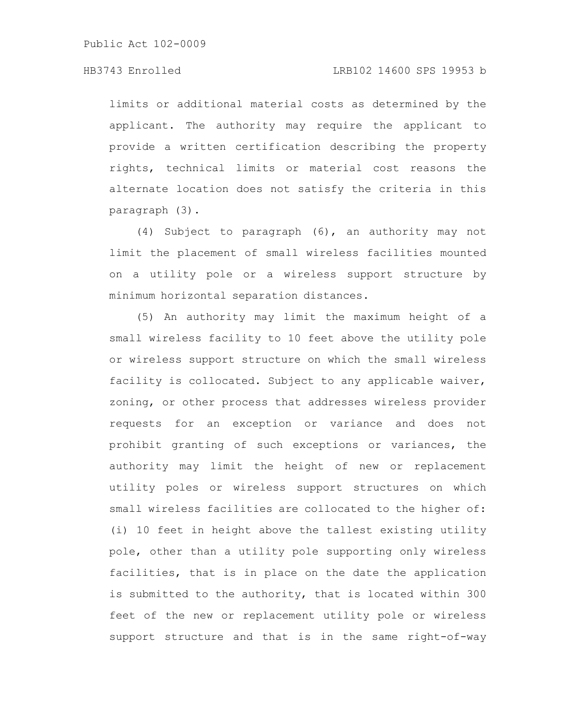limits or additional material costs as determined by the applicant. The authority may require the applicant to provide a written certification describing the property rights, technical limits or material cost reasons the alternate location does not satisfy the criteria in this paragraph (3).

(4) Subject to paragraph (6), an authority may not limit the placement of small wireless facilities mounted on a utility pole or a wireless support structure by minimum horizontal separation distances.

(5) An authority may limit the maximum height of a small wireless facility to 10 feet above the utility pole or wireless support structure on which the small wireless facility is collocated. Subject to any applicable waiver, zoning, or other process that addresses wireless provider requests for an exception or variance and does not prohibit granting of such exceptions or variances, the authority may limit the height of new or replacement utility poles or wireless support structures on which small wireless facilities are collocated to the higher of: (i) 10 feet in height above the tallest existing utility pole, other than a utility pole supporting only wireless facilities, that is in place on the date the application is submitted to the authority, that is located within 300 feet of the new or replacement utility pole or wireless support structure and that is in the same right-of-way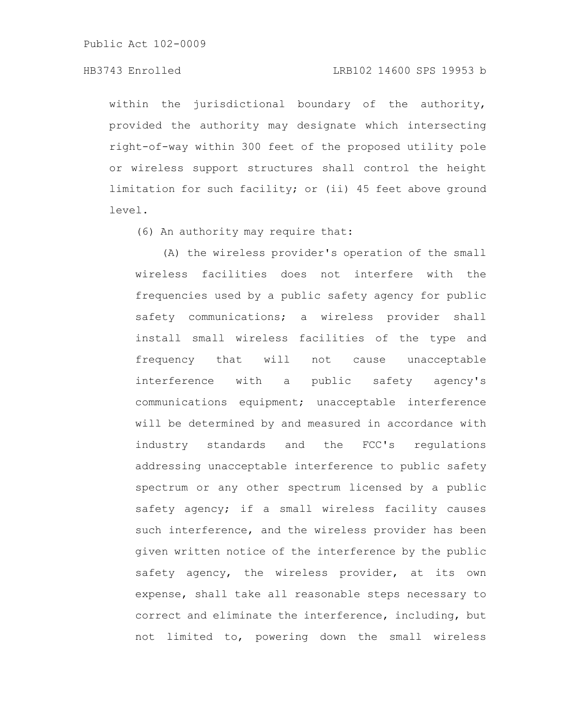## HB3743 Enrolled LRB102 14600 SPS 19953 b

within the jurisdictional boundary of the authority, provided the authority may designate which intersecting right-of-way within 300 feet of the proposed utility pole or wireless support structures shall control the height limitation for such facility; or (ii) 45 feet above ground level.

(6) An authority may require that:

(A) the wireless provider's operation of the small wireless facilities does not interfere with the frequencies used by a public safety agency for public safety communications; a wireless provider shall install small wireless facilities of the type and frequency that will not cause unacceptable interference with a public safety agency's communications equipment; unacceptable interference will be determined by and measured in accordance with industry standards and the FCC's regulations addressing unacceptable interference to public safety spectrum or any other spectrum licensed by a public safety agency; if a small wireless facility causes such interference, and the wireless provider has been given written notice of the interference by the public safety agency, the wireless provider, at its own expense, shall take all reasonable steps necessary to correct and eliminate the interference, including, but not limited to, powering down the small wireless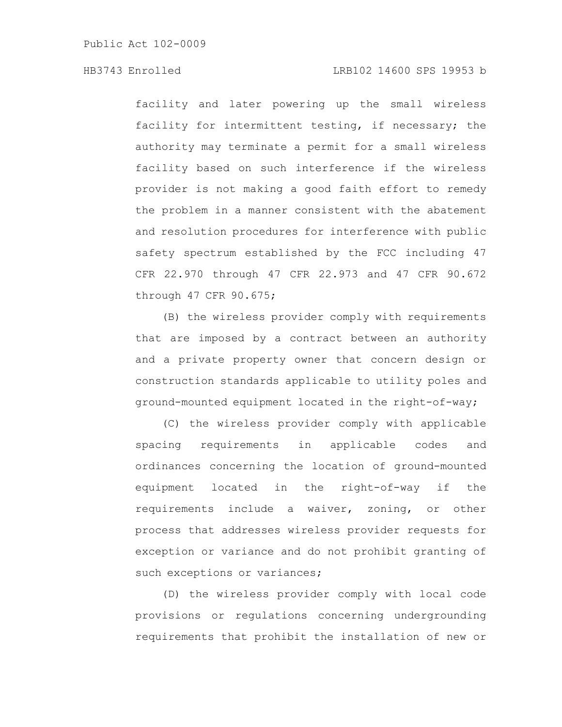# HB3743 Enrolled LRB102 14600 SPS 19953 b

facility and later powering up the small wireless facility for intermittent testing, if necessary; the authority may terminate a permit for a small wireless facility based on such interference if the wireless provider is not making a good faith effort to remedy the problem in a manner consistent with the abatement and resolution procedures for interference with public safety spectrum established by the FCC including 47 CFR 22.970 through 47 CFR 22.973 and 47 CFR 90.672 through 47 CFR 90.675;

(B) the wireless provider comply with requirements that are imposed by a contract between an authority and a private property owner that concern design or construction standards applicable to utility poles and ground-mounted equipment located in the right-of-way;

(C) the wireless provider comply with applicable spacing requirements in applicable codes and ordinances concerning the location of ground-mounted equipment located in the right-of-way if the requirements include a waiver, zoning, or other process that addresses wireless provider requests for exception or variance and do not prohibit granting of such exceptions or variances;

(D) the wireless provider comply with local code provisions or regulations concerning undergrounding requirements that prohibit the installation of new or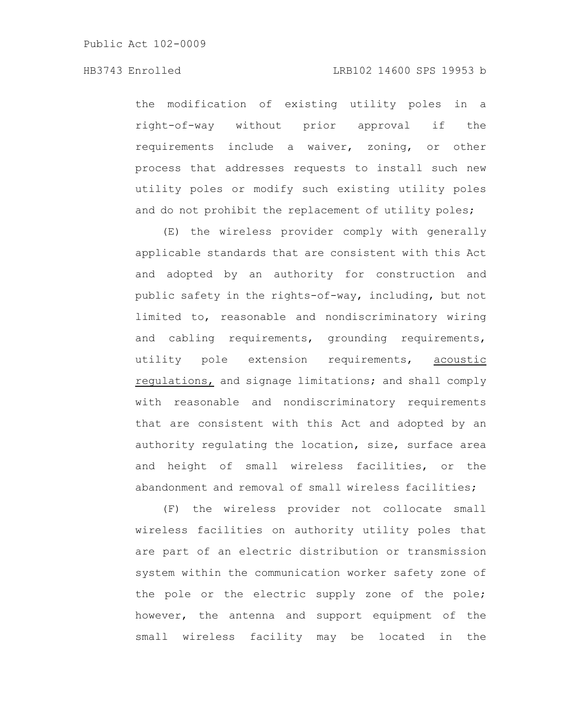the modification of existing utility poles in a right-of-way without prior approval if the requirements include a waiver, zoning, or other process that addresses requests to install such new utility poles or modify such existing utility poles and do not prohibit the replacement of utility poles;

(E) the wireless provider comply with generally applicable standards that are consistent with this Act and adopted by an authority for construction and public safety in the rights-of-way, including, but not limited to, reasonable and nondiscriminatory wiring and cabling requirements, grounding requirements, utility pole extension requirements, acoustic regulations, and signage limitations; and shall comply with reasonable and nondiscriminatory requirements that are consistent with this Act and adopted by an authority regulating the location, size, surface area and height of small wireless facilities, or the abandonment and removal of small wireless facilities;

(F) the wireless provider not collocate small wireless facilities on authority utility poles that are part of an electric distribution or transmission system within the communication worker safety zone of the pole or the electric supply zone of the pole; however, the antenna and support equipment of the small wireless facility may be located in the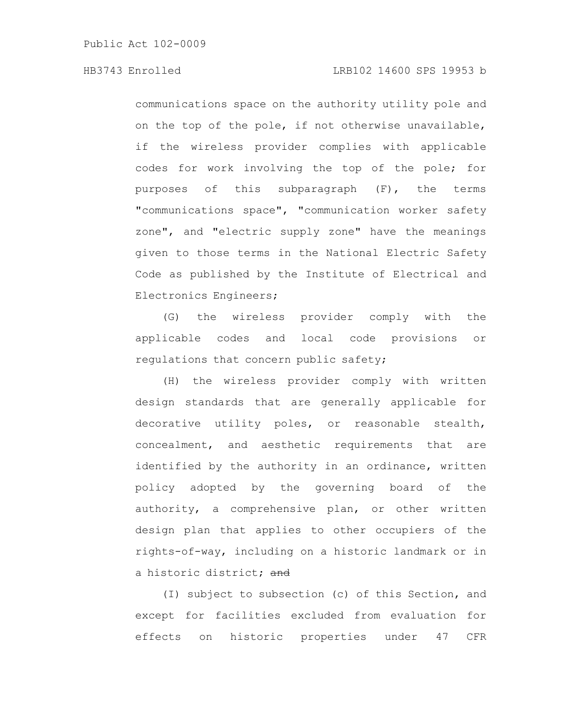communications space on the authority utility pole and on the top of the pole, if not otherwise unavailable, if the wireless provider complies with applicable codes for work involving the top of the pole; for purposes of this subparagraph (F), the terms "communications space", "communication worker safety zone", and "electric supply zone" have the meanings given to those terms in the National Electric Safety Code as published by the Institute of Electrical and Electronics Engineers;

(G) the wireless provider comply with the applicable codes and local code provisions or regulations that concern public safety;

(H) the wireless provider comply with written design standards that are generally applicable for decorative utility poles, or reasonable stealth, concealment, and aesthetic requirements that are identified by the authority in an ordinance, written policy adopted by the governing board of the authority, a comprehensive plan, or other written design plan that applies to other occupiers of the rights-of-way, including on a historic landmark or in a historic district; and

(I) subject to subsection (c) of this Section, and except for facilities excluded from evaluation for effects on historic properties under 47 CFR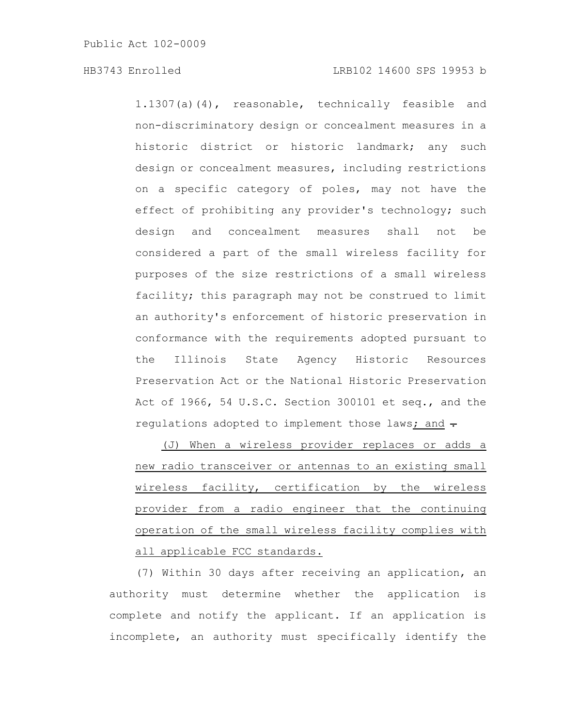1.1307(a)(4), reasonable, technically feasible and non-discriminatory design or concealment measures in a historic district or historic landmark; any such design or concealment measures, including restrictions on a specific category of poles, may not have the effect of prohibiting any provider's technology; such design and concealment measures shall not be considered a part of the small wireless facility for purposes of the size restrictions of a small wireless facility; this paragraph may not be construed to limit an authority's enforcement of historic preservation in conformance with the requirements adopted pursuant to the Illinois State Agency Historic Resources Preservation Act or the National Historic Preservation Act of 1966, 54 U.S.C. Section 300101 et seq., and the regulations adopted to implement those laws; and  $\div$ 

(J) When a wireless provider replaces or adds a new radio transceiver or antennas to an existing small wireless facility, certification by the wireless provider from a radio engineer that the continuing operation of the small wireless facility complies with all applicable FCC standards.

(7) Within 30 days after receiving an application, an authority must determine whether the application is complete and notify the applicant. If an application is incomplete, an authority must specifically identify the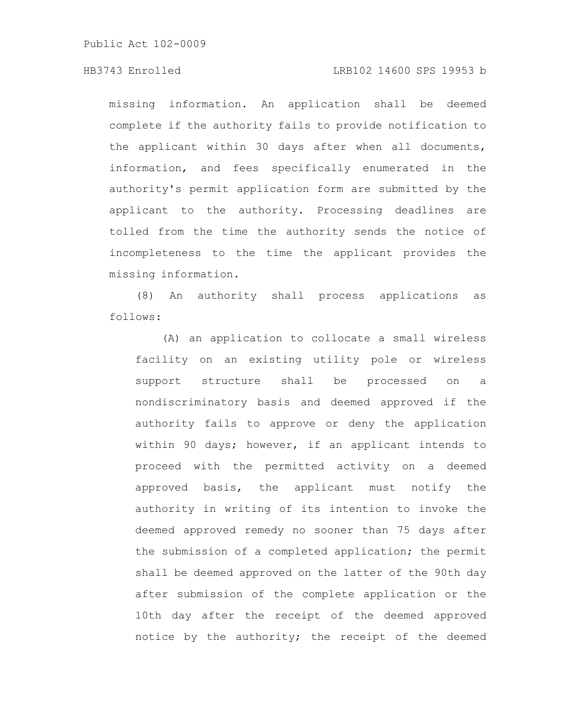# HB3743 Enrolled LRB102 14600 SPS 19953 b

missing information. An application shall be deemed complete if the authority fails to provide notification to the applicant within 30 days after when all documents, information, and fees specifically enumerated in the authority's permit application form are submitted by the applicant to the authority. Processing deadlines are tolled from the time the authority sends the notice of incompleteness to the time the applicant provides the missing information.

(8) An authority shall process applications as follows:

(A) an application to collocate a small wireless facility on an existing utility pole or wireless support structure shall be processed on a nondiscriminatory basis and deemed approved if the authority fails to approve or deny the application within 90 days; however, if an applicant intends to proceed with the permitted activity on a deemed approved basis, the applicant must notify the authority in writing of its intention to invoke the deemed approved remedy no sooner than 75 days after the submission of a completed application; the permit shall be deemed approved on the latter of the 90th day after submission of the complete application or the 10th day after the receipt of the deemed approved notice by the authority; the receipt of the deemed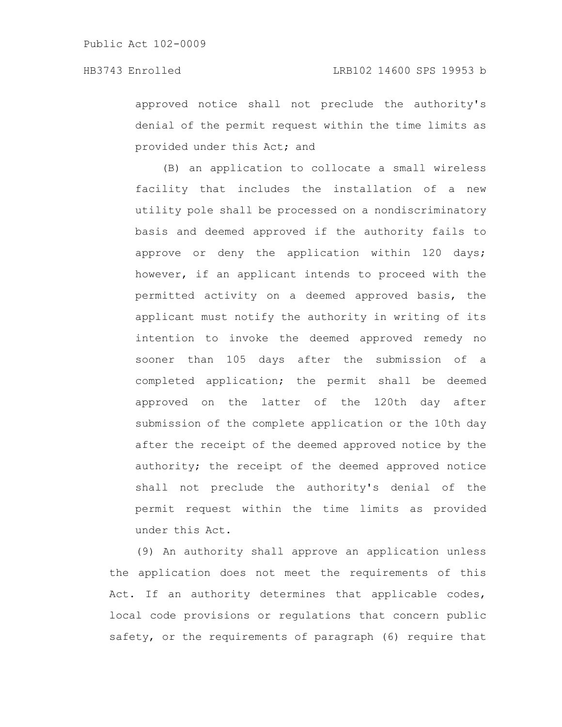approved notice shall not preclude the authority's denial of the permit request within the time limits as provided under this Act; and

(B) an application to collocate a small wireless facility that includes the installation of a new utility pole shall be processed on a nondiscriminatory basis and deemed approved if the authority fails to approve or deny the application within 120 days; however, if an applicant intends to proceed with the permitted activity on a deemed approved basis, the applicant must notify the authority in writing of its intention to invoke the deemed approved remedy no sooner than 105 days after the submission of a completed application; the permit shall be deemed approved on the latter of the 120th day after submission of the complete application or the 10th day after the receipt of the deemed approved notice by the authority; the receipt of the deemed approved notice shall not preclude the authority's denial of the permit request within the time limits as provided under this Act.

(9) An authority shall approve an application unless the application does not meet the requirements of this Act. If an authority determines that applicable codes, local code provisions or regulations that concern public safety, or the requirements of paragraph (6) require that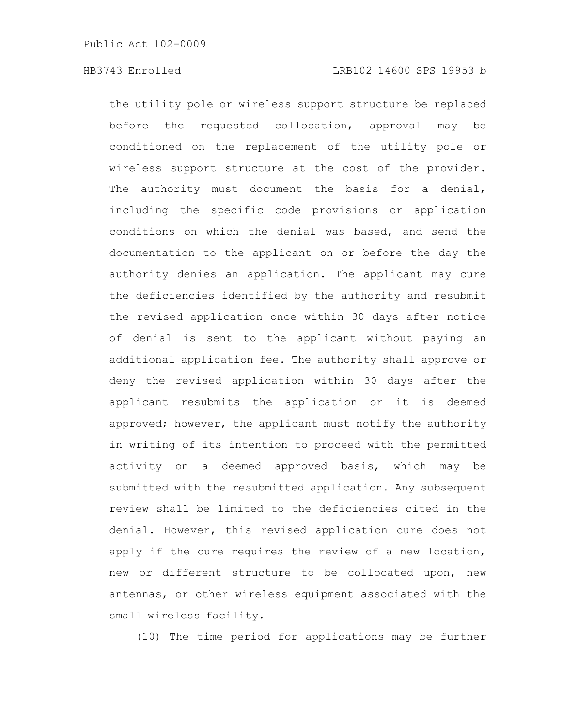the utility pole or wireless support structure be replaced before the requested collocation, approval may be conditioned on the replacement of the utility pole or wireless support structure at the cost of the provider. The authority must document the basis for a denial, including the specific code provisions or application conditions on which the denial was based, and send the documentation to the applicant on or before the day the authority denies an application. The applicant may cure the deficiencies identified by the authority and resubmit the revised application once within 30 days after notice of denial is sent to the applicant without paying an additional application fee. The authority shall approve or deny the revised application within 30 days after the applicant resubmits the application or it is deemed approved; however, the applicant must notify the authority in writing of its intention to proceed with the permitted activity on a deemed approved basis, which may be submitted with the resubmitted application. Any subsequent review shall be limited to the deficiencies cited in the denial. However, this revised application cure does not apply if the cure requires the review of a new location, new or different structure to be collocated upon, new antennas, or other wireless equipment associated with the small wireless facility.

(10) The time period for applications may be further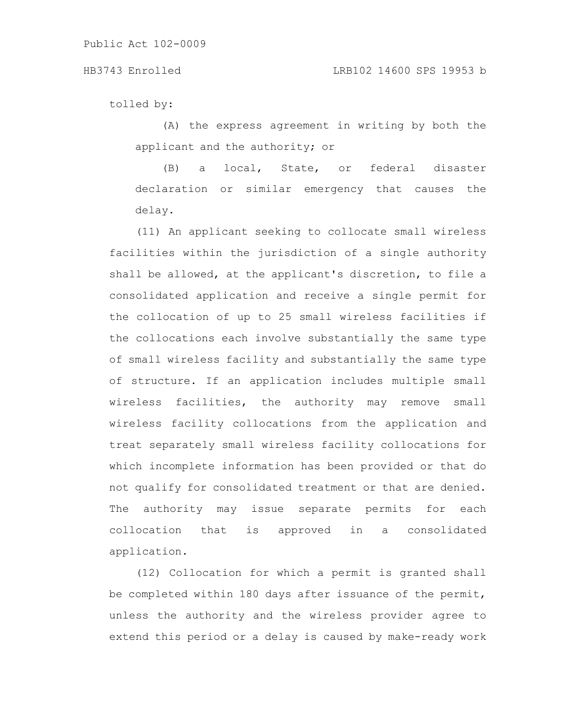tolled by:

(A) the express agreement in writing by both the applicant and the authority; or

(B) a local, State, or federal disaster declaration or similar emergency that causes the delay.

(11) An applicant seeking to collocate small wireless facilities within the jurisdiction of a single authority shall be allowed, at the applicant's discretion, to file a consolidated application and receive a single permit for the collocation of up to 25 small wireless facilities if the collocations each involve substantially the same type of small wireless facility and substantially the same type of structure. If an application includes multiple small wireless facilities, the authority may remove small wireless facility collocations from the application and treat separately small wireless facility collocations for which incomplete information has been provided or that do not qualify for consolidated treatment or that are denied. The authority may issue separate permits for each collocation that is approved in a consolidated application.

(12) Collocation for which a permit is granted shall be completed within 180 days after issuance of the permit, unless the authority and the wireless provider agree to extend this period or a delay is caused by make-ready work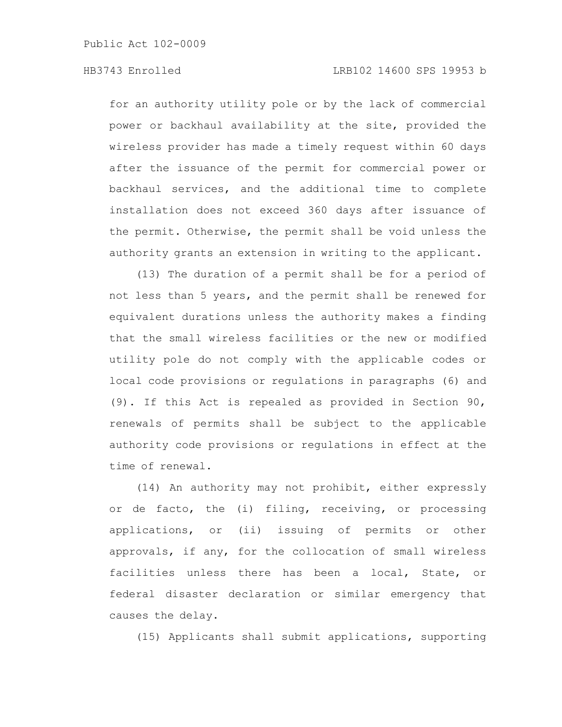for an authority utility pole or by the lack of commercial power or backhaul availability at the site, provided the wireless provider has made a timely request within 60 days after the issuance of the permit for commercial power or backhaul services, and the additional time to complete installation does not exceed 360 days after issuance of the permit. Otherwise, the permit shall be void unless the authority grants an extension in writing to the applicant.

(13) The duration of a permit shall be for a period of not less than 5 years, and the permit shall be renewed for equivalent durations unless the authority makes a finding that the small wireless facilities or the new or modified utility pole do not comply with the applicable codes or local code provisions or regulations in paragraphs (6) and (9). If this Act is repealed as provided in Section 90, renewals of permits shall be subject to the applicable authority code provisions or regulations in effect at the time of renewal.

(14) An authority may not prohibit, either expressly or de facto, the (i) filing, receiving, or processing applications, or (ii) issuing of permits or other approvals, if any, for the collocation of small wireless facilities unless there has been a local, State, or federal disaster declaration or similar emergency that causes the delay.

(15) Applicants shall submit applications, supporting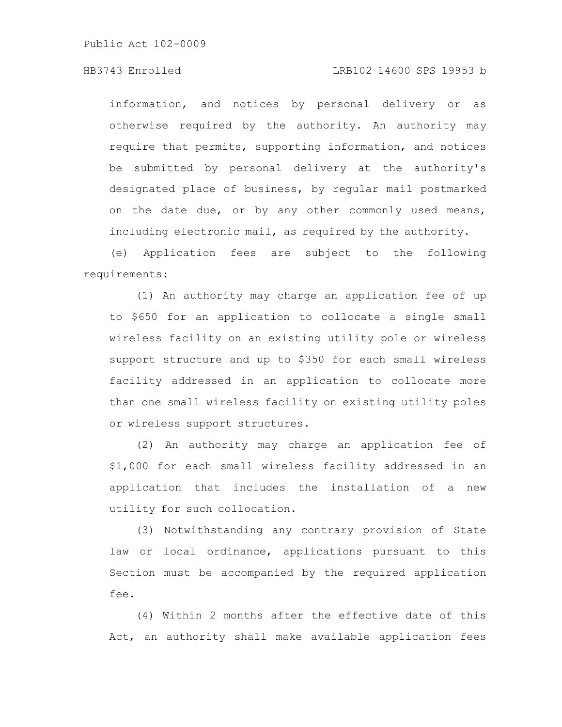## HB3743 Enrolled LRB102 14600 SPS 19953 b

information, and notices by personal delivery or as otherwise required by the authority. An authority may require that permits, supporting information, and notices be submitted by personal delivery at the authority's designated place of business, by regular mail postmarked on the date due, or by any other commonly used means, including electronic mail, as required by the authority.

(e) Application fees are subject to the following requirements:

(1) An authority may charge an application fee of up to \$650 for an application to collocate a single small wireless facility on an existing utility pole or wireless support structure and up to \$350 for each small wireless facility addressed in an application to collocate more than one small wireless facility on existing utility poles or wireless support structures.

(2) An authority may charge an application fee of \$1,000 for each small wireless facility addressed in an application that includes the installation of a new utility for such collocation.

(3) Notwithstanding any contrary provision of State law or local ordinance, applications pursuant to this Section must be accompanied by the required application fee.

(4) Within 2 months after the effective date of this Act, an authority shall make available application fees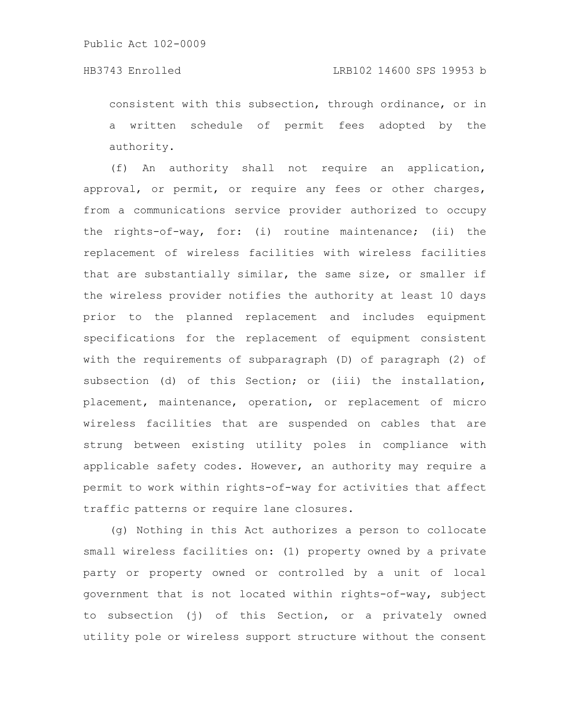consistent with this subsection, through ordinance, or in a written schedule of permit fees adopted by the authority.

(f) An authority shall not require an application, approval, or permit, or require any fees or other charges, from a communications service provider authorized to occupy the rights-of-way, for: (i) routine maintenance; (ii) the replacement of wireless facilities with wireless facilities that are substantially similar, the same size, or smaller if the wireless provider notifies the authority at least 10 days prior to the planned replacement and includes equipment specifications for the replacement of equipment consistent with the requirements of subparagraph (D) of paragraph (2) of subsection (d) of this Section; or (iii) the installation, placement, maintenance, operation, or replacement of micro wireless facilities that are suspended on cables that are strung between existing utility poles in compliance with applicable safety codes. However, an authority may require a permit to work within rights-of-way for activities that affect traffic patterns or require lane closures.

(g) Nothing in this Act authorizes a person to collocate small wireless facilities on: (1) property owned by a private party or property owned or controlled by a unit of local government that is not located within rights-of-way, subject to subsection (j) of this Section, or a privately owned utility pole or wireless support structure without the consent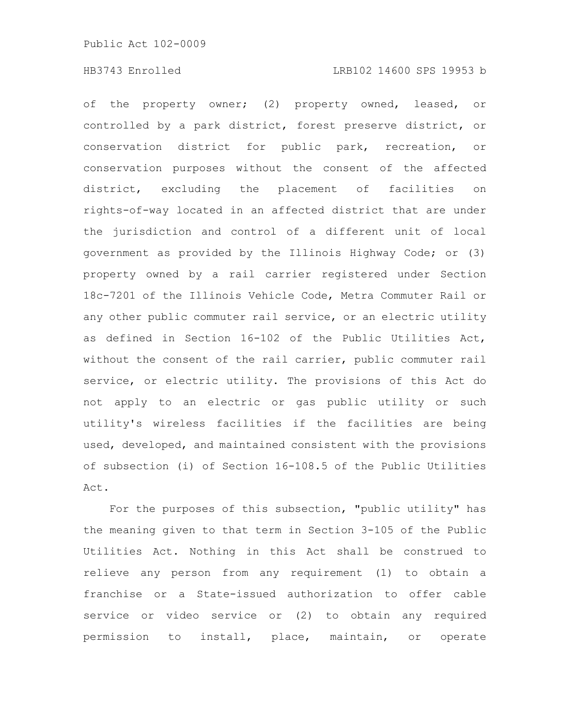of the property owner; (2) property owned, leased, or controlled by a park district, forest preserve district, or conservation district for public park, recreation, or conservation purposes without the consent of the affected district, excluding the placement of facilities on rights-of-way located in an affected district that are under the jurisdiction and control of a different unit of local government as provided by the Illinois Highway Code; or (3) property owned by a rail carrier registered under Section 18c-7201 of the Illinois Vehicle Code, Metra Commuter Rail or any other public commuter rail service, or an electric utility as defined in Section 16-102 of the Public Utilities Act, without the consent of the rail carrier, public commuter rail service, or electric utility. The provisions of this Act do not apply to an electric or gas public utility or such utility's wireless facilities if the facilities are being used, developed, and maintained consistent with the provisions of subsection (i) of Section 16-108.5 of the Public Utilities Act.

For the purposes of this subsection, "public utility" has the meaning given to that term in Section 3-105 of the Public Utilities Act. Nothing in this Act shall be construed to relieve any person from any requirement (1) to obtain a franchise or a State-issued authorization to offer cable service or video service or (2) to obtain any required permission to install, place, maintain, or operate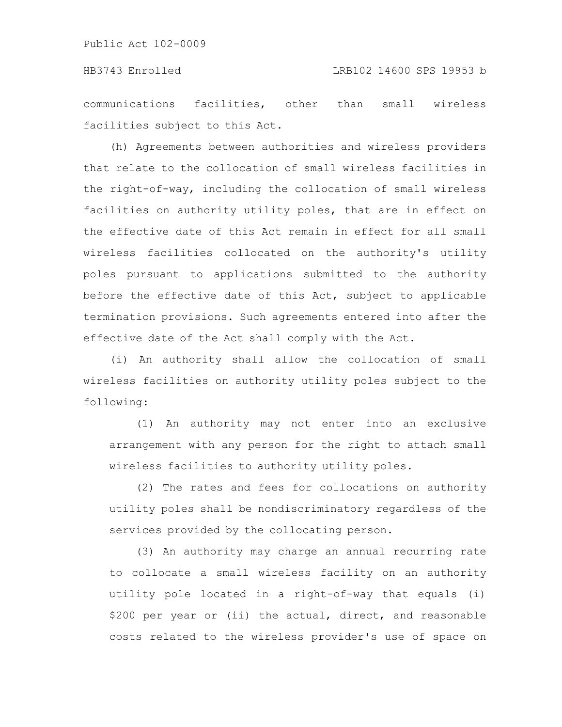communications facilities, other than small wireless facilities subject to this Act.

(h) Agreements between authorities and wireless providers that relate to the collocation of small wireless facilities in the right-of-way, including the collocation of small wireless facilities on authority utility poles, that are in effect on the effective date of this Act remain in effect for all small wireless facilities collocated on the authority's utility poles pursuant to applications submitted to the authority before the effective date of this Act, subject to applicable termination provisions. Such agreements entered into after the effective date of the Act shall comply with the Act.

(i) An authority shall allow the collocation of small wireless facilities on authority utility poles subject to the following:

(1) An authority may not enter into an exclusive arrangement with any person for the right to attach small wireless facilities to authority utility poles.

(2) The rates and fees for collocations on authority utility poles shall be nondiscriminatory regardless of the services provided by the collocating person.

(3) An authority may charge an annual recurring rate to collocate a small wireless facility on an authority utility pole located in a right-of-way that equals (i) \$200 per year or (ii) the actual, direct, and reasonable costs related to the wireless provider's use of space on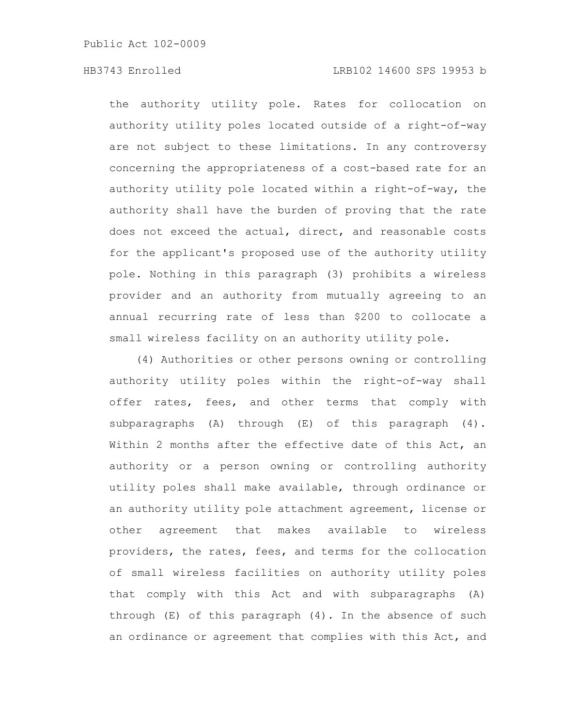the authority utility pole. Rates for collocation on authority utility poles located outside of a right-of-way are not subject to these limitations. In any controversy concerning the appropriateness of a cost-based rate for an authority utility pole located within a right-of-way, the authority shall have the burden of proving that the rate does not exceed the actual, direct, and reasonable costs for the applicant's proposed use of the authority utility pole. Nothing in this paragraph (3) prohibits a wireless provider and an authority from mutually agreeing to an annual recurring rate of less than \$200 to collocate a small wireless facility on an authority utility pole.

(4) Authorities or other persons owning or controlling authority utility poles within the right-of-way shall offer rates, fees, and other terms that comply with subparagraphs (A) through (E) of this paragraph (4). Within 2 months after the effective date of this Act, an authority or a person owning or controlling authority utility poles shall make available, through ordinance or an authority utility pole attachment agreement, license or other agreement that makes available to wireless providers, the rates, fees, and terms for the collocation of small wireless facilities on authority utility poles that comply with this Act and with subparagraphs (A) through (E) of this paragraph (4). In the absence of such an ordinance or agreement that complies with this Act, and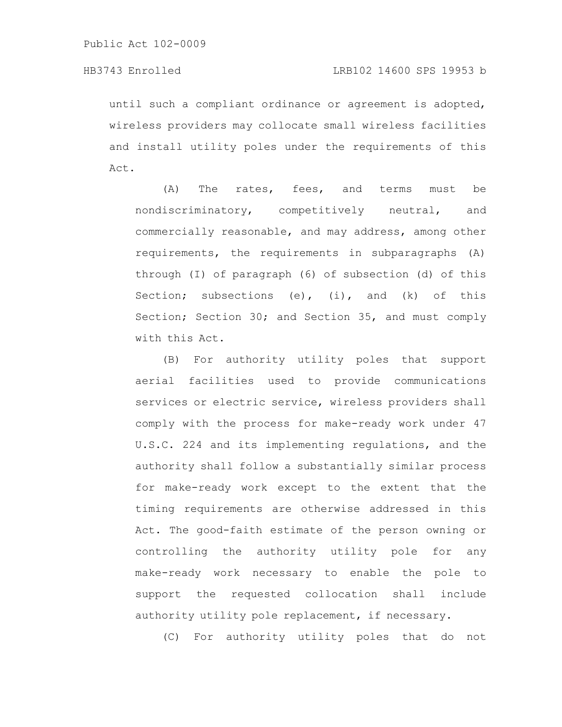until such a compliant ordinance or agreement is adopted, wireless providers may collocate small wireless facilities and install utility poles under the requirements of this Act.

(A) The rates, fees, and terms must be nondiscriminatory, competitively neutral, and commercially reasonable, and may address, among other requirements, the requirements in subparagraphs (A) through (I) of paragraph (6) of subsection (d) of this Section; subsections (e), (i), and (k) of this Section; Section 30; and Section 35, and must comply with this Act.

(B) For authority utility poles that support aerial facilities used to provide communications services or electric service, wireless providers shall comply with the process for make-ready work under 47 U.S.C. 224 and its implementing regulations, and the authority shall follow a substantially similar process for make-ready work except to the extent that the timing requirements are otherwise addressed in this Act. The good-faith estimate of the person owning or controlling the authority utility pole for any make-ready work necessary to enable the pole to support the requested collocation shall include authority utility pole replacement, if necessary.

(C) For authority utility poles that do not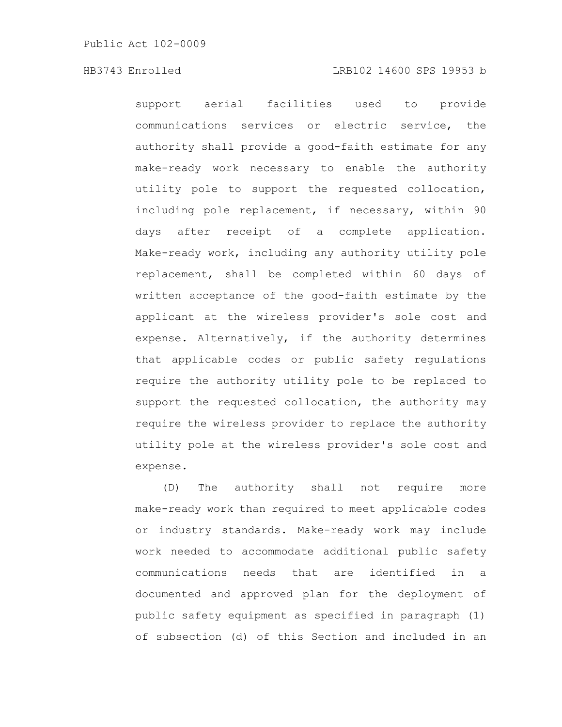support aerial facilities used to provide communications services or electric service, the authority shall provide a good-faith estimate for any make-ready work necessary to enable the authority utility pole to support the requested collocation, including pole replacement, if necessary, within 90 days after receipt of a complete application. Make-ready work, including any authority utility pole replacement, shall be completed within 60 days of written acceptance of the good-faith estimate by the applicant at the wireless provider's sole cost and expense. Alternatively, if the authority determines that applicable codes or public safety regulations require the authority utility pole to be replaced to support the requested collocation, the authority may require the wireless provider to replace the authority utility pole at the wireless provider's sole cost and expense.

(D) The authority shall not require more make-ready work than required to meet applicable codes or industry standards. Make-ready work may include work needed to accommodate additional public safety communications needs that are identified in a documented and approved plan for the deployment of public safety equipment as specified in paragraph (1) of subsection (d) of this Section and included in an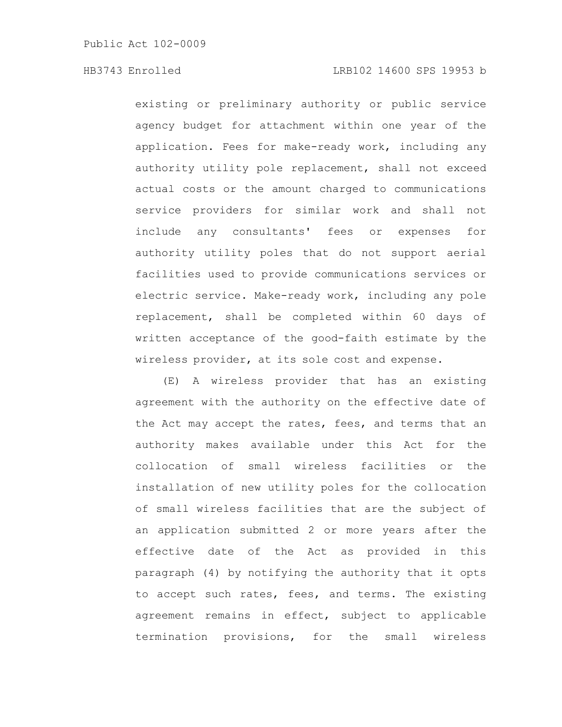existing or preliminary authority or public service agency budget for attachment within one year of the application. Fees for make-ready work, including any authority utility pole replacement, shall not exceed actual costs or the amount charged to communications service providers for similar work and shall not include any consultants' fees or expenses for authority utility poles that do not support aerial facilities used to provide communications services or electric service. Make-ready work, including any pole replacement, shall be completed within 60 days of written acceptance of the good-faith estimate by the wireless provider, at its sole cost and expense.

(E) A wireless provider that has an existing agreement with the authority on the effective date of the Act may accept the rates, fees, and terms that an authority makes available under this Act for the collocation of small wireless facilities or the installation of new utility poles for the collocation of small wireless facilities that are the subject of an application submitted 2 or more years after the effective date of the Act as provided in this paragraph (4) by notifying the authority that it opts to accept such rates, fees, and terms. The existing agreement remains in effect, subject to applicable termination provisions, for the small wireless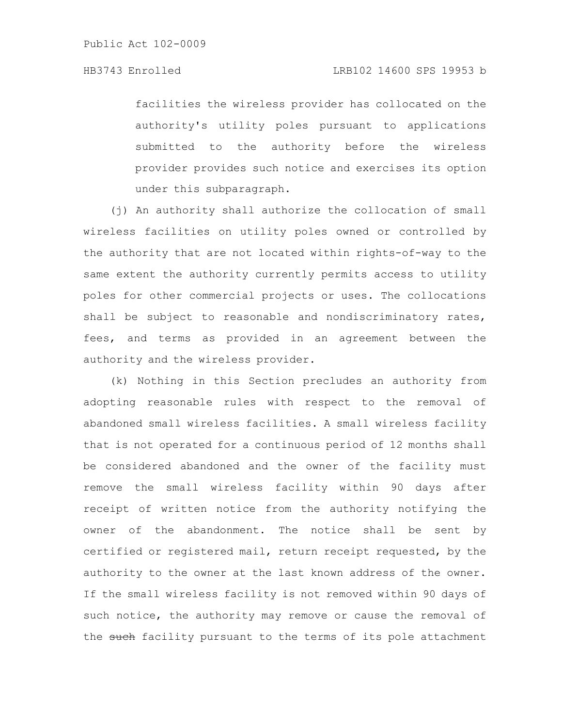facilities the wireless provider has collocated on the authority's utility poles pursuant to applications submitted to the authority before the wireless provider provides such notice and exercises its option under this subparagraph.

(j) An authority shall authorize the collocation of small wireless facilities on utility poles owned or controlled by the authority that are not located within rights-of-way to the same extent the authority currently permits access to utility poles for other commercial projects or uses. The collocations shall be subject to reasonable and nondiscriminatory rates, fees, and terms as provided in an agreement between the authority and the wireless provider.

(k) Nothing in this Section precludes an authority from adopting reasonable rules with respect to the removal of abandoned small wireless facilities. A small wireless facility that is not operated for a continuous period of 12 months shall be considered abandoned and the owner of the facility must remove the small wireless facility within 90 days after receipt of written notice from the authority notifying the owner of the abandonment. The notice shall be sent by certified or registered mail, return receipt requested, by the authority to the owner at the last known address of the owner. If the small wireless facility is not removed within 90 days of such notice, the authority may remove or cause the removal of the such facility pursuant to the terms of its pole attachment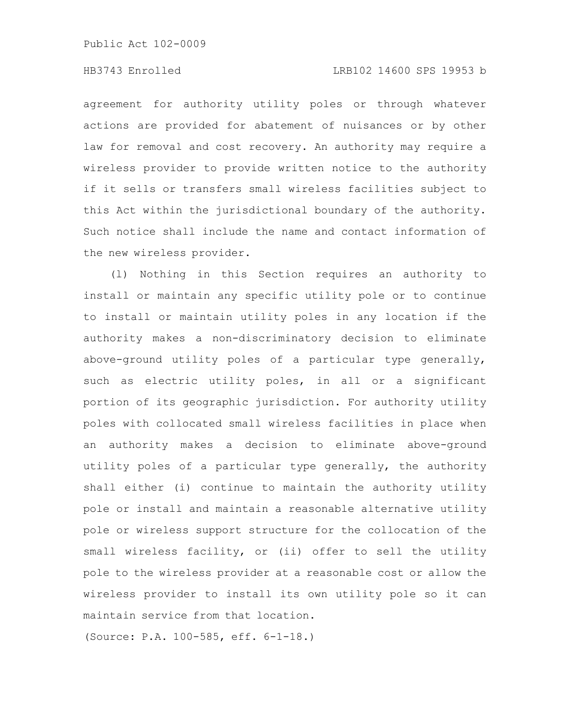## HB3743 Enrolled LRB102 14600 SPS 19953 b

agreement for authority utility poles or through whatever actions are provided for abatement of nuisances or by other law for removal and cost recovery. An authority may require a wireless provider to provide written notice to the authority if it sells or transfers small wireless facilities subject to this Act within the jurisdictional boundary of the authority. Such notice shall include the name and contact information of the new wireless provider.

(l) Nothing in this Section requires an authority to install or maintain any specific utility pole or to continue to install or maintain utility poles in any location if the authority makes a non-discriminatory decision to eliminate above-ground utility poles of a particular type generally, such as electric utility poles, in all or a significant portion of its geographic jurisdiction. For authority utility poles with collocated small wireless facilities in place when an authority makes a decision to eliminate above-ground utility poles of a particular type generally, the authority shall either (i) continue to maintain the authority utility pole or install and maintain a reasonable alternative utility pole or wireless support structure for the collocation of the small wireless facility, or (ii) offer to sell the utility pole to the wireless provider at a reasonable cost or allow the wireless provider to install its own utility pole so it can maintain service from that location.

(Source: P.A. 100-585, eff. 6-1-18.)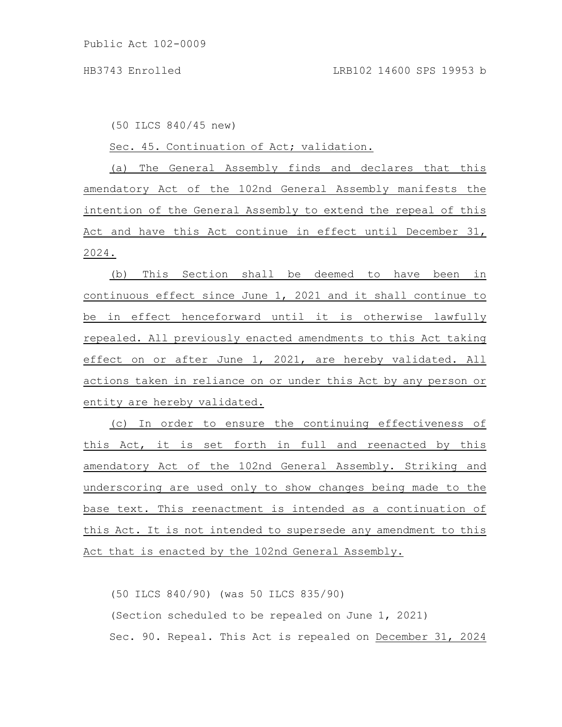(50 ILCS 840/45 new)

Sec. 45. Continuation of Act; validation.

(a) The General Assembly finds and declares that this amendatory Act of the 102nd General Assembly manifests the intention of the General Assembly to extend the repeal of this Act and have this Act continue in effect until December 31, 2024.

(b) This Section shall be deemed to have been in continuous effect since June 1, 2021 and it shall continue to be in effect henceforward until it is otherwise lawfully repealed. All previously enacted amendments to this Act taking effect on or after June 1, 2021, are hereby validated. All actions taken in reliance on or under this Act by any person or entity are hereby validated.

(c) In order to ensure the continuing effectiveness of this Act, it is set forth in full and reenacted by this amendatory Act of the 102nd General Assembly. Striking and underscoring are used only to show changes being made to the base text. This reenactment is intended as a continuation of this Act. It is not intended to supersede any amendment to this Act that is enacted by the 102nd General Assembly.

(50 ILCS 840/90) (was 50 ILCS 835/90) (Section scheduled to be repealed on June 1, 2021) Sec. 90. Repeal. This Act is repealed on December 31, 2024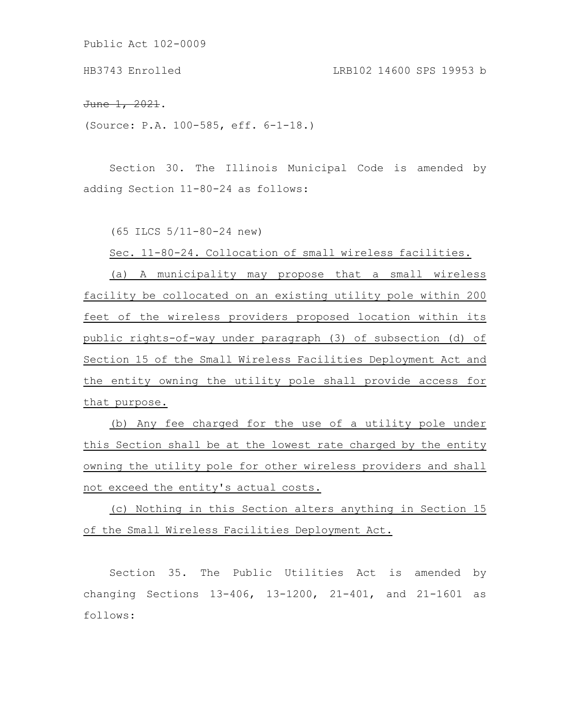HB3743 Enrolled LRB102 14600 SPS 19953 b

June 1, 2021.

(Source: P.A. 100-585, eff. 6-1-18.)

Section 30. The Illinois Municipal Code is amended by adding Section 11-80-24 as follows:

(65 ILCS 5/11-80-24 new)

Sec. 11-80-24. Collocation of small wireless facilities.

(a) A municipality may propose that a small wireless facility be collocated on an existing utility pole within 200 feet of the wireless providers proposed location within its public rights-of-way under paragraph (3) of subsection (d) of Section 15 of the Small Wireless Facilities Deployment Act and the entity owning the utility pole shall provide access for that purpose.

(b) Any fee charged for the use of a utility pole under this Section shall be at the lowest rate charged by the entity owning the utility pole for other wireless providers and shall not exceed the entity's actual costs.

(c) Nothing in this Section alters anything in Section 15 of the Small Wireless Facilities Deployment Act.

Section 35. The Public Utilities Act is amended by changing Sections 13-406, 13-1200, 21-401, and 21-1601 as follows: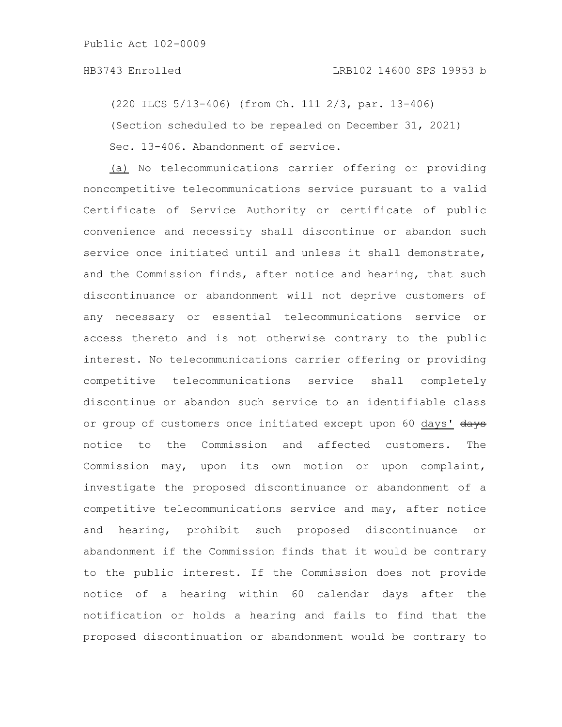## HB3743 Enrolled LRB102 14600 SPS 19953 b

(220 ILCS 5/13-406) (from Ch. 111 2/3, par. 13-406)

(Section scheduled to be repealed on December 31, 2021)

Sec. 13-406. Abandonment of service.

(a) No telecommunications carrier offering or providing noncompetitive telecommunications service pursuant to a valid Certificate of Service Authority or certificate of public convenience and necessity shall discontinue or abandon such service once initiated until and unless it shall demonstrate, and the Commission finds, after notice and hearing, that such discontinuance or abandonment will not deprive customers of any necessary or essential telecommunications service or access thereto and is not otherwise contrary to the public interest. No telecommunications carrier offering or providing competitive telecommunications service shall completely discontinue or abandon such service to an identifiable class or group of customers once initiated except upon 60 days' days notice to the Commission and affected customers. The Commission may, upon its own motion or upon complaint, investigate the proposed discontinuance or abandonment of a competitive telecommunications service and may, after notice and hearing, prohibit such proposed discontinuance or abandonment if the Commission finds that it would be contrary to the public interest. If the Commission does not provide notice of a hearing within 60 calendar days after the notification or holds a hearing and fails to find that the proposed discontinuation or abandonment would be contrary to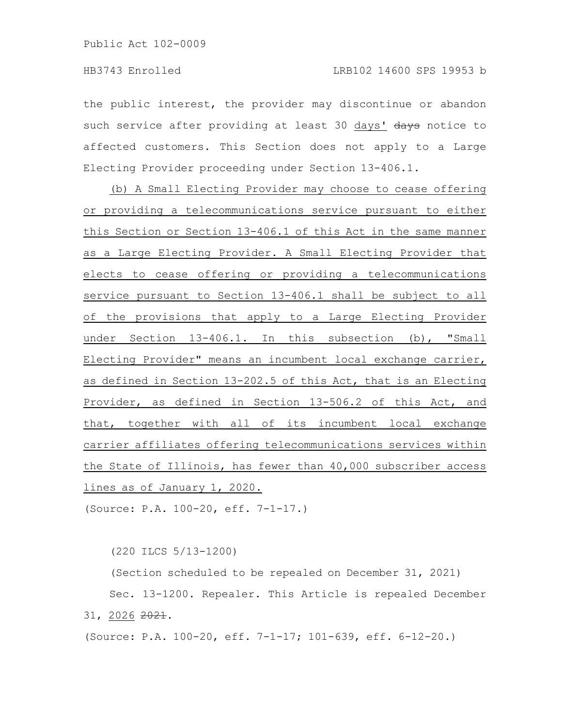the public interest, the provider may discontinue or abandon such service after providing at least 30 days' days notice to affected customers. This Section does not apply to a Large Electing Provider proceeding under Section 13-406.1.

(b) A Small Electing Provider may choose to cease offering or providing a telecommunications service pursuant to either this Section or Section 13-406.1 of this Act in the same manner as a Large Electing Provider. A Small Electing Provider that elects to cease offering or providing a telecommunications service pursuant to Section 13-406.1 shall be subject to all of the provisions that apply to a Large Electing Provider under Section 13-406.1. In this subsection (b), "Small Electing Provider" means an incumbent local exchange carrier, as defined in Section 13-202.5 of this Act, that is an Electing Provider, as defined in Section 13-506.2 of this Act, and that, together with all of its incumbent local exchange carrier affiliates offering telecommunications services within the State of Illinois, has fewer than 40,000 subscriber access lines as of January 1, 2020.

(Source: P.A. 100-20, eff. 7-1-17.)

(220 ILCS 5/13-1200)

(Section scheduled to be repealed on December 31, 2021) Sec. 13-1200. Repealer. This Article is repealed December 31, 2026 2021.

(Source: P.A. 100-20, eff. 7-1-17; 101-639, eff. 6-12-20.)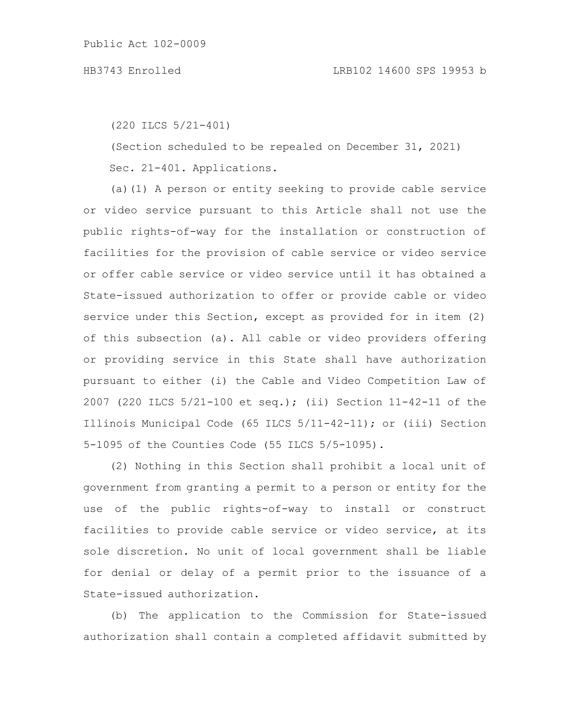(220 ILCS 5/21-401)

(Section scheduled to be repealed on December 31, 2021) Sec. 21-401. Applications.

(a)(1) A person or entity seeking to provide cable service or video service pursuant to this Article shall not use the public rights-of-way for the installation or construction of facilities for the provision of cable service or video service or offer cable service or video service until it has obtained a State-issued authorization to offer or provide cable or video service under this Section, except as provided for in item (2) of this subsection (a). All cable or video providers offering or providing service in this State shall have authorization pursuant to either (i) the Cable and Video Competition Law of 2007 (220 ILCS 5/21-100 et seq.); (ii) Section 11-42-11 of the Illinois Municipal Code (65 ILCS 5/11-42-11); or (iii) Section 5-1095 of the Counties Code (55 ILCS 5/5-1095).

(2) Nothing in this Section shall prohibit a local unit of government from granting a permit to a person or entity for the use of the public rights-of-way to install or construct facilities to provide cable service or video service, at its sole discretion. No unit of local government shall be liable for denial or delay of a permit prior to the issuance of a State-issued authorization.

(b) The application to the Commission for State-issued authorization shall contain a completed affidavit submitted by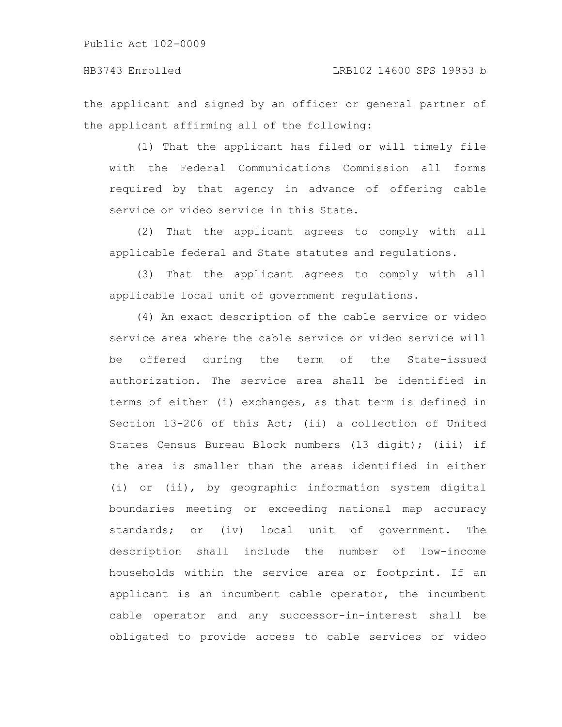the applicant and signed by an officer or general partner of the applicant affirming all of the following:

(1) That the applicant has filed or will timely file with the Federal Communications Commission all forms required by that agency in advance of offering cable service or video service in this State.

(2) That the applicant agrees to comply with all applicable federal and State statutes and regulations.

(3) That the applicant agrees to comply with all applicable local unit of government regulations.

(4) An exact description of the cable service or video service area where the cable service or video service will be offered during the term of the State-issued authorization. The service area shall be identified in terms of either (i) exchanges, as that term is defined in Section 13-206 of this Act; (ii) a collection of United States Census Bureau Block numbers (13 digit); (iii) if the area is smaller than the areas identified in either (i) or (ii), by geographic information system digital boundaries meeting or exceeding national map accuracy standards; or (iv) local unit of government. The description shall include the number of low-income households within the service area or footprint. If an applicant is an incumbent cable operator, the incumbent cable operator and any successor-in-interest shall be obligated to provide access to cable services or video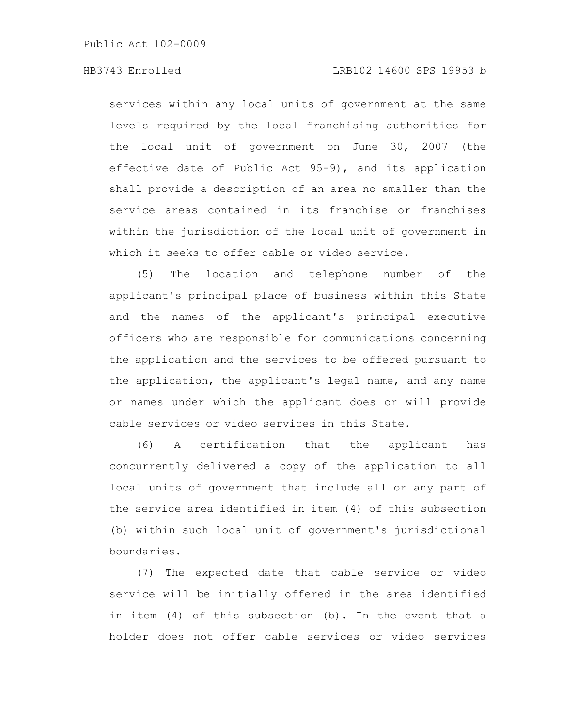services within any local units of government at the same levels required by the local franchising authorities for the local unit of government on June 30, 2007 (the effective date of Public Act 95-9), and its application shall provide a description of an area no smaller than the service areas contained in its franchise or franchises within the jurisdiction of the local unit of government in which it seeks to offer cable or video service.

(5) The location and telephone number of the applicant's principal place of business within this State and the names of the applicant's principal executive officers who are responsible for communications concerning the application and the services to be offered pursuant to the application, the applicant's legal name, and any name or names under which the applicant does or will provide cable services or video services in this State.

(6) A certification that the applicant has concurrently delivered a copy of the application to all local units of government that include all or any part of the service area identified in item (4) of this subsection (b) within such local unit of government's jurisdictional boundaries.

(7) The expected date that cable service or video service will be initially offered in the area identified in item (4) of this subsection (b). In the event that a holder does not offer cable services or video services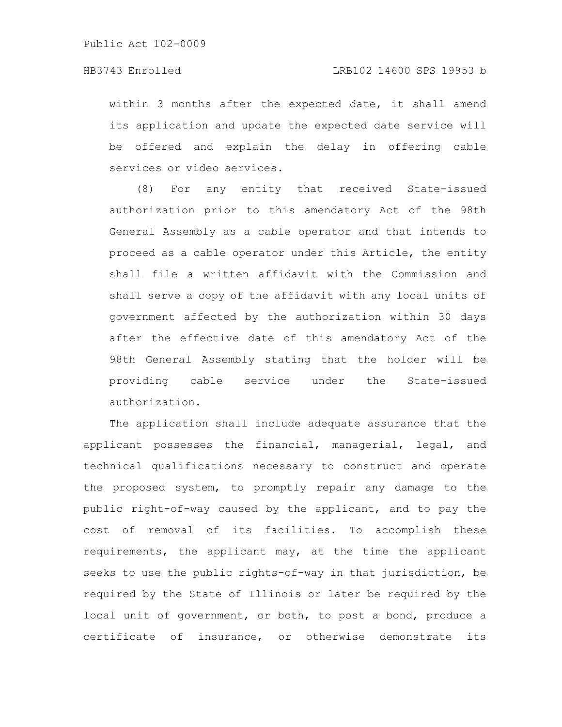within 3 months after the expected date, it shall amend its application and update the expected date service will be offered and explain the delay in offering cable services or video services.

(8) For any entity that received State-issued authorization prior to this amendatory Act of the 98th General Assembly as a cable operator and that intends to proceed as a cable operator under this Article, the entity shall file a written affidavit with the Commission and shall serve a copy of the affidavit with any local units of government affected by the authorization within 30 days after the effective date of this amendatory Act of the 98th General Assembly stating that the holder will be providing cable service under the State-issued authorization.

The application shall include adequate assurance that the applicant possesses the financial, managerial, legal, and technical qualifications necessary to construct and operate the proposed system, to promptly repair any damage to the public right-of-way caused by the applicant, and to pay the cost of removal of its facilities. To accomplish these requirements, the applicant may, at the time the applicant seeks to use the public rights-of-way in that jurisdiction, be required by the State of Illinois or later be required by the local unit of government, or both, to post a bond, produce a certificate of insurance, or otherwise demonstrate its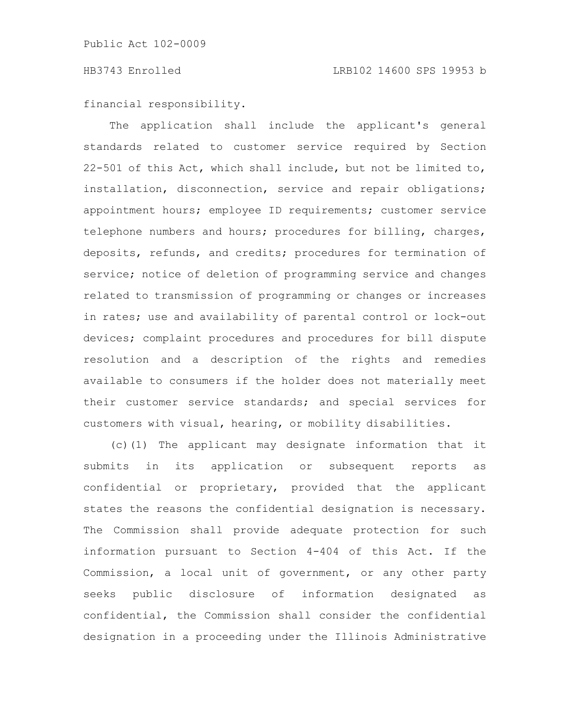financial responsibility.

The application shall include the applicant's general standards related to customer service required by Section 22-501 of this Act, which shall include, but not be limited to, installation, disconnection, service and repair obligations; appointment hours; employee ID requirements; customer service telephone numbers and hours; procedures for billing, charges, deposits, refunds, and credits; procedures for termination of service; notice of deletion of programming service and changes related to transmission of programming or changes or increases in rates; use and availability of parental control or lock-out devices; complaint procedures and procedures for bill dispute resolution and a description of the rights and remedies available to consumers if the holder does not materially meet their customer service standards; and special services for customers with visual, hearing, or mobility disabilities.

(c)(1) The applicant may designate information that it submits in its application or subsequent reports as confidential or proprietary, provided that the applicant states the reasons the confidential designation is necessary. The Commission shall provide adequate protection for such information pursuant to Section 4-404 of this Act. If the Commission, a local unit of government, or any other party seeks public disclosure of information designated as confidential, the Commission shall consider the confidential designation in a proceeding under the Illinois Administrative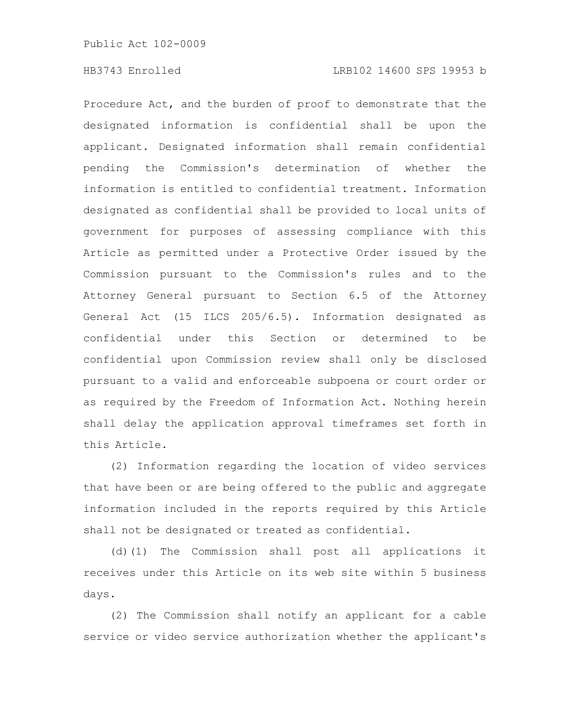Procedure Act, and the burden of proof to demonstrate that the designated information is confidential shall be upon the applicant. Designated information shall remain confidential pending the Commission's determination of whether the information is entitled to confidential treatment. Information designated as confidential shall be provided to local units of government for purposes of assessing compliance with this Article as permitted under a Protective Order issued by the Commission pursuant to the Commission's rules and to the Attorney General pursuant to Section 6.5 of the Attorney General Act (15 ILCS 205/6.5). Information designated as confidential under this Section or determined to be confidential upon Commission review shall only be disclosed pursuant to a valid and enforceable subpoena or court order or as required by the Freedom of Information Act. Nothing herein shall delay the application approval timeframes set forth in this Article.

(2) Information regarding the location of video services that have been or are being offered to the public and aggregate information included in the reports required by this Article shall not be designated or treated as confidential.

(d)(1) The Commission shall post all applications it receives under this Article on its web site within 5 business days.

(2) The Commission shall notify an applicant for a cable service or video service authorization whether the applicant's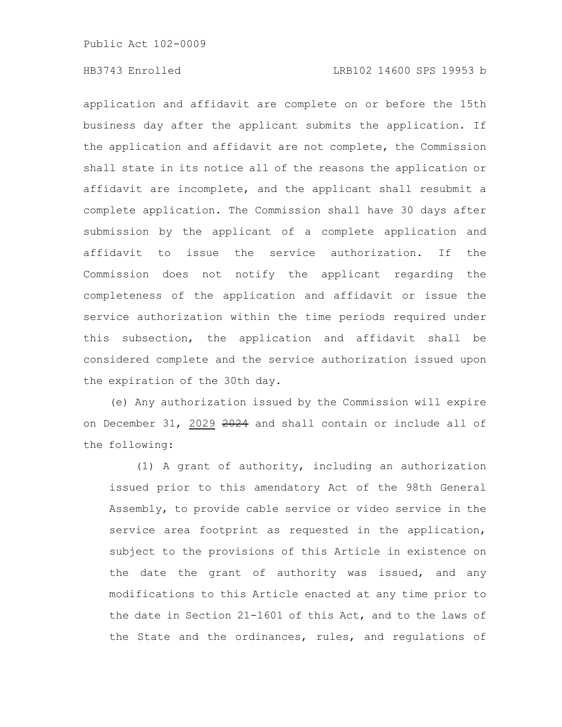# HB3743 Enrolled LRB102 14600 SPS 19953 b

application and affidavit are complete on or before the 15th business day after the applicant submits the application. If the application and affidavit are not complete, the Commission shall state in its notice all of the reasons the application or affidavit are incomplete, and the applicant shall resubmit a complete application. The Commission shall have 30 days after submission by the applicant of a complete application and affidavit to issue the service authorization. If the Commission does not notify the applicant regarding the completeness of the application and affidavit or issue the service authorization within the time periods required under this subsection, the application and affidavit shall be considered complete and the service authorization issued upon the expiration of the 30th day.

(e) Any authorization issued by the Commission will expire on December 31, 2029 2024 and shall contain or include all of the following:

(1) A grant of authority, including an authorization issued prior to this amendatory Act of the 98th General Assembly, to provide cable service or video service in the service area footprint as requested in the application, subject to the provisions of this Article in existence on the date the grant of authority was issued, and any modifications to this Article enacted at any time prior to the date in Section 21-1601 of this Act, and to the laws of the State and the ordinances, rules, and regulations of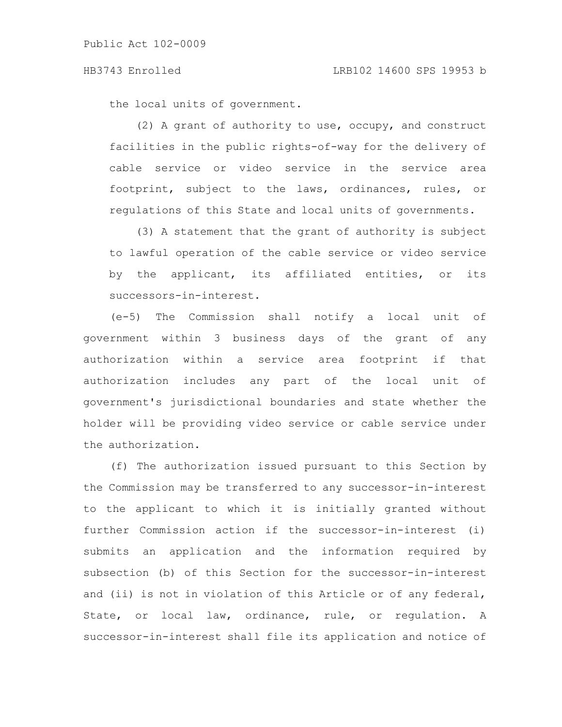the local units of government.

(2) A grant of authority to use, occupy, and construct facilities in the public rights-of-way for the delivery of cable service or video service in the service area footprint, subject to the laws, ordinances, rules, or regulations of this State and local units of governments.

(3) A statement that the grant of authority is subject to lawful operation of the cable service or video service by the applicant, its affiliated entities, or its successors-in-interest.

(e-5) The Commission shall notify a local unit of government within 3 business days of the grant of any authorization within a service area footprint if that authorization includes any part of the local unit of government's jurisdictional boundaries and state whether the holder will be providing video service or cable service under the authorization.

(f) The authorization issued pursuant to this Section by the Commission may be transferred to any successor-in-interest to the applicant to which it is initially granted without further Commission action if the successor-in-interest (i) submits an application and the information required by subsection (b) of this Section for the successor-in-interest and (ii) is not in violation of this Article or of any federal, State, or local law, ordinance, rule, or regulation. A successor-in-interest shall file its application and notice of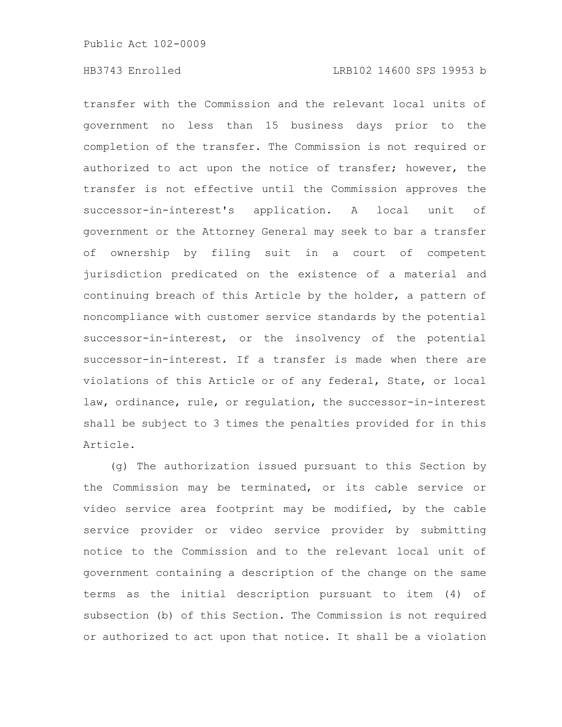transfer with the Commission and the relevant local units of government no less than 15 business days prior to the completion of the transfer. The Commission is not required or authorized to act upon the notice of transfer; however, the transfer is not effective until the Commission approves the successor-in-interest's application. A local unit of government or the Attorney General may seek to bar a transfer of ownership by filing suit in a court of competent jurisdiction predicated on the existence of a material and continuing breach of this Article by the holder, a pattern of noncompliance with customer service standards by the potential successor-in-interest, or the insolvency of the potential successor-in-interest. If a transfer is made when there are violations of this Article or of any federal, State, or local law, ordinance, rule, or regulation, the successor-in-interest shall be subject to 3 times the penalties provided for in this Article.

(g) The authorization issued pursuant to this Section by the Commission may be terminated, or its cable service or video service area footprint may be modified, by the cable service provider or video service provider by submitting notice to the Commission and to the relevant local unit of government containing a description of the change on the same terms as the initial description pursuant to item (4) of subsection (b) of this Section. The Commission is not required or authorized to act upon that notice. It shall be a violation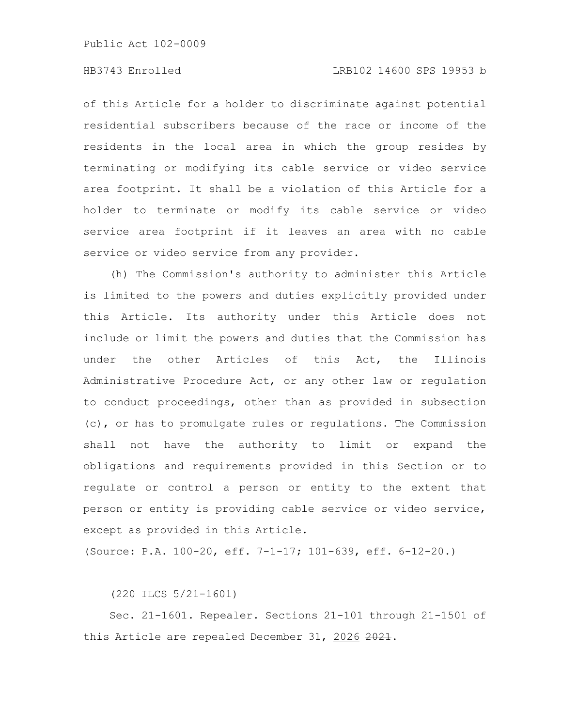# HB3743 Enrolled LRB102 14600 SPS 19953 b

of this Article for a holder to discriminate against potential residential subscribers because of the race or income of the residents in the local area in which the group resides by terminating or modifying its cable service or video service area footprint. It shall be a violation of this Article for a holder to terminate or modify its cable service or video service area footprint if it leaves an area with no cable service or video service from any provider.

(h) The Commission's authority to administer this Article is limited to the powers and duties explicitly provided under this Article. Its authority under this Article does not include or limit the powers and duties that the Commission has under the other Articles of this Act, the Illinois Administrative Procedure Act, or any other law or regulation to conduct proceedings, other than as provided in subsection (c), or has to promulgate rules or regulations. The Commission shall not have the authority to limit or expand the obligations and requirements provided in this Section or to regulate or control a person or entity to the extent that person or entity is providing cable service or video service, except as provided in this Article.

(Source: P.A. 100-20, eff. 7-1-17; 101-639, eff. 6-12-20.)

(220 ILCS 5/21-1601)

Sec. 21-1601. Repealer. Sections 21-101 through 21-1501 of this Article are repealed December 31, 2026 2021.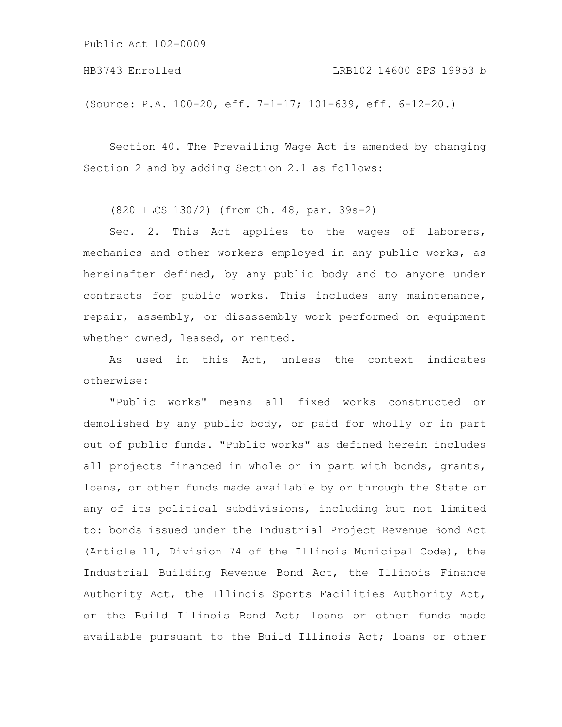HB3743 Enrolled LRB102 14600 SPS 19953 b

(Source: P.A. 100-20, eff. 7-1-17; 101-639, eff. 6-12-20.)

Section 40. The Prevailing Wage Act is amended by changing Section 2 and by adding Section 2.1 as follows:

(820 ILCS 130/2) (from Ch. 48, par. 39s-2)

Sec. 2. This Act applies to the wages of laborers, mechanics and other workers employed in any public works, as hereinafter defined, by any public body and to anyone under contracts for public works. This includes any maintenance, repair, assembly, or disassembly work performed on equipment whether owned, leased, or rented.

As used in this Act, unless the context indicates otherwise:

"Public works" means all fixed works constructed or demolished by any public body, or paid for wholly or in part out of public funds. "Public works" as defined herein includes all projects financed in whole or in part with bonds, grants, loans, or other funds made available by or through the State or any of its political subdivisions, including but not limited to: bonds issued under the Industrial Project Revenue Bond Act (Article 11, Division 74 of the Illinois Municipal Code), the Industrial Building Revenue Bond Act, the Illinois Finance Authority Act, the Illinois Sports Facilities Authority Act, or the Build Illinois Bond Act; loans or other funds made available pursuant to the Build Illinois Act; loans or other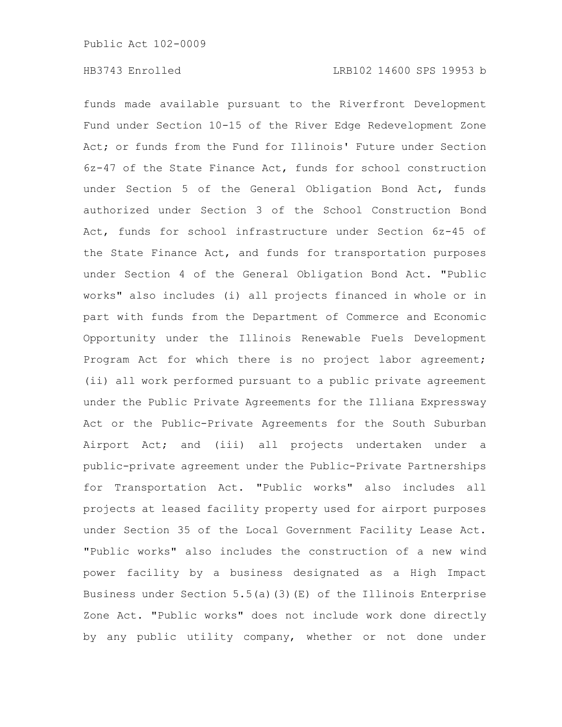funds made available pursuant to the Riverfront Development Fund under Section 10-15 of the River Edge Redevelopment Zone Act; or funds from the Fund for Illinois' Future under Section 6z-47 of the State Finance Act, funds for school construction under Section 5 of the General Obligation Bond Act, funds authorized under Section 3 of the School Construction Bond Act, funds for school infrastructure under Section 6z-45 of the State Finance Act, and funds for transportation purposes under Section 4 of the General Obligation Bond Act. "Public works" also includes (i) all projects financed in whole or in part with funds from the Department of Commerce and Economic Opportunity under the Illinois Renewable Fuels Development Program Act for which there is no project labor agreement; (ii) all work performed pursuant to a public private agreement under the Public Private Agreements for the Illiana Expressway Act or the Public-Private Agreements for the South Suburban Airport Act; and (iii) all projects undertaken under a public-private agreement under the Public-Private Partnerships for Transportation Act. "Public works" also includes all projects at leased facility property used for airport purposes under Section 35 of the Local Government Facility Lease Act. "Public works" also includes the construction of a new wind power facility by a business designated as a High Impact Business under Section 5.5(a)(3)(E) of the Illinois Enterprise Zone Act. "Public works" does not include work done directly by any public utility company, whether or not done under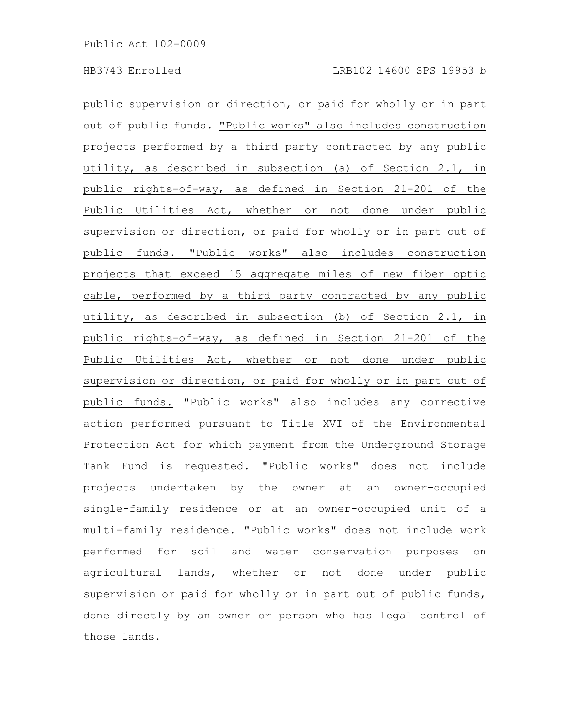public supervision or direction, or paid for wholly or in part out of public funds. "Public works" also includes construction projects performed by a third party contracted by any public utility, as described in subsection (a) of Section 2.1, in public rights-of-way, as defined in Section 21-201 of the Public Utilities Act, whether or not done under public supervision or direction, or paid for wholly or in part out of public funds. "Public works" also includes construction projects that exceed 15 aggregate miles of new fiber optic cable, performed by a third party contracted by any public utility, as described in subsection (b) of Section 2.1, in public rights-of-way, as defined in Section 21-201 of the Public Utilities Act, whether or not done under public supervision or direction, or paid for wholly or in part out of public funds. "Public works" also includes any corrective action performed pursuant to Title XVI of the Environmental Protection Act for which payment from the Underground Storage Tank Fund is requested. "Public works" does not include projects undertaken by the owner at an owner-occupied single-family residence or at an owner-occupied unit of a multi-family residence. "Public works" does not include work performed for soil and water conservation purposes on agricultural lands, whether or not done under public supervision or paid for wholly or in part out of public funds, done directly by an owner or person who has legal control of those lands.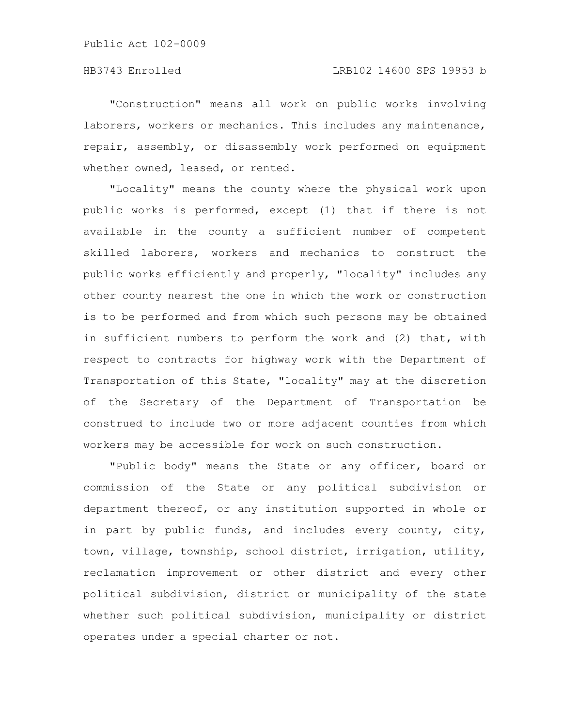"Construction" means all work on public works involving laborers, workers or mechanics. This includes any maintenance, repair, assembly, or disassembly work performed on equipment whether owned, leased, or rented.

"Locality" means the county where the physical work upon public works is performed, except (1) that if there is not available in the county a sufficient number of competent skilled laborers, workers and mechanics to construct the public works efficiently and properly, "locality" includes any other county nearest the one in which the work or construction is to be performed and from which such persons may be obtained in sufficient numbers to perform the work and (2) that, with respect to contracts for highway work with the Department of Transportation of this State, "locality" may at the discretion of the Secretary of the Department of Transportation be construed to include two or more adjacent counties from which workers may be accessible for work on such construction.

"Public body" means the State or any officer, board or commission of the State or any political subdivision or department thereof, or any institution supported in whole or in part by public funds, and includes every county, city, town, village, township, school district, irrigation, utility, reclamation improvement or other district and every other political subdivision, district or municipality of the state whether such political subdivision, municipality or district operates under a special charter or not.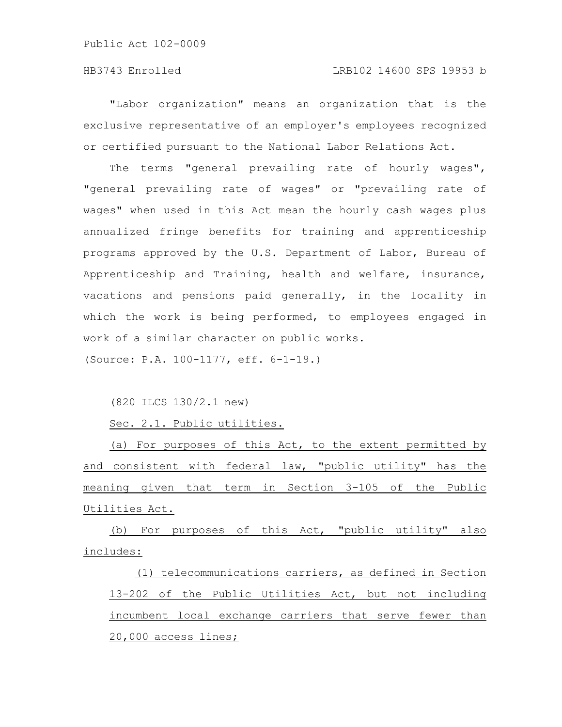# HB3743 Enrolled LRB102 14600 SPS 19953 b

"Labor organization" means an organization that is the exclusive representative of an employer's employees recognized or certified pursuant to the National Labor Relations Act.

The terms "general prevailing rate of hourly wages", "general prevailing rate of wages" or "prevailing rate of wages" when used in this Act mean the hourly cash wages plus annualized fringe benefits for training and apprenticeship programs approved by the U.S. Department of Labor, Bureau of Apprenticeship and Training, health and welfare, insurance, vacations and pensions paid generally, in the locality in which the work is being performed, to employees engaged in work of a similar character on public works.

(Source: P.A. 100-1177, eff. 6-1-19.)

(820 ILCS 130/2.1 new)

Sec. 2.1. Public utilities.

(a) For purposes of this Act, to the extent permitted by and consistent with federal law, "public utility" has the meaning given that term in Section 3-105 of the Public Utilities Act.

(b) For purposes of this Act, "public utility" also includes:

(1) telecommunications carriers, as defined in Section 13-202 of the Public Utilities Act, but not including incumbent local exchange carriers that serve fewer than 20,000 access lines;